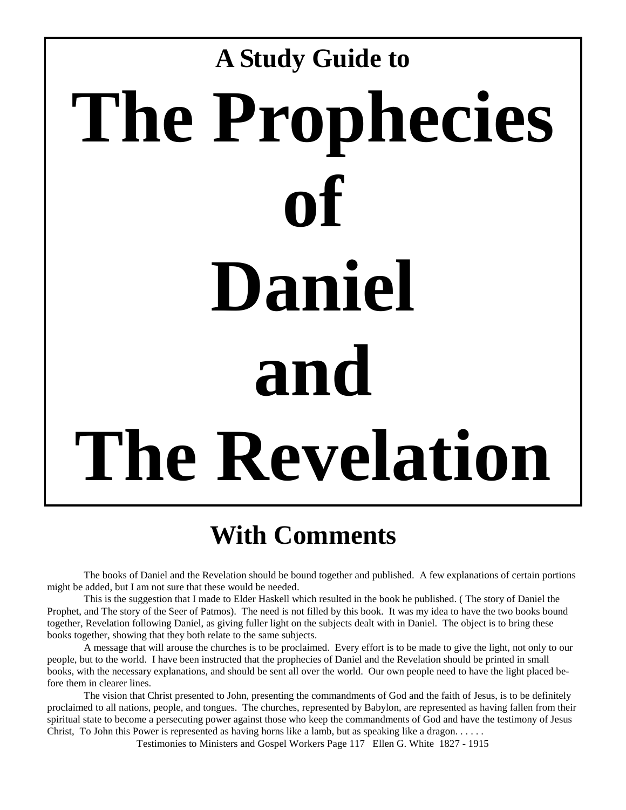# **Comments & Notes A Study Guide to The Prophecies of Daniel and The Revelation**

# **With Comments**

 The books of Daniel and the Revelation should be bound together and published. A few explanations of certain portions might be added, but I am not sure that these would be needed.

 This is the suggestion that I made to Elder Haskell which resulted in the book he published. ( The story of Daniel the Prophet, and The story of the Seer of Patmos). The need is not filled by this book. It was my idea to have the two books bound together, Revelation following Daniel, as giving fuller light on the subjects dealt with in Daniel. The object is to bring these books together, showing that they both relate to the same subjects.

 A message that will arouse the churches is to be proclaimed. Every effort is to be made to give the light, not only to our people, but to the world. I have been instructed that the prophecies of Daniel and the Revelation should be printed in small books, with the necessary explanations, and should be sent all over the world. Our own people need to have the light placed before them in clearer lines.

 The vision that Christ presented to John, presenting the commandments of God and the faith of Jesus, is to be definitely proclaimed to all nations, people, and tongues. The churches, represented by Babylon, are represented as having fallen from their spiritual state to become a persecuting power against those who keep the commandments of God and have the testimony of Jesus Christ, To John this Power is represented as having horns like a lamb, but as speaking like a dragon. . . . . .

Testimonies to Ministers and Gospel Workers Page 117 Ellen G. White 1827 - 1915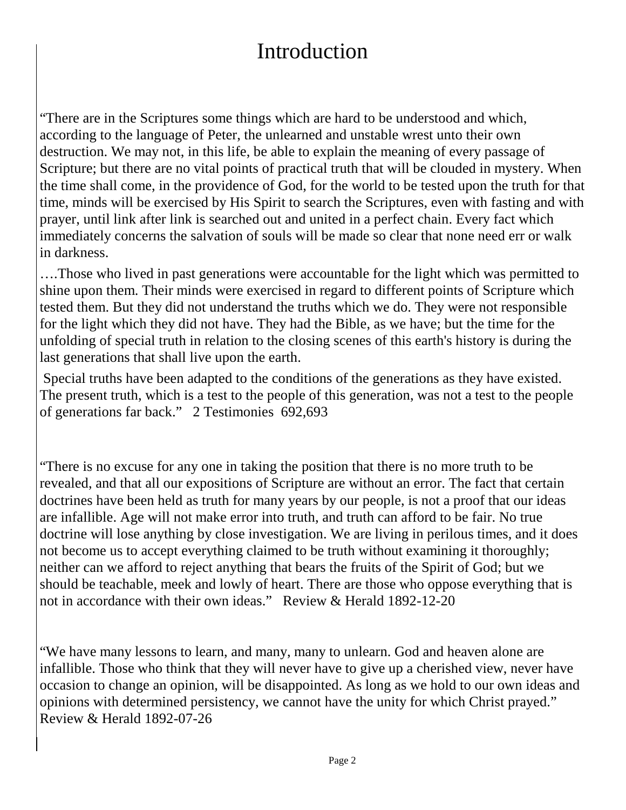# Introduction

"There are in the Scriptures some things which are hard to be understood and which, according to the language of Peter, the unlearned and unstable wrest unto their own destruction. We may not, in this life, be able to explain the meaning of every passage of Scripture; but there are no vital points of practical truth that will be clouded in mystery. When the time shall come, in the providence of God, for the world to be tested upon the truth for that time, minds will be exercised by His Spirit to search the Scriptures, even with fasting and with prayer, until link after link is searched out and united in a perfect chain. Every fact which immediately concerns the salvation of souls will be made so clear that none need err or walk in darkness.

….Those who lived in past generations were accountable for the light which was permitted to shine upon them. Their minds were exercised in regard to different points of Scripture which tested them. But they did not understand the truths which we do. They were not responsible for the light which they did not have. They had the Bible, as we have; but the time for the unfolding of special truth in relation to the closing scenes of this earth's history is during the last generations that shall live upon the earth.

 Special truths have been adapted to the conditions of the generations as they have existed. The present truth, which is a test to the people of this generation, was not a test to the people of generations far back." 2 Testimonies 692,693

"There is no excuse for any one in taking the position that there is no more truth to be revealed, and that all our expositions of Scripture are without an error. The fact that certain doctrines have been held as truth for many years by our people, is not a proof that our ideas are infallible. Age will not make error into truth, and truth can afford to be fair. No true doctrine will lose anything by close investigation. We are living in perilous times, and it does not become us to accept everything claimed to be truth without examining it thoroughly; neither can we afford to reject anything that bears the fruits of the Spirit of God; but we should be teachable, meek and lowly of heart. There are those who oppose everything that is not in accordance with their own ideas." Review & Herald 1892-12-20

"We have many lessons to learn, and many, many to unlearn. God and heaven alone are infallible. Those who think that they will never have to give up a cherished view, never have occasion to change an opinion, will be disappointed. As long as we hold to our own ideas and opinions with determined persistency, we cannot have the unity for which Christ prayed." Review & Herald 1892-07-26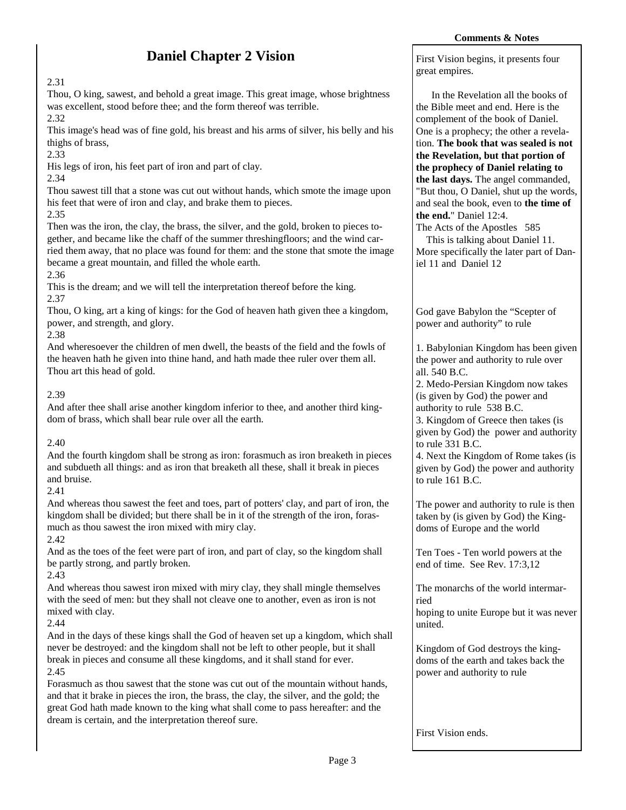#### **Daniel Chapter 2 Vision**

2.31

Thou, O king, sawest, and behold a great image. This great image, whose brightness was excellent, stood before thee; and the form thereof was terrible.

2.32

This image's head was of fine gold, his breast and his arms of silver, his belly and his thighs of brass,

2.33

His legs of iron, his feet part of iron and part of clay.

2.34

Thou sawest till that a stone was cut out without hands, which smote the image upon his feet that were of iron and clay, and brake them to pieces.

2.35

Then was the iron, the clay, the brass, the silver, and the gold, broken to pieces together, and became like the chaff of the summer threshingfloors; and the wind carried them away, that no place was found for them: and the stone that smote the image became a great mountain, and filled the whole earth.

2.36

This is the dream; and we will tell the interpretation thereof before the king. 2.37

Thou, O king, art a king of kings: for the God of heaven hath given thee a kingdom, power, and strength, and glory.

2.38

And wheresoever the children of men dwell, the beasts of the field and the fowls of the heaven hath he given into thine hand, and hath made thee ruler over them all. Thou art this head of gold.

2.39

And after thee shall arise another kingdom inferior to thee, and another third kingdom of brass, which shall bear rule over all the earth.

#### 2.40

And the fourth kingdom shall be strong as iron: forasmuch as iron breaketh in pieces and subdueth all things: and as iron that breaketh all these, shall it break in pieces and bruise.

2.41

And whereas thou sawest the feet and toes, part of potters' clay, and part of iron, the kingdom shall be divided; but there shall be in it of the strength of the iron, forasmuch as thou sawest the iron mixed with miry clay.

2.42

And as the toes of the feet were part of iron, and part of clay, so the kingdom shall be partly strong, and partly broken.

2.43

And whereas thou sawest iron mixed with miry clay, they shall mingle themselves with the seed of men: but they shall not cleave one to another, even as iron is not mixed with clay.

2.44

And in the days of these kings shall the God of heaven set up a kingdom, which shall never be destroyed: and the kingdom shall not be left to other people, but it shall break in pieces and consume all these kingdoms, and it shall stand for ever. 2.45

Forasmuch as thou sawest that the stone was cut out of the mountain without hands, and that it brake in pieces the iron, the brass, the clay, the silver, and the gold; the great God hath made known to the king what shall come to pass hereafter: and the dream is certain, and the interpretation thereof sure.

First Vision begins, it presents four great empires.

 In the Revelation all the books of the Bible meet and end. Here is the complement of the book of Daniel. One is a prophecy; the other a revelation. **The book that was sealed is not the Revelation, but that portion of the prophecy of Daniel relating to the last days.** The angel commanded, "But thou, O Daniel, shut up the words, and seal the book, even to **the time of the end.**" Daniel 12:4.

The Acts of the Apostles 585 This is talking about Daniel 11. More specifically the later part of Daniel 11 and Daniel 12

God gave Babylon the "Scepter of power and authority" to rule

1. Babylonian Kingdom has been given the power and authority to rule over all. 540 B.C.

2. Medo-Persian Kingdom now takes (is given by God) the power and authority to rule 538 B.C.

3. Kingdom of Greece then takes (is given by God) the power and authority to rule 331 B.C.

4. Next the Kingdom of Rome takes (is given by God) the power and authority to rule 161 B.C.

The power and authority to rule is then taken by (is given by God) the Kingdoms of Europe and the world

Ten Toes - Ten world powers at the end of time. See Rev. 17:3,12

The monarchs of the world intermarried hoping to unite Europe but it was never united.

Kingdom of God destroys the kingdoms of the earth and takes back the power and authority to rule

First Vision ends.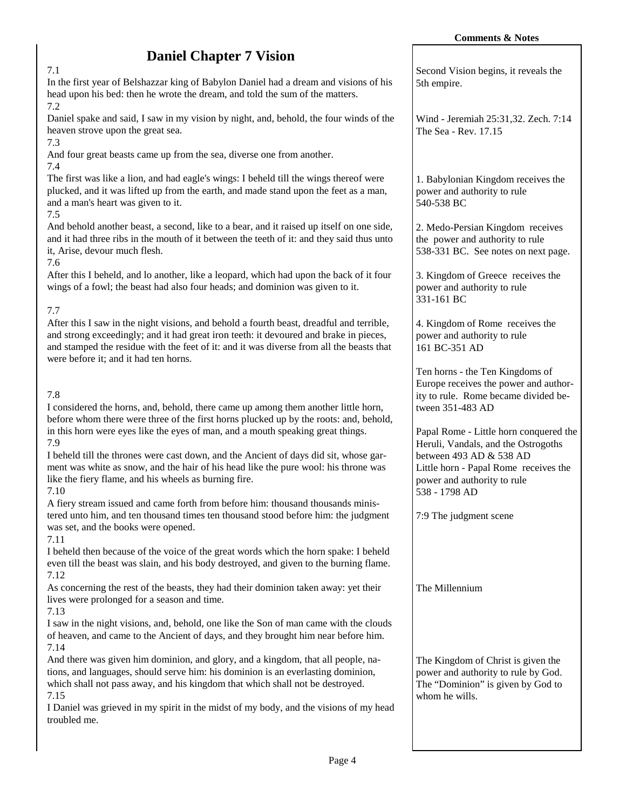#### **Daniel Chapter 7 Vision**  7.1 In the first year of Belshazzar king of Babylon Daniel had a dream and visions of his head upon his bed: then he wrote the dream, and told the sum of the matters. 7.2 Daniel spake and said, I saw in my vision by night, and, behold, the four winds of the heaven strove upon the great sea. 7.3 And four great beasts came up from the sea, diverse one from another. 7.4 The first was like a lion, and had eagle's wings: I beheld till the wings thereof were plucked, and it was lifted up from the earth, and made stand upon the feet as a man, and a man's heart was given to it. 7.5 And behold another beast, a second, like to a bear, and it raised up itself on one side, and it had three ribs in the mouth of it between the teeth of it: and they said thus unto it, Arise, devour much flesh. 7.6 After this I beheld, and lo another, like a leopard, which had upon the back of it four wings of a fowl; the beast had also four heads; and dominion was given to it. 7.7 After this I saw in the night visions, and behold a fourth beast, dreadful and terrible, and strong exceedingly; and it had great iron teeth: it devoured and brake in pieces, and stamped the residue with the feet of it: and it was diverse from all the beasts that were before it; and it had ten horns. 7.8 I considered the horns, and, behold, there came up among them another little horn, before whom there were three of the first horns plucked up by the roots: and, behold, in this horn were eyes like the eyes of man, and a mouth speaking great things. 7.9 I beheld till the thrones were cast down, and the Ancient of days did sit, whose garment was white as snow, and the hair of his head like the pure wool: his throne was like the fiery flame, and his wheels as burning fire. 7.10 A fiery stream issued and came forth from before him: thousand thousands ministered unto him, and ten thousand times ten thousand stood before him: the judgment was set, and the books were opened. 7.11 I beheld then because of the voice of the great words which the horn spake: I beheld even till the beast was slain, and his body destroyed, and given to the burning flame. 7.12 As concerning the rest of the beasts, they had their dominion taken away: yet their lives were prolonged for a season and time. 7.13 I saw in the night visions, and, behold, one like the Son of man came with the clouds Second Vision begins, it reveals the 5th empire. Wind - Jeremiah 25:31,32. Zech. 7:14 The Sea - Rev. 17.15 1. Babylonian Kingdom receives the power and authority to rule 540-538 BC 2. Medo-Persian Kingdom receives the power and authority to rule 538-331 BC. See notes on next page. 3. Kingdom of Greece receives the power and authority to rule 331-161 BC 4. Kingdom of Rome receives the power and authority to rule 161 BC-351 AD Ten horns - the Ten Kingdoms of Europe receives the power and authority to rule. Rome became divided between 351-483 AD Papal Rome - Little horn conquered the Heruli, Vandals, and the Ostrogoths between 493 AD & 538 AD Little horn - Papal Rome receives the power and authority to rule 538 - 1798 AD 7:9 The judgment scene The Millennium

The Kingdom of Christ is given the power and authority to rule by God. The "Dominion" is given by God to whom he wills.

**Comments & Notes** 

of heaven, and came to the Ancient of days, and they brought him near before him.

And there was given him dominion, and glory, and a kingdom, that all people, nations, and languages, should serve him: his dominion is an everlasting dominion, which shall not pass away, and his kingdom that which shall not be destroyed.

I Daniel was grieved in my spirit in the midst of my body, and the visions of my head

7.14

7.15

troubled me.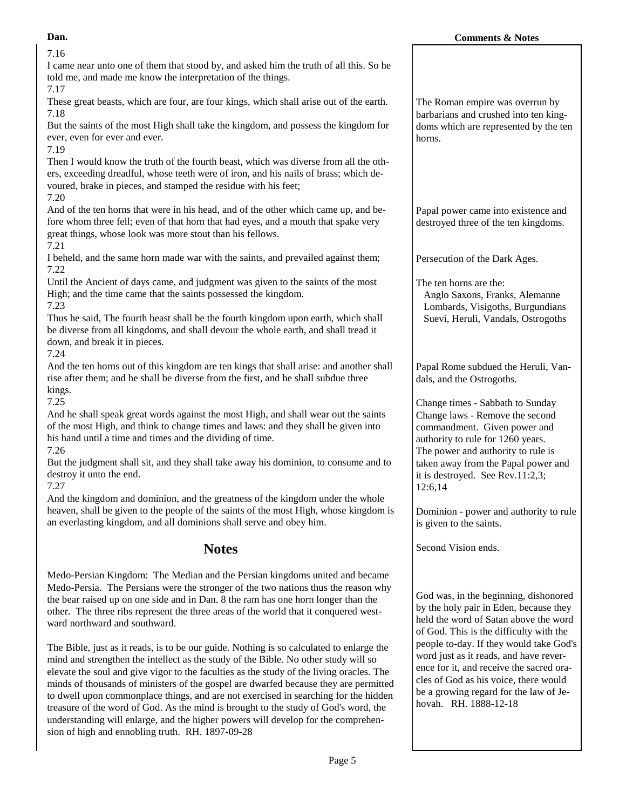| Dan.                                                                                                                                                                                                                                                                                                                                                                            | <b>Comments &amp; Notes</b>                                                                                                                                         |
|---------------------------------------------------------------------------------------------------------------------------------------------------------------------------------------------------------------------------------------------------------------------------------------------------------------------------------------------------------------------------------|---------------------------------------------------------------------------------------------------------------------------------------------------------------------|
| 7.16<br>I came near unto one of them that stood by, and asked him the truth of all this. So he<br>told me, and made me know the interpretation of the things.<br>7.17                                                                                                                                                                                                           |                                                                                                                                                                     |
| These great beasts, which are four, are four kings, which shall arise out of the earth.<br>7.18                                                                                                                                                                                                                                                                                 | The Roman empire was overrun by<br>barbarians and crushed into ten king-                                                                                            |
| But the saints of the most High shall take the kingdom, and possess the kingdom for<br>ever, even for ever and ever.<br>7.19                                                                                                                                                                                                                                                    | doms which are represented by the ten<br>horns.                                                                                                                     |
| Then I would know the truth of the fourth beast, which was diverse from all the oth-<br>ers, exceeding dreadful, whose teeth were of iron, and his nails of brass; which de-<br>voured, brake in pieces, and stamped the residue with his feet;<br>7.20                                                                                                                         |                                                                                                                                                                     |
| And of the ten horns that were in his head, and of the other which came up, and be-<br>fore whom three fell; even of that horn that had eyes, and a mouth that spake very<br>great things, whose look was more stout than his fellows.<br>7.21                                                                                                                                  | Papal power came into existence and<br>destroyed three of the ten kingdoms.                                                                                         |
| I beheld, and the same horn made war with the saints, and prevailed against them;<br>7.22                                                                                                                                                                                                                                                                                       | Persecution of the Dark Ages.                                                                                                                                       |
| Until the Ancient of days came, and judgment was given to the saints of the most<br>High; and the time came that the saints possessed the kingdom.<br>7.23                                                                                                                                                                                                                      | The ten horns are the:<br>Anglo Saxons, Franks, Alemanne<br>Lombards, Visigoths, Burgundians                                                                        |
| Thus he said, The fourth beast shall be the fourth kingdom upon earth, which shall<br>be diverse from all kingdoms, and shall devour the whole earth, and shall tread it<br>down, and break it in pieces.<br>7.24                                                                                                                                                               | Suevi, Heruli, Vandals, Ostrogoths                                                                                                                                  |
| And the ten horns out of this kingdom are ten kings that shall arise: and another shall<br>rise after them; and he shall be diverse from the first, and he shall subdue three<br>kings.                                                                                                                                                                                         | Papal Rome subdued the Heruli, Van-<br>dals, and the Ostrogoths.                                                                                                    |
| 7.25                                                                                                                                                                                                                                                                                                                                                                            | Change times - Sabbath to Sunday                                                                                                                                    |
| And he shall speak great words against the most High, and shall wear out the saints                                                                                                                                                                                                                                                                                             | Change laws - Remove the second                                                                                                                                     |
| of the most High, and think to change times and laws: and they shall be given into                                                                                                                                                                                                                                                                                              | commandment. Given power and                                                                                                                                        |
| his hand until a time and times and the dividing of time.                                                                                                                                                                                                                                                                                                                       | authority to rule for 1260 years.                                                                                                                                   |
| 7.26<br>But the judgment shall sit, and they shall take away his dominion, to consume and to                                                                                                                                                                                                                                                                                    | The power and authority to rule is<br>taken away from the Papal power and                                                                                           |
| destroy it unto the end.<br>7.27                                                                                                                                                                                                                                                                                                                                                | it is destroyed. See Rev.11:2,3;<br>12:6,14                                                                                                                         |
| And the kingdom and dominion, and the greatness of the kingdom under the whole                                                                                                                                                                                                                                                                                                  |                                                                                                                                                                     |
| heaven, shall be given to the people of the saints of the most High, whose kingdom is<br>an everlasting kingdom, and all dominions shall serve and obey him.                                                                                                                                                                                                                    | Dominion - power and authority to rule<br>is given to the saints.                                                                                                   |
| <b>Notes</b>                                                                                                                                                                                                                                                                                                                                                                    | Second Vision ends.                                                                                                                                                 |
| Medo-Persian Kingdom: The Median and the Persian kingdoms united and became<br>Medo-Persia. The Persians were the stronger of the two nations thus the reason why<br>the bear raised up on one side and in Dan. 8 the ram has one horn longer than the<br>other. The three ribs represent the three areas of the world that it conquered west-<br>ward northward and southward. | God was, in the beginning, dishonored<br>by the holy pair in Eden, because they<br>held the word of Satan above the word<br>of God. This is the difficulty with the |
| The Bible, just as it reads, is to be our guide. Nothing is so calculated to enlarge the<br>mind and strengthen the intellect as the study of the Bible. No other study will so<br>elevate the soul and give vigor to the faculties as the study of the living oracles. The                                                                                                     | people to-day. If they would take God's<br>word just as it reads, and have rever-<br>ence for it, and receive the sacred ora-                                       |

elevate the soul and give vigor to the faculties as the study of the living oracles. The minds of thousands of ministers of the gospel are dwarfed because they are permitted to dwell upon commonplace things, and are not exercised in searching for the hidden treasure of the word of God. As the mind is brought to the study of God's word, the understanding will enlarge, and the higher powers will develop for the comprehension of high and ennobling truth. RH. 1897-09-28

cles of God as his voice, there would be a growing regard for the law of Je-

hovah. RH. 1888-12-18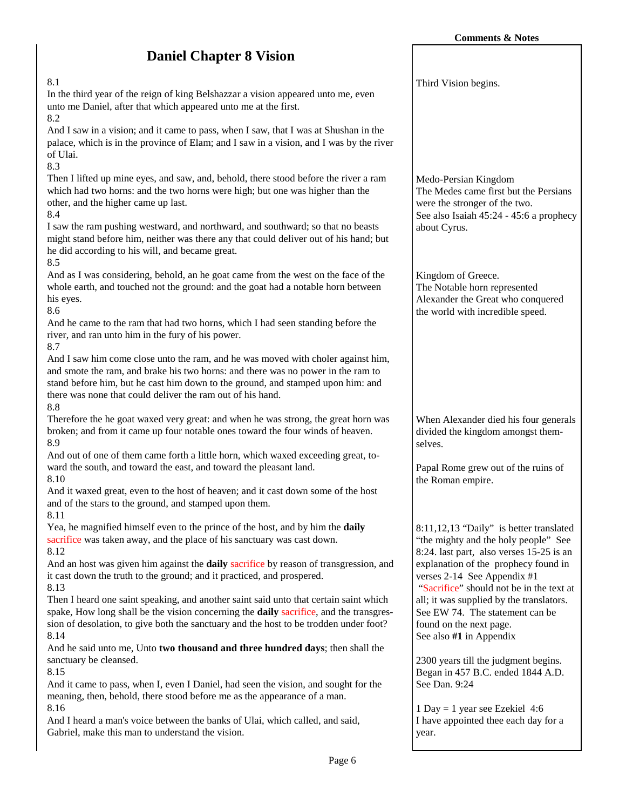#### **Daniel Chapter 8 Vision**

8.1 In the third year of the reign of king Belshazzar a vision appeared unto me, even unto me Daniel, after that which appeared unto me at the first. 8.2 And I saw in a vision; and it came to pass, when I saw, that I was at Shushan in the palace, which is in the province of Elam; and I saw in a vision, and I was by the river of Ulai. 8.3 Then I lifted up mine eyes, and saw, and, behold, there stood before the river a ram which had two horns: and the two horns were high; but one was higher than the other, and the higher came up last. 8.4 I saw the ram pushing westward, and northward, and southward; so that no beasts might stand before him, neither was there any that could deliver out of his hand; but he did according to his will, and became great. 8.5 And as I was considering, behold, an he goat came from the west on the face of the whole earth, and touched not the ground: and the goat had a notable horn between his eyes. 8.6 And he came to the ram that had two horns, which I had seen standing before the river, and ran unto him in the fury of his power. 8.7 And I saw him come close unto the ram, and he was moved with choler against him, and smote the ram, and brake his two horns: and there was no power in the ram to stand before him, but he cast him down to the ground, and stamped upon him: and there was none that could deliver the ram out of his hand. 8.8 Therefore the he goat waxed very great: and when he was strong, the great horn was broken; and from it came up four notable ones toward the four winds of heaven. 8.9 And out of one of them came forth a little horn, which waxed exceeding great, toward the south, and toward the east, and toward the pleasant land. 8.10 And it waxed great, even to the host of heaven; and it cast down some of the host and of the stars to the ground, and stamped upon them. 8.11 Yea, he magnified himself even to the prince of the host, and by him the **daily** sacrifice was taken away, and the place of his sanctuary was cast down. 8.12 And an host was given him against the **daily** sacrifice by reason of transgression, and it cast down the truth to the ground; and it practiced, and prospered. 8.13 Then I heard one saint speaking, and another saint said unto that certain saint which spake, How long shall be the vision concerning the **daily** sacrifice, and the transgression of desolation, to give both the sanctuary and the host to be trodden under foot? 8.14 And he said unto me, Unto **two thousand and three hundred days**; then shall the sanctuary be cleansed. 8.15 And it came to pass, when I, even I Daniel, had seen the vision, and sought for the meaning, then, behold, there stood before me as the appearance of a man. 8.16 And I heard a man's voice between the banks of Ulai, which called, and said, Gabriel, make this man to understand the vision. Third Vision begins. Medo-Persian Kingdom The Medes came first but the Persians were the stronger of the two. See also Isaiah 45:24 - 45:6 a prophecy about Cyrus. Kingdom of Greece. The Notable horn represented Alexander the Great who conquered the world with incredible speed. When Alexander died his four generals divided the kingdom amongst themselves. Papal Rome grew out of the ruins of the Roman empire. 8:11,12,13 "Daily" is better translated "the mighty and the holy people" See 8:24. last part, also verses 15-25 is an explanation of the prophecy found in verses 2-14 See Appendix #1 "Sacrifice" should not be in the text at all; it was supplied by the translators. See EW 74. The statement can be found on the next page. See also **#1** in Appendix 2300 years till the judgment begins. Began in 457 B.C. ended 1844 A.D. See Dan. 9:24 1 Day = 1 year see Ezekiel 4:6 I have appointed thee each day for a year.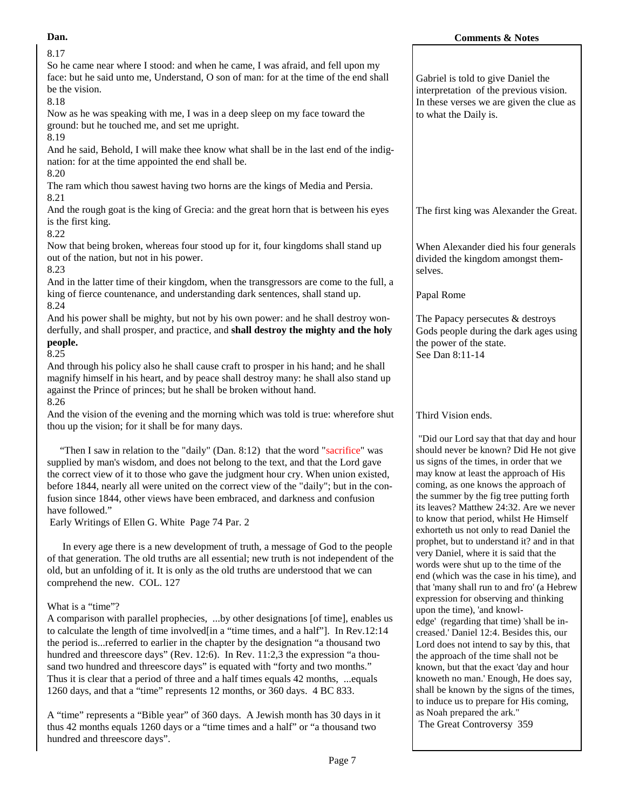| Dan.                                                                                                                                                                       | <b>Comments &amp; Notes</b>                                                         |
|----------------------------------------------------------------------------------------------------------------------------------------------------------------------------|-------------------------------------------------------------------------------------|
|                                                                                                                                                                            |                                                                                     |
| 8.17                                                                                                                                                                       |                                                                                     |
| So he came near where I stood: and when he came, I was afraid, and fell upon my                                                                                            |                                                                                     |
| face: but he said unto me, Understand, O son of man: for at the time of the end shall                                                                                      | Gabriel is told to give Daniel the                                                  |
| be the vision.<br>8.18                                                                                                                                                     | interpretation of the previous vision.                                              |
| Now as he was speaking with me, I was in a deep sleep on my face toward the                                                                                                | In these verses we are given the clue as<br>to what the Daily is.                   |
| ground: but he touched me, and set me upright.                                                                                                                             |                                                                                     |
| 8.19                                                                                                                                                                       |                                                                                     |
| And he said, Behold, I will make thee know what shall be in the last end of the indig-                                                                                     |                                                                                     |
| nation: for at the time appointed the end shall be.                                                                                                                        |                                                                                     |
| 8.20                                                                                                                                                                       |                                                                                     |
| The ram which thou sawest having two horns are the kings of Media and Persia.                                                                                              |                                                                                     |
| 8.21                                                                                                                                                                       |                                                                                     |
| And the rough goat is the king of Grecia: and the great horn that is between his eyes                                                                                      | The first king was Alexander the Great.                                             |
| is the first king.                                                                                                                                                         |                                                                                     |
| 8.22                                                                                                                                                                       |                                                                                     |
| Now that being broken, whereas four stood up for it, four kingdoms shall stand up                                                                                          | When Alexander died his four generals                                               |
| out of the nation, but not in his power.                                                                                                                                   | divided the kingdom amongst them-                                                   |
| 8.23                                                                                                                                                                       | selves.                                                                             |
| And in the latter time of their kingdom, when the transgressors are come to the full, a                                                                                    |                                                                                     |
| king of fierce countenance, and understanding dark sentences, shall stand up.                                                                                              | Papal Rome                                                                          |
| 8.24                                                                                                                                                                       |                                                                                     |
| And his power shall be mighty, but not by his own power: and he shall destroy won-<br>derfully, and shall prosper, and practice, and shall destroy the mighty and the holy | The Papacy persecutes & destroys                                                    |
| people.                                                                                                                                                                    | Gods people during the dark ages using<br>the power of the state.                   |
| 8.25                                                                                                                                                                       | See Dan 8:11-14                                                                     |
| And through his policy also he shall cause craft to prosper in his hand; and he shall                                                                                      |                                                                                     |
| magnify himself in his heart, and by peace shall destroy many: he shall also stand up                                                                                      |                                                                                     |
| against the Prince of princes; but he shall be broken without hand.                                                                                                        |                                                                                     |
| 8.26                                                                                                                                                                       |                                                                                     |
| And the vision of the evening and the morning which was told is true: wherefore shut                                                                                       | Third Vision ends.                                                                  |
| thou up the vision; for it shall be for many days.                                                                                                                         |                                                                                     |
|                                                                                                                                                                            | "Did our Lord say that that day and hour                                            |
| "Then I saw in relation to the "daily" (Dan. 8:12) that the word "sacrifice" was                                                                                           | should never be known? Did He not give                                              |
| supplied by man's wisdom, and does not belong to the text, and that the Lord gave                                                                                          | us signs of the times, in order that we                                             |
| the correct view of it to those who gave the judgment hour cry. When union existed,                                                                                        | may know at least the approach of His                                               |
| before 1844, nearly all were united on the correct view of the "daily"; but in the con-                                                                                    | coming, as one knows the approach of                                                |
| fusion since 1844, other views have been embraced, and darkness and confusion                                                                                              | the summer by the fig tree putting forth<br>its leaves? Matthew 24:32. Are we never |
| have followed."                                                                                                                                                            | to know that period, whilst He Himself                                              |
| Early Writings of Ellen G. White Page 74 Par. 2                                                                                                                            | exhorteth us not only to read Daniel the                                            |
| In every age there is a new development of truth, a message of God to the people                                                                                           | prophet, but to understand it? and in that                                          |
|                                                                                                                                                                            | very Daniel, where it is said that the                                              |

of that generation. The old truths are all essential; new truth is not independent of the old, but an unfolding of it. It is only as the old truths are understood that we can comprehend the new. COL. 127

#### What is a "time"?

A comparison with parallel prophecies, ...by other designations [of time], enables us to calculate the length of time involved[in a "time times, and a half"]. In Rev.12:14 the period is...referred to earlier in the chapter by the designation "a thousand two hundred and threescore days" (Rev. 12:6). In Rev. 11:2,3 the expression "a thousand two hundred and threescore days" is equated with "forty and two months." Thus it is clear that a period of three and a half times equals 42 months, ...equals 1260 days, and that a "time" represents 12 months, or 360 days. 4 BC 833.

A "time" represents a "Bible year" of 360 days. A Jewish month has 30 days in it thus 42 months equals 1260 days or a "time times and a half" or "a thousand two hundred and threescore days".

words were shut up to the time of the end (which was the case in his time), and that 'many shall run to and fro' (a Hebrew expression for observing and thinking

edge' (regarding that time) 'shall be increased.' Daniel 12:4. Besides this, our Lord does not intend to say by this, that the approach of the time shall not be known, but that the exact 'day and hour knoweth no man.' Enough, He does say, shall be known by the signs of the times, to induce us to prepare for His coming,

upon the time), 'and knowl-

as Noah prepared the ark." The Great Controversy 359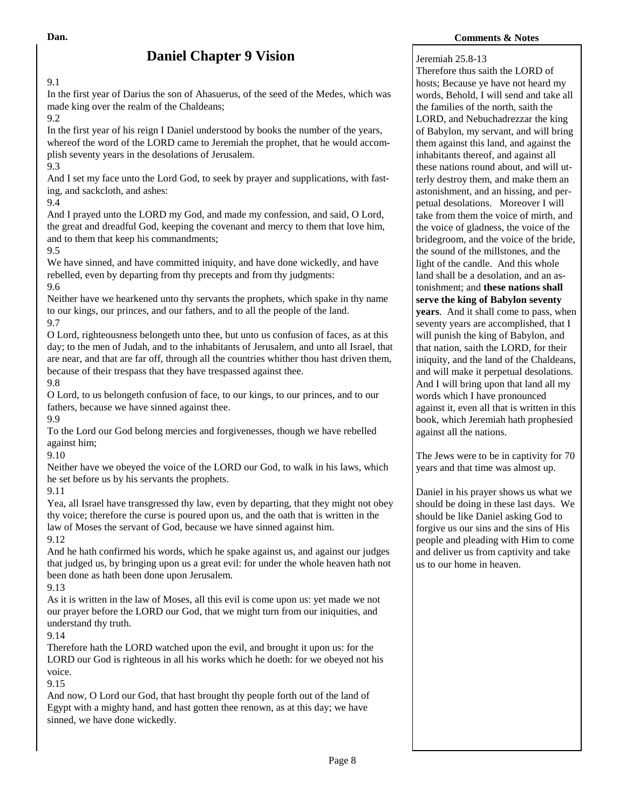#### **Daniel Chapter 9 Vision**

9.1

In the first year of Darius the son of Ahasuerus, of the seed of the Medes, which was made king over the realm of the Chaldeans; 9.2

In the first year of his reign I Daniel understood by books the number of the years, whereof the word of the LORD came to Jeremiah the prophet, that he would accomplish seventy years in the desolations of Jerusalem.

9.3

And I set my face unto the Lord God, to seek by prayer and supplications, with fasting, and sackcloth, and ashes:

9.4

And I prayed unto the LORD my God, and made my confession, and said, O Lord, the great and dreadful God, keeping the covenant and mercy to them that love him, and to them that keep his commandments;

9.5

We have sinned, and have committed iniquity, and have done wickedly, and have rebelled, even by departing from thy precepts and from thy judgments: 9.6

Neither have we hearkened unto thy servants the prophets, which spake in thy name to our kings, our princes, and our fathers, and to all the people of the land. 9.7

O Lord, righteousness belongeth unto thee, but unto us confusion of faces, as at this day; to the men of Judah, and to the inhabitants of Jerusalem, and unto all Israel, that are near, and that are far off, through all the countries whither thou hast driven them, because of their trespass that they have trespassed against thee.

9.8

O Lord, to us belongeth confusion of face, to our kings, to our princes, and to our fathers, because we have sinned against thee.

9.9

To the Lord our God belong mercies and forgivenesses, though we have rebelled against him;

9.10

Neither have we obeyed the voice of the LORD our God, to walk in his laws, which he set before us by his servants the prophets.

9.11

Yea, all Israel have transgressed thy law, even by departing, that they might not obey thy voice; therefore the curse is poured upon us, and the oath that is written in the law of Moses the servant of God, because we have sinned against him. 9.12

And he hath confirmed his words, which he spake against us, and against our judges that judged us, by bringing upon us a great evil: for under the whole heaven hath not been done as hath been done upon Jerusalem.

9.13

As it is written in the law of Moses, all this evil is come upon us: yet made we not our prayer before the LORD our God, that we might turn from our iniquities, and understand thy truth.

9.14

Therefore hath the LORD watched upon the evil, and brought it upon us: for the LORD our God is righteous in all his works which he doeth: for we obeyed not his voice.

9.15

And now, O Lord our God, that hast brought thy people forth out of the land of Egypt with a mighty hand, and hast gotten thee renown, as at this day; we have sinned, we have done wickedly.

Jeremiah 25.8-13 Therefore thus saith the LORD of hosts; Because ye have not heard my words, Behold, I will send and take all the families of the north, saith the LORD, and Nebuchadrezzar the king of Babylon, my servant, and will bring them against this land, and against the inhabitants thereof, and against all these nations round about, and will utterly destroy them, and make them an astonishment, and an hissing, and perpetual desolations. Moreover I will take from them the voice of mirth, and the voice of gladness, the voice of the bridegroom, and the voice of the bride, the sound of the millstones, and the light of the candle. And this whole land shall be a desolation, and an astonishment; and **these nations shall serve the king of Babylon seventy years**. And it shall come to pass, when seventy years are accomplished, that I will punish the king of Babylon, and that nation, saith the LORD, for their iniquity, and the land of the Chaldeans, and will make it perpetual desolations. And I will bring upon that land all my words which I have pronounced against it, even all that is written in this book, which Jeremiah hath prophesied against all the nations.

The Jews were to be in captivity for 70 years and that time was almost up.

Daniel in his prayer shows us what we should be doing in these last days. We should be like Daniel asking God to forgive us our sins and the sins of His people and pleading with Him to come and deliver us from captivity and take us to our home in heaven.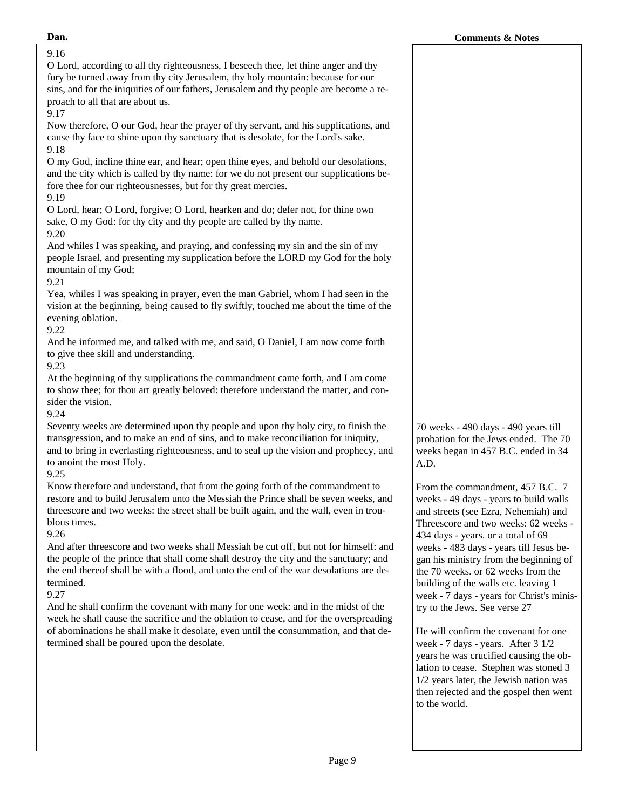#### **Dan.**

|                                                                                                                                                                                                                                                                                                         | $\sim$ ommunio et tiono                                                                                                                                                                                                                            |
|---------------------------------------------------------------------------------------------------------------------------------------------------------------------------------------------------------------------------------------------------------------------------------------------------------|----------------------------------------------------------------------------------------------------------------------------------------------------------------------------------------------------------------------------------------------------|
| 9.16                                                                                                                                                                                                                                                                                                    |                                                                                                                                                                                                                                                    |
| O Lord, according to all thy righteousness, I beseech thee, let thine anger and thy<br>fury be turned away from thy city Jerusalem, thy holy mountain: because for our<br>sins, and for the iniquities of our fathers, Jerusalem and thy people are become a re-                                        |                                                                                                                                                                                                                                                    |
| proach to all that are about us.<br>9.17                                                                                                                                                                                                                                                                |                                                                                                                                                                                                                                                    |
| Now therefore, O our God, hear the prayer of thy servant, and his supplications, and<br>cause thy face to shine upon thy sanctuary that is desolate, for the Lord's sake.<br>9.18                                                                                                                       |                                                                                                                                                                                                                                                    |
| O my God, incline thine ear, and hear; open thine eyes, and behold our desolations,<br>and the city which is called by thy name: for we do not present our supplications be-<br>fore thee for our righteousnesses, but for thy great mercies.                                                           |                                                                                                                                                                                                                                                    |
| 9.19<br>O Lord, hear; O Lord, forgive; O Lord, hearken and do; defer not, for thine own<br>sake, O my God: for thy city and thy people are called by thy name.<br>9.20                                                                                                                                  |                                                                                                                                                                                                                                                    |
| And whiles I was speaking, and praying, and confessing my sin and the sin of my<br>people Israel, and presenting my supplication before the LORD my God for the holy<br>mountain of my God;<br>9.21                                                                                                     |                                                                                                                                                                                                                                                    |
| Yea, whiles I was speaking in prayer, even the man Gabriel, whom I had seen in the<br>vision at the beginning, being caused to fly swiftly, touched me about the time of the<br>evening oblation.<br>9.22                                                                                               |                                                                                                                                                                                                                                                    |
| And he informed me, and talked with me, and said, O Daniel, I am now come forth<br>to give thee skill and understanding.<br>9.23                                                                                                                                                                        |                                                                                                                                                                                                                                                    |
| At the beginning of thy supplications the commandment came forth, and I am come<br>to show thee; for thou art greatly beloved: therefore understand the matter, and con-<br>sider the vision.<br>9.24                                                                                                   |                                                                                                                                                                                                                                                    |
| Seventy weeks are determined upon thy people and upon thy holy city, to finish the<br>transgression, and to make an end of sins, and to make reconciliation for iniquity,<br>and to bring in everlasting righteousness, and to seal up the vision and prophecy, and<br>to anoint the most Holy.<br>9.25 | 70 weeks - 490 days - 490 years till<br>probation for the Jews ended. The 70<br>weeks began in 457 B.C. ended in 34<br>A.D.                                                                                                                        |
| Know therefore and understand, that from the going forth of the commandment to<br>restore and to build Jerusalem unto the Messiah the Prince shall be seven weeks, and<br>threescore and two weeks: the street shall be built again, and the wall, even in trou-<br>blous times.                        | From the commandment, 457 B.C. 7<br>weeks - 49 days - years to build walls<br>and streets (see Ezra, Nehemiah) and<br>Threescore and two weeks: 62 weeks -                                                                                         |
| 9.26<br>And after threescore and two weeks shall Messiah be cut off, but not for himself: and<br>the people of the prince that shall come shall destroy the city and the sanctuary; and<br>the end thereof shall be with a flood, and unto the end of the war desolations are de-<br>termined.<br>9.27  | 434 days - years. or a total of 69<br>weeks - 483 days - years till Jesus be-<br>gan his ministry from the beginning of<br>the 70 weeks. or 62 weeks from the<br>building of the walls etc. leaving 1<br>week - 7 days - years for Christ's minis- |
| And he shall confirm the covenant with many for one week: and in the midst of the<br>week he shall cause the sacrifice and the oblation to cease, and for the overspreading<br>of abominations he shall make it desolate, even until the consummation, and that de-                                     | try to the Jews. See verse 27<br>He will confirm the covenant for one                                                                                                                                                                              |
| termined shall be poured upon the desolate.                                                                                                                                                                                                                                                             | week - 7 days - years. After 3 1/2<br>years he was crucified causing the ob-<br>lation to cease. Stephen was stoned 3<br>1/2 years later, the Jewish nation was<br>then rejected and the gospel then went<br>to the world.                         |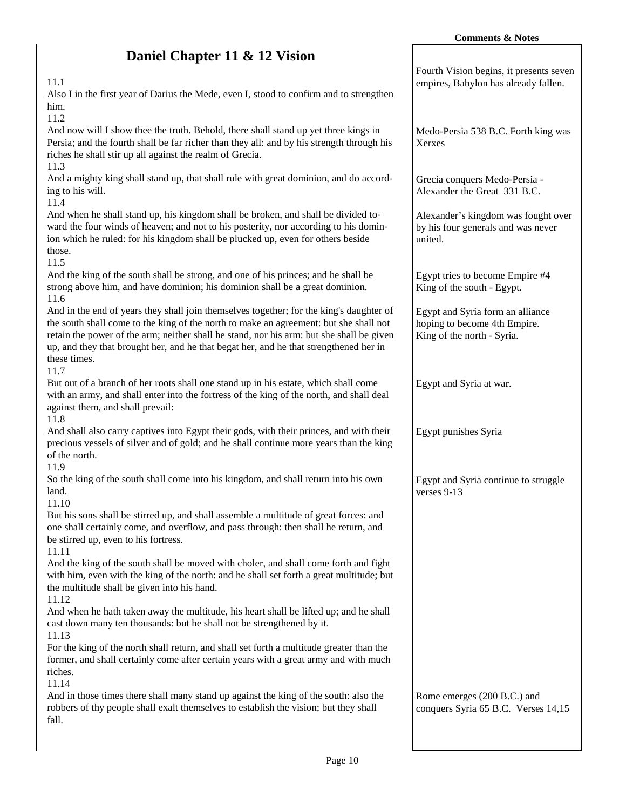| Daniel Chapter 11 & 12 Vision                                                                                                                                                                                                                                                                                                                                                                 |                                                                                                |
|-----------------------------------------------------------------------------------------------------------------------------------------------------------------------------------------------------------------------------------------------------------------------------------------------------------------------------------------------------------------------------------------------|------------------------------------------------------------------------------------------------|
| 11.1                                                                                                                                                                                                                                                                                                                                                                                          | Fourth Vision begins, it presents seven<br>empires, Babylon has already fallen.                |
| Also I in the first year of Darius the Mede, even I, stood to confirm and to strengthen<br>him.<br>11.2                                                                                                                                                                                                                                                                                       |                                                                                                |
| And now will I show thee the truth. Behold, there shall stand up yet three kings in<br>Persia; and the fourth shall be far richer than they all: and by his strength through his<br>riches he shall stir up all against the realm of Grecia.<br>11.3                                                                                                                                          | Medo-Persia 538 B.C. Forth king was<br>Xerxes                                                  |
| And a mighty king shall stand up, that shall rule with great dominion, and do accord-<br>ing to his will.<br>11.4                                                                                                                                                                                                                                                                             | Grecia conquers Medo-Persia -<br>Alexander the Great 331 B.C.                                  |
| And when he shall stand up, his kingdom shall be broken, and shall be divided to-<br>ward the four winds of heaven; and not to his posterity, nor according to his domin-<br>ion which he ruled: for his kingdom shall be plucked up, even for others beside<br>those.<br>11.5                                                                                                                | Alexander's kingdom was fought over<br>by his four generals and was never<br>united.           |
| And the king of the south shall be strong, and one of his princes; and he shall be<br>strong above him, and have dominion; his dominion shall be a great dominion.<br>11.6                                                                                                                                                                                                                    | Egypt tries to become Empire #4<br>King of the south - Egypt.                                  |
| And in the end of years they shall join themselves together; for the king's daughter of<br>the south shall come to the king of the north to make an agreement: but she shall not<br>retain the power of the arm; neither shall he stand, nor his arm: but she shall be given<br>up, and they that brought her, and he that begat her, and he that strengthened her in<br>these times.<br>11.7 | Egypt and Syria form an alliance<br>hoping to become 4th Empire.<br>King of the north - Syria. |
| But out of a branch of her roots shall one stand up in his estate, which shall come<br>with an army, and shall enter into the fortress of the king of the north, and shall deal<br>against them, and shall prevail:<br>11.8                                                                                                                                                                   | Egypt and Syria at war.                                                                        |
| And shall also carry captives into Egypt their gods, with their princes, and with their<br>precious vessels of silver and of gold; and he shall continue more years than the king<br>of the north.<br>11.9                                                                                                                                                                                    | Egypt punishes Syria                                                                           |
| So the king of the south shall come into his kingdom, and shall return into his own<br>land.<br>11.10                                                                                                                                                                                                                                                                                         | Egypt and Syria continue to struggle<br>verses 9-13                                            |
| But his sons shall be stirred up, and shall assemble a multitude of great forces: and<br>one shall certainly come, and overflow, and pass through: then shall he return, and<br>be stirred up, even to his fortress.<br>11.11                                                                                                                                                                 |                                                                                                |
| And the king of the south shall be moved with choler, and shall come forth and fight<br>with him, even with the king of the north: and he shall set forth a great multitude; but<br>the multitude shall be given into his hand.<br>11.12                                                                                                                                                      |                                                                                                |
| And when he hath taken away the multitude, his heart shall be lifted up; and he shall<br>cast down many ten thousands: but he shall not be strengthened by it.<br>11.13                                                                                                                                                                                                                       |                                                                                                |
| For the king of the north shall return, and shall set forth a multitude greater than the<br>former, and shall certainly come after certain years with a great army and with much<br>riches.<br>11.14                                                                                                                                                                                          |                                                                                                |
| And in those times there shall many stand up against the king of the south: also the<br>robbers of thy people shall exalt themselves to establish the vision; but they shall<br>fall.                                                                                                                                                                                                         | Rome emerges (200 B.C.) and<br>conquers Syria 65 B.C. Verses 14,15                             |

#### **Comments & Notes**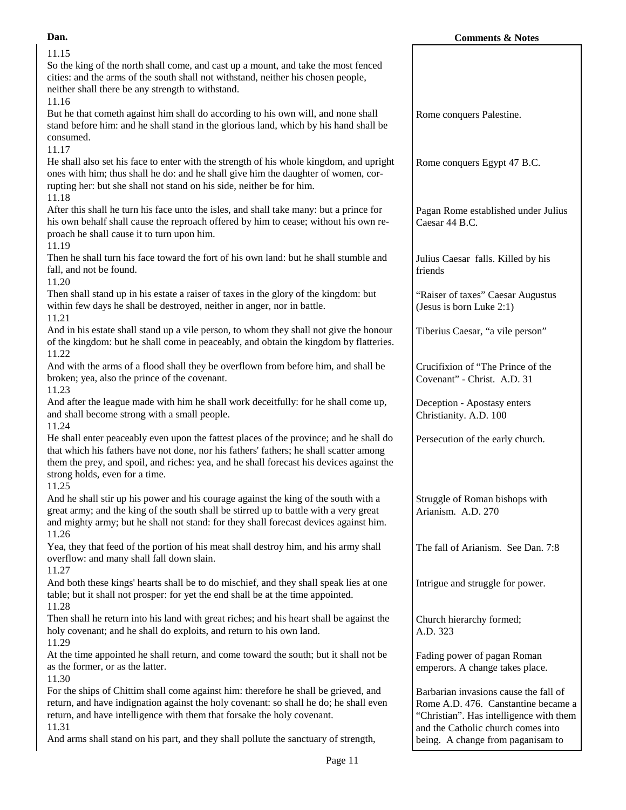| Dan.                                                                                                                                                                                                                                                                                                                    | <b>Comments &amp; Notes</b>                                                                                                                                   |
|-------------------------------------------------------------------------------------------------------------------------------------------------------------------------------------------------------------------------------------------------------------------------------------------------------------------------|---------------------------------------------------------------------------------------------------------------------------------------------------------------|
| 11.15<br>So the king of the north shall come, and cast up a mount, and take the most fenced<br>cities: and the arms of the south shall not withstand, neither his chosen people,<br>neither shall there be any strength to withstand.<br>11.16                                                                          |                                                                                                                                                               |
| But he that cometh against him shall do according to his own will, and none shall<br>stand before him: and he shall stand in the glorious land, which by his hand shall be<br>consumed.<br>11.17                                                                                                                        | Rome conquers Palestine.                                                                                                                                      |
| He shall also set his face to enter with the strength of his whole kingdom, and upright<br>ones with him; thus shall he do: and he shall give him the daughter of women, cor-<br>rupting her: but she shall not stand on his side, neither be for him.<br>11.18                                                         | Rome conquers Egypt 47 B.C.                                                                                                                                   |
| After this shall he turn his face unto the isles, and shall take many: but a prince for<br>his own behalf shall cause the reproach offered by him to cease; without his own re-<br>proach he shall cause it to turn upon him.<br>11.19                                                                                  | Pagan Rome established under Julius<br>Caesar 44 B.C.                                                                                                         |
| Then he shall turn his face toward the fort of his own land: but he shall stumble and<br>fall, and not be found.<br>11.20                                                                                                                                                                                               | Julius Caesar falls. Killed by his<br>friends                                                                                                                 |
| Then shall stand up in his estate a raiser of taxes in the glory of the kingdom: but<br>within few days he shall be destroyed, neither in anger, nor in battle.<br>11.21                                                                                                                                                | "Raiser of taxes" Caesar Augustus<br>(Jesus is born Luke 2:1)                                                                                                 |
| And in his estate shall stand up a vile person, to whom they shall not give the honour<br>of the kingdom: but he shall come in peaceably, and obtain the kingdom by flatteries.<br>11.22                                                                                                                                | Tiberius Caesar, "a vile person"                                                                                                                              |
| And with the arms of a flood shall they be overflown from before him, and shall be<br>broken; yea, also the prince of the covenant.<br>11.23                                                                                                                                                                            | Crucifixion of "The Prince of the<br>Covenant" - Christ. A.D. 31                                                                                              |
| And after the league made with him he shall work deceitfully: for he shall come up,<br>and shall become strong with a small people.<br>11.24                                                                                                                                                                            | Deception - Apostasy enters<br>Christianity. A.D. 100                                                                                                         |
| He shall enter peaceably even upon the fattest places of the province; and he shall do<br>that which his fathers have not done, nor his fathers' fathers; he shall scatter among<br>them the prey, and spoil, and riches: yea, and he shall forecast his devices against the<br>strong holds, even for a time.<br>11.25 | Persecution of the early church.                                                                                                                              |
| And he shall stir up his power and his courage against the king of the south with a<br>great army; and the king of the south shall be stirred up to battle with a very great<br>and mighty army; but he shall not stand: for they shall forecast devices against him.<br>11.26                                          | Struggle of Roman bishops with<br>Arianism. A.D. 270                                                                                                          |
| Yea, they that feed of the portion of his meat shall destroy him, and his army shall<br>overflow: and many shall fall down slain.<br>11.27                                                                                                                                                                              | The fall of Arianism. See Dan. 7:8                                                                                                                            |
| And both these kings' hearts shall be to do mischief, and they shall speak lies at one<br>table; but it shall not prosper: for yet the end shall be at the time appointed.<br>11.28                                                                                                                                     | Intrigue and struggle for power.                                                                                                                              |
| Then shall he return into his land with great riches; and his heart shall be against the<br>holy covenant; and he shall do exploits, and return to his own land.<br>11.29                                                                                                                                               | Church hierarchy formed;<br>A.D. 323                                                                                                                          |
| At the time appointed he shall return, and come toward the south; but it shall not be<br>as the former, or as the latter.<br>11.30                                                                                                                                                                                      | Fading power of pagan Roman<br>emperors. A change takes place.                                                                                                |
| For the ships of Chittim shall come against him: therefore he shall be grieved, and<br>return, and have indignation against the holy covenant: so shall he do; he shall even<br>return, and have intelligence with them that forsake the holy covenant.<br>11.31                                                        | Barbarian invasions cause the fall of<br>Rome A.D. 476. Canstantine became a<br>"Christian". Has intelligence with them<br>and the Catholic church comes into |
| And arms shall stand on his part, and they shall pollute the sanctuary of strength,                                                                                                                                                                                                                                     | being. A change from paganisam to                                                                                                                             |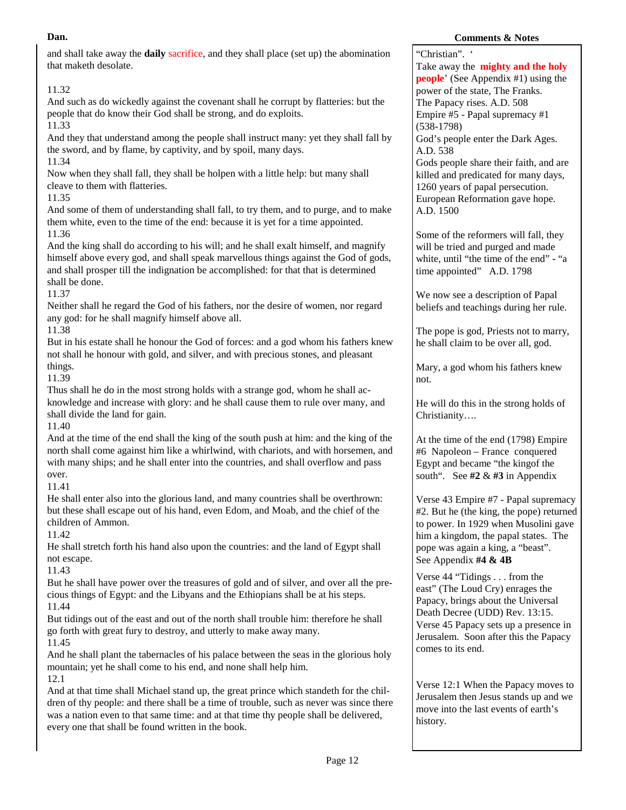#### **Dan.**

and shall take away the **daily** sacrifice, and they shall place (set up) the abomination that maketh desolate.

#### 11.32

And such as do wickedly against the covenant shall he corrupt by flatteries: but the people that do know their God shall be strong, and do exploits. 11.33

And they that understand among the people shall instruct many: yet they shall fall by the sword, and by flame, by captivity, and by spoil, many days.

11.34

Now when they shall fall, they shall be holpen with a little help: but many shall cleave to them with flatteries.

#### 11.35

And some of them of understanding shall fall, to try them, and to purge, and to make them white, even to the time of the end: because it is yet for a time appointed. 11.36

And the king shall do according to his will; and he shall exalt himself, and magnify himself above every god, and shall speak marvellous things against the God of gods, and shall prosper till the indignation be accomplished: for that that is determined shall be done.

11.37

Neither shall he regard the God of his fathers, nor the desire of women, nor regard any god: for he shall magnify himself above all.

11.38

But in his estate shall he honour the God of forces: and a god whom his fathers knew not shall he honour with gold, and silver, and with precious stones, and pleasant things.

11.39

Thus shall he do in the most strong holds with a strange god, whom he shall acknowledge and increase with glory: and he shall cause them to rule over many, and shall divide the land for gain.

11.40

And at the time of the end shall the king of the south push at him: and the king of the north shall come against him like a whirlwind, with chariots, and with horsemen, and with many ships; and he shall enter into the countries, and shall overflow and pass over.

11.41

He shall enter also into the glorious land, and many countries shall be overthrown: but these shall escape out of his hand, even Edom, and Moab, and the chief of the children of Ammon.

11.42

He shall stretch forth his hand also upon the countries: and the land of Egypt shall not escape.

11.43

But he shall have power over the treasures of gold and of silver, and over all the precious things of Egypt: and the Libyans and the Ethiopians shall be at his steps. 11.44

But tidings out of the east and out of the north shall trouble him: therefore he shall go forth with great fury to destroy, and utterly to make away many. 11.45

And he shall plant the tabernacles of his palace between the seas in the glorious holy mountain; yet he shall come to his end, and none shall help him.

12.1

And at that time shall Michael stand up, the great prince which standeth for the children of thy people: and there shall be a time of trouble, such as never was since there was a nation even to that same time: and at that time thy people shall be delivered, every one that shall be found written in the book.

#### **Comments & Notes**

"Christian". ' Take away the **mighty and the holy people**' (See Appendix #1) using the power of the state, The Franks. The Papacy rises. A.D. 508 Empire #5 - Papal supremacy #1 (538-1798) God's people enter the Dark Ages. A.D. 538 Gods people share their faith, and are killed and predicated for many days, 1260 years of papal persecution. European Reformation gave hope.

A.D. 1500

Some of the reformers will fall, they will be tried and purged and made white, until "the time of the end" - "a time appointed" A.D. 1798

We now see a description of Papal beliefs and teachings during her rule.

The pope is god, Priests not to marry, he shall claim to be over all, god.

Mary, a god whom his fathers knew not.

He will do this in the strong holds of Christianity….

At the time of the end (1798) Empire #6 Napoleon – France conquered Egypt and became "the kingof the south". See **#2** & **#3** in Appendix

Verse 43 Empire #7 - Papal supremacy #2. But he (the king, the pope) returned to power. In 1929 when Musolini gave him a kingdom, the papal states. The pope was again a king, a "beast". See Appendix **#4 & 4B**

Verse 44 "Tidings . . . from the east" (The Loud Cry) enrages the Papacy, brings about the Universal Death Decree (UDD) Rev. 13:15. Verse 45 Papacy sets up a presence in Jerusalem. Soon after this the Papacy comes to its end.

Verse 12:1 When the Papacy moves to Jerusalem then Jesus stands up and we move into the last events of earth's history.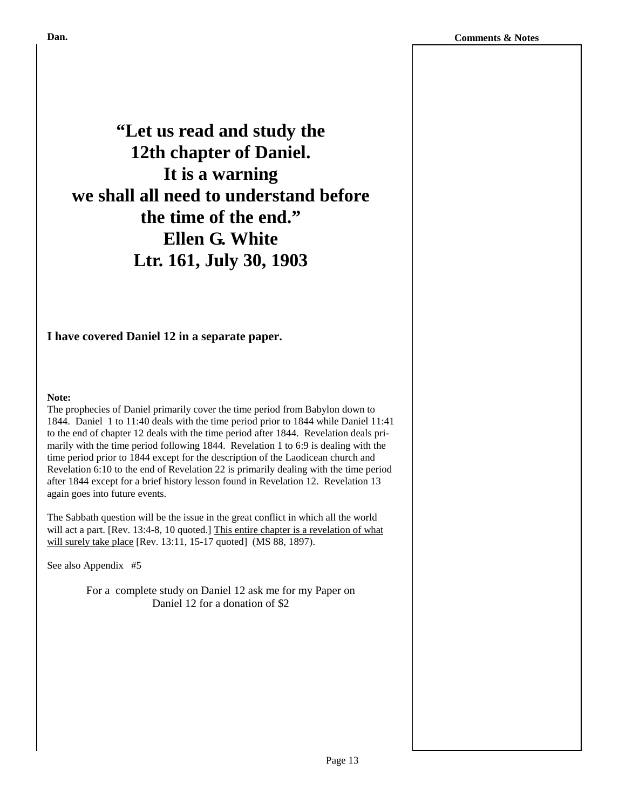**"Let us read and study the 12th chapter of Daniel. It is a warning we shall all need to understand before the time of the end." Ellen G. White Ltr. 161, July 30, 1903** 

**I have covered Daniel 12 in a separate paper.** 

#### **Note:**

The prophecies of Daniel primarily cover the time period from Babylon down to 1844. Daniel 1 to 11:40 deals with the time period prior to 1844 while Daniel 11:41 to the end of chapter 12 deals with the time period after 1844. Revelation deals primarily with the time period following 1844. Revelation 1 to 6:9 is dealing with the time period prior to 1844 except for the description of the Laodicean church and Revelation 6:10 to the end of Revelation 22 is primarily dealing with the time period after 1844 except for a brief history lesson found in Revelation 12. Revelation 13 again goes into future events.

The Sabbath question will be the issue in the great conflict in which all the world will act a part. [Rev. 13:4-8, 10 quoted.] This entire chapter is a revelation of what will surely take place [Rev. 13:11, 15-17 quoted] (MS 88, 1897).

See also Appendix #5

For a complete study on Daniel 12 ask me for my Paper on Daniel 12 for a donation of \$2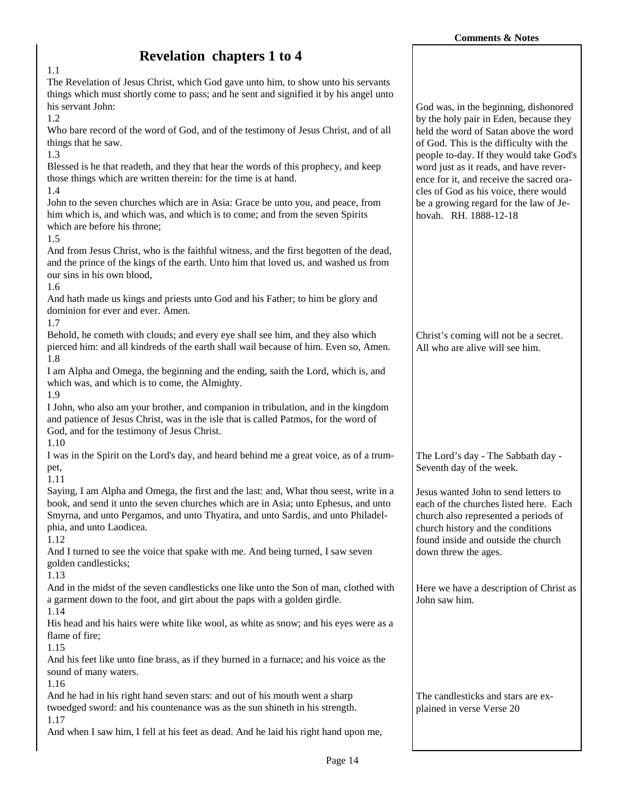### **Revelation chapters 1 to 4**

| 1.1                                                                                                                                                                                               |                                                                           |
|---------------------------------------------------------------------------------------------------------------------------------------------------------------------------------------------------|---------------------------------------------------------------------------|
| The Revelation of Jesus Christ, which God gave unto him, to show unto his servants<br>things which must shortly come to pass; and he sent and signified it by his angel unto<br>his servant John: | God was, in the beginning, dishonored                                     |
| 1.2                                                                                                                                                                                               | by the holy pair in Eden, because they                                    |
| Who bare record of the word of God, and of the testimony of Jesus Christ, and of all                                                                                                              | held the word of Satan above the word                                     |
| things that he saw.                                                                                                                                                                               | of God. This is the difficulty with the                                   |
| 1.3                                                                                                                                                                                               | people to-day. If they would take God's                                   |
| Blessed is he that readeth, and they that hear the words of this prophecy, and keep                                                                                                               | word just as it reads, and have rever-                                    |
| those things which are written therein: for the time is at hand.                                                                                                                                  | ence for it, and receive the sacred ora-                                  |
| 1.4                                                                                                                                                                                               | cles of God as his voice, there would                                     |
| John to the seven churches which are in Asia: Grace be unto you, and peace, from                                                                                                                  | be a growing regard for the law of Je-                                    |
| him which is, and which was, and which is to come; and from the seven Spirits                                                                                                                     | hovah. RH. 1888-12-18                                                     |
| which are before his throne;<br>1.5                                                                                                                                                               |                                                                           |
| And from Jesus Christ, who is the faithful witness, and the first begotten of the dead,                                                                                                           |                                                                           |
| and the prince of the kings of the earth. Unto him that loved us, and washed us from                                                                                                              |                                                                           |
| our sins in his own blood,                                                                                                                                                                        |                                                                           |
| 1.6                                                                                                                                                                                               |                                                                           |
| And hath made us kings and priests unto God and his Father; to him be glory and                                                                                                                   |                                                                           |
| dominion for ever and ever. Amen.                                                                                                                                                                 |                                                                           |
| 1.7                                                                                                                                                                                               |                                                                           |
| Behold, he cometh with clouds; and every eye shall see him, and they also which                                                                                                                   | Christ's coming will not be a secret.                                     |
| pierced him: and all kindreds of the earth shall wail because of him. Even so, Amen.                                                                                                              | All who are alive will see him.                                           |
| 1.8                                                                                                                                                                                               |                                                                           |
| I am Alpha and Omega, the beginning and the ending, saith the Lord, which is, and<br>which was, and which is to come, the Almighty.                                                               |                                                                           |
| 1.9                                                                                                                                                                                               |                                                                           |
| I John, who also am your brother, and companion in tribulation, and in the kingdom                                                                                                                |                                                                           |
| and patience of Jesus Christ, was in the isle that is called Patmos, for the word of                                                                                                              |                                                                           |
| God, and for the testimony of Jesus Christ.                                                                                                                                                       |                                                                           |
| 1.10                                                                                                                                                                                              |                                                                           |
| I was in the Spirit on the Lord's day, and heard behind me a great voice, as of a trum-                                                                                                           | The Lord's day - The Sabbath day -                                        |
| pet,                                                                                                                                                                                              | Seventh day of the week.                                                  |
| 1.11                                                                                                                                                                                              |                                                                           |
| Saying, I am Alpha and Omega, the first and the last: and, What thou seest, write in a                                                                                                            | Jesus wanted John to send letters to                                      |
| book, and send it unto the seven churches which are in Asia; unto Ephesus, and unto<br>Smyrna, and unto Pergamos, and unto Thyatira, and unto Sardis, and unto Philadel-                          | each of the churches listed here. Each                                    |
| phia, and unto Laodicea.                                                                                                                                                                          | church also represented a periods of<br>church history and the conditions |
| 1.12                                                                                                                                                                                              | found inside and outside the church                                       |
| And I turned to see the voice that spake with me. And being turned, I saw seven                                                                                                                   | down threw the ages.                                                      |
| golden candlesticks;                                                                                                                                                                              |                                                                           |
| 1.13                                                                                                                                                                                              |                                                                           |
| And in the midst of the seven candlesticks one like unto the Son of man, clothed with                                                                                                             | Here we have a description of Christ as                                   |
| a garment down to the foot, and girt about the paps with a golden girdle.                                                                                                                         | John saw him.                                                             |
| 1.14                                                                                                                                                                                              |                                                                           |
| His head and his hairs were white like wool, as white as snow; and his eyes were as a                                                                                                             |                                                                           |
| flame of fire;                                                                                                                                                                                    |                                                                           |
| 1.15<br>And his feet like unto fine brass, as if they burned in a furnace; and his voice as the                                                                                                   |                                                                           |
| sound of many waters.                                                                                                                                                                             |                                                                           |
| 1.16                                                                                                                                                                                              |                                                                           |
| And he had in his right hand seven stars: and out of his mouth went a sharp                                                                                                                       | The candlesticks and stars are ex-                                        |
| twoedged sword: and his countenance was as the sun shineth in his strength.                                                                                                                       | plained in verse Verse 20                                                 |
| 1.17                                                                                                                                                                                              |                                                                           |
| And when I saw him, I fell at his feet as dead. And he laid his right hand upon me,                                                                                                               |                                                                           |
|                                                                                                                                                                                                   |                                                                           |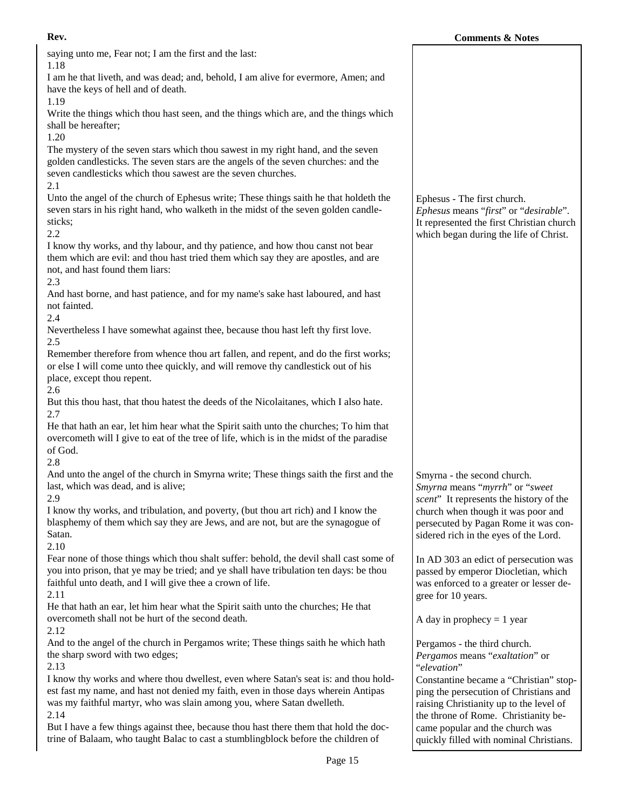| Rev.                                                                                                                                                                                                                                                         | <b>Comments &amp; Notes</b>                                                                                                                                         |
|--------------------------------------------------------------------------------------------------------------------------------------------------------------------------------------------------------------------------------------------------------------|---------------------------------------------------------------------------------------------------------------------------------------------------------------------|
| saying unto me, Fear not; I am the first and the last:<br>1.18                                                                                                                                                                                               |                                                                                                                                                                     |
| I am he that liveth, and was dead; and, behold, I am alive for evermore, Amen; and<br>have the keys of hell and of death.<br>1.19                                                                                                                            |                                                                                                                                                                     |
| Write the things which thou hast seen, and the things which are, and the things which<br>shall be hereafter;<br>1.20                                                                                                                                         |                                                                                                                                                                     |
| The mystery of the seven stars which thou sawest in my right hand, and the seven<br>golden candlesticks. The seven stars are the angels of the seven churches: and the<br>seven candlesticks which thou sawest are the seven churches.<br>2.1                |                                                                                                                                                                     |
| Unto the angel of the church of Ephesus write; These things saith he that holdeth the<br>seven stars in his right hand, who walketh in the midst of the seven golden candle-<br>sticks;<br>2.2                                                               | Ephesus - The first church.<br>Ephesus means "first" or "desirable".<br>It represented the first Christian church<br>which began during the life of Christ.         |
| I know thy works, and thy labour, and thy patience, and how thou canst not bear<br>them which are evil: and thou hast tried them which say they are apostles, and are<br>not, and hast found them liars:<br>2.3                                              |                                                                                                                                                                     |
| And hast borne, and hast patience, and for my name's sake hast laboured, and hast<br>not fainted.                                                                                                                                                            |                                                                                                                                                                     |
| 2.4<br>Nevertheless I have somewhat against thee, because thou hast left thy first love.<br>2.5                                                                                                                                                              |                                                                                                                                                                     |
| Remember therefore from whence thou art fallen, and repent, and do the first works;<br>or else I will come unto thee quickly, and will remove thy candlestick out of his<br>place, except thou repent.<br>2.6                                                |                                                                                                                                                                     |
| But this thou hast, that thou hatest the deeds of the Nicolaitanes, which I also hate.<br>2.7                                                                                                                                                                |                                                                                                                                                                     |
| He that hath an ear, let him hear what the Spirit saith unto the churches; To him that<br>overcometh will I give to eat of the tree of life, which is in the midst of the paradise<br>of God.<br>2.8                                                         |                                                                                                                                                                     |
| And unto the angel of the church in Smyrna write; These things saith the first and the<br>last, which was dead, and is alive;<br>2.9                                                                                                                         | Smyrna - the second church.<br>Smyrna means "myrrh" or "sweet<br>scent" It represents the history of the                                                            |
| I know thy works, and tribulation, and poverty, (but thou art rich) and I know the<br>blasphemy of them which say they are Jews, and are not, but are the synagogue of<br>Satan.                                                                             | church when though it was poor and<br>persecuted by Pagan Rome it was con-<br>sidered rich in the eyes of the Lord.                                                 |
| 2.10<br>Fear none of those things which thou shalt suffer: behold, the devil shall cast some of<br>you into prison, that ye may be tried; and ye shall have tribulation ten days: be thou<br>faithful unto death, and I will give thee a crown of life.      | In AD 303 an edict of persecution was<br>passed by emperor Diocletian, which<br>was enforced to a greater or lesser de-                                             |
| 2.11<br>He that hath an ear, let him hear what the Spirit saith unto the churches; He that                                                                                                                                                                   | gree for 10 years.                                                                                                                                                  |
| overcometh shall not be hurt of the second death.<br>2.12                                                                                                                                                                                                    | A day in prophecy $= 1$ year                                                                                                                                        |
| And to the angel of the church in Pergamos write; These things saith he which hath<br>the sharp sword with two edges;<br>2.13                                                                                                                                | Pergamos - the third church.<br>Pergamos means "exaltation" or<br>"elevation"                                                                                       |
| I know thy works and where thou dwellest, even where Satan's seat is: and thou hold-<br>est fast my name, and hast not denied my faith, even in those days wherein Antipas<br>was my faithful martyr, who was slain among you, where Satan dwelleth.<br>2.14 | Constantine became a "Christian" stop-<br>ping the persecution of Christians and<br>raising Christianity up to the level of<br>the throne of Rome. Christianity be- |
| But I have a few things against thee, because thou hast there them that hold the doc-<br>trine of Balaam, who taught Balac to cast a stumblingblock before the children of                                                                                   | came popular and the church was<br>quickly filled with nominal Christians.                                                                                          |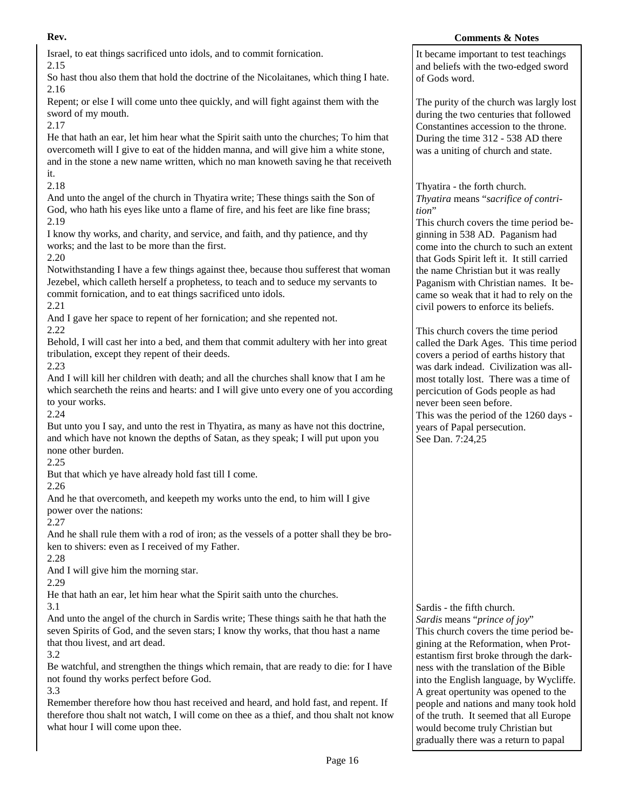| Rev.                                                                                                                                                                                                                                                                                                       | Com                                                                                      |
|------------------------------------------------------------------------------------------------------------------------------------------------------------------------------------------------------------------------------------------------------------------------------------------------------------|------------------------------------------------------------------------------------------|
| Israel, to eat things sacrificed unto idols, and to commit fornication.<br>2.15                                                                                                                                                                                                                            | It became imp<br>and beliefs wit                                                         |
| So hast thou also them that hold the doctrine of the Nicolaitanes, which thing I hate.<br>2.16                                                                                                                                                                                                             | of Gods word.                                                                            |
| Repent; or else I will come unto thee quickly, and will fight against them with the<br>sword of my mouth.<br>2.17                                                                                                                                                                                          | The purity of t<br>during the two<br>Constantines a                                      |
| He that hath an ear, let him hear what the Spirit saith unto the churches; To him that<br>overcometh will I give to eat of the hidden manna, and will give him a white stone,<br>and in the stone a new name written, which no man knoweth saving he that receiveth<br>it.                                 | During the tin<br>was a uniting                                                          |
| 2.18<br>And unto the angel of the church in Thyatira write; These things saith the Son of<br>God, who hath his eyes like unto a flame of fire, and his feet are like fine brass;<br>2.19                                                                                                                   | Thyatira - the<br>Thyatira mear<br>tion"<br>This church co                               |
| I know thy works, and charity, and service, and faith, and thy patience, and thy<br>works; and the last to be more than the first.<br>2.20                                                                                                                                                                 | ginning in 538<br>come into the<br>that Gods Spir                                        |
| Notwithstanding I have a few things against thee, because thou sufferest that woman<br>Jezebel, which calleth herself a prophetess, to teach and to seduce my servants to<br>commit fornication, and to eat things sacrificed unto idols.<br>2.21                                                          | the name Chri<br>Paganism with<br>came so weak<br>civil powers to                        |
| And I gave her space to repent of her fornication; and she repented not.<br>2.22<br>Behold, I will cast her into a bed, and them that commit adultery with her into great                                                                                                                                  | This church co<br>called the Dar                                                         |
| tribulation, except they repent of their deeds.<br>2.23<br>And I will kill her children with death; and all the churches shall know that I am he<br>which searcheth the reins and hearts: and I will give unto every one of you according<br>to your works.                                                | covers a perio<br>was dark indea<br>most totally lo<br>percicution of<br>never been see  |
| 2.24<br>But unto you I say, and unto the rest in Thyatira, as many as have not this doctrine,<br>and which have not known the depths of Satan, as they speak; I will put upon you<br>none other burden.                                                                                                    | This was the p<br>years of Papal<br>See Dan. 7:24                                        |
| 2.25<br>But that which ye have already hold fast till I come.<br>2.26                                                                                                                                                                                                                                      |                                                                                          |
| And he that overcometh, and keepeth my works unto the end, to him will I give<br>power over the nations:<br>2.27                                                                                                                                                                                           |                                                                                          |
| And he shall rule them with a rod of iron; as the vessels of a potter shall they be bro-<br>ken to shivers: even as I received of my Father.<br>2.28                                                                                                                                                       |                                                                                          |
| And I will give him the morning star.<br>2.29                                                                                                                                                                                                                                                              |                                                                                          |
| He that hath an ear, let him hear what the Spirit saith unto the churches.<br>3.1<br>And unto the angel of the church in Sardis write; These things saith he that hath the<br>seven Spirits of God, and the seven stars; I know thy works, that thou hast a name<br>that thou livest, and art dead.<br>3.2 | Sardis - the fif<br>Sardis means<br>This church co<br>gining at the R<br>estantism first |
| Be watchful, and strengthen the things which remain, that are ready to die: for I have                                                                                                                                                                                                                     | ness with the t                                                                          |

not found thy works perfect before God. 3.3

Remember therefore how thou hast received and heard, and hold fast, and repent. If therefore thou shalt not watch, I will come on thee as a thief, and thou shalt not know what hour I will come upon thee.

#### **Comments & Notes**

oortant to test teachings th the two-edged sword of Gods word.

the church was largly lost o centuries that followed accession to the throne. ne  $312 - 538$  AD there of church and state.

forth church. *Thyatira* means "*sacrifice of contri-*

overs the time period be-AD. Paganism had church to such an extent rit left it. It still carried istian but it was really h Christian names. It bethat it had to rely on the p enforce its beliefs.

overs the time period k Ages. This time period d of earths history that ad. Civilization was allost. There was a time of Gods people as had en before. eriod of the 1260 days persecution.  $,25$ 

#### fth church.

*Sardis* means "*prince of joy*" overs the time period be-Reformation, when Protbroke through the darktranslation of the Bible into the English language, by Wycliffe. A great opertunity was opened to the people and nations and many took hold of the truth. It seemed that all Europe would become truly Christian but gradually there was a return to papal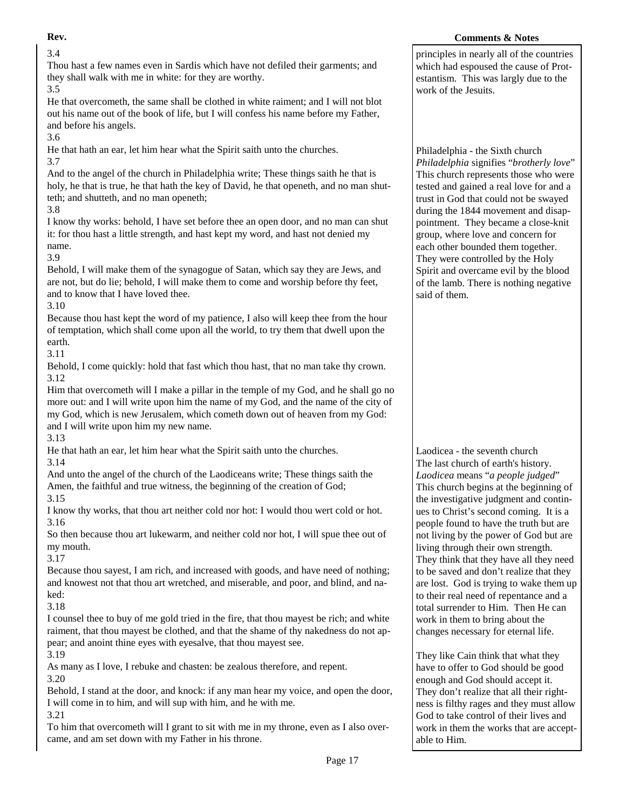#### 3.4

Thou hast a few names even in Sardis which have not defiled their garments; and they shall walk with me in white: for they are worthy.

3.5

He that overcometh, the same shall be clothed in white raiment; and I will not blot out his name out of the book of life, but I will confess his name before my Father, and before his angels.

3.6

He that hath an ear, let him hear what the Spirit saith unto the churches. 3.7

And to the angel of the church in Philadelphia write; These things saith he that is holy, he that is true, he that hath the key of David, he that openeth, and no man shutteth; and shutteth, and no man openeth;

3.8

I know thy works: behold, I have set before thee an open door, and no man can shut it: for thou hast a little strength, and hast kept my word, and hast not denied my name.

3.9

Behold, I will make them of the synagogue of Satan, which say they are Jews, and are not, but do lie; behold, I will make them to come and worship before thy feet, and to know that I have loved thee.

3.10

Because thou hast kept the word of my patience, I also will keep thee from the hour of temptation, which shall come upon all the world, to try them that dwell upon the earth.

3.11

Behold, I come quickly: hold that fast which thou hast, that no man take thy crown. 3.12

Him that overcometh will I make a pillar in the temple of my God, and he shall go no more out: and I will write upon him the name of my God, and the name of the city of my God, which is new Jerusalem, which cometh down out of heaven from my God: and I will write upon him my new name.

3.13

He that hath an ear, let him hear what the Spirit saith unto the churches.

3.14

And unto the angel of the church of the Laodiceans write; These things saith the Amen, the faithful and true witness, the beginning of the creation of God; 3.15

I know thy works, that thou art neither cold nor hot: I would thou wert cold or hot. 3.16

So then because thou art lukewarm, and neither cold nor hot, I will spue thee out of my mouth.

3.17

Because thou sayest, I am rich, and increased with goods, and have need of nothing; and knowest not that thou art wretched, and miserable, and poor, and blind, and naked:

3.18

I counsel thee to buy of me gold tried in the fire, that thou mayest be rich; and white raiment, that thou mayest be clothed, and that the shame of thy nakedness do not appear; and anoint thine eyes with eyesalve, that thou mayest see.

3.19

As many as I love, I rebuke and chasten: be zealous therefore, and repent. 3.20

Behold, I stand at the door, and knock: if any man hear my voice, and open the door, I will come in to him, and will sup with him, and he with me. 3.21

To him that overcometh will I grant to sit with me in my throne, even as I also overcame, and am set down with my Father in his throne.

#### **Comments & Notes**

principles in nearly all of the countries which had espoused the cause of Protestantism. This was largly due to the work of the Jesuits.

Philadelphia - the Sixth church *Philadelphia* signifies "*brotherly love*" This church represents those who were tested and gained a real love for and a trust in God that could not be swayed during the 1844 movement and disappointment. They became a close-knit group, where love and concern for each other bounded them together. They were controlled by the Holy Spirit and overcame evil by the blood of the lamb. There is nothing negative said of them.

Laodicea - the seventh church The last church of earth's history. *Laodicea* means "*a people judged*" This church begins at the beginning of the investigative judgment and continues to Christ's second coming. It is a people found to have the truth but are not living by the power of God but are living through their own strength. They think that they have all they need to be saved and don't realize that they are lost. God is trying to wake them up to their real need of repentance and a total surrender to Him. Then He can work in them to bring about the changes necessary for eternal life.

They like Cain think that what they have to offer to God should be good enough and God should accept it. They don't realize that all their rightness is filthy rages and they must allow God to take control of their lives and work in them the works that are acceptable to Him.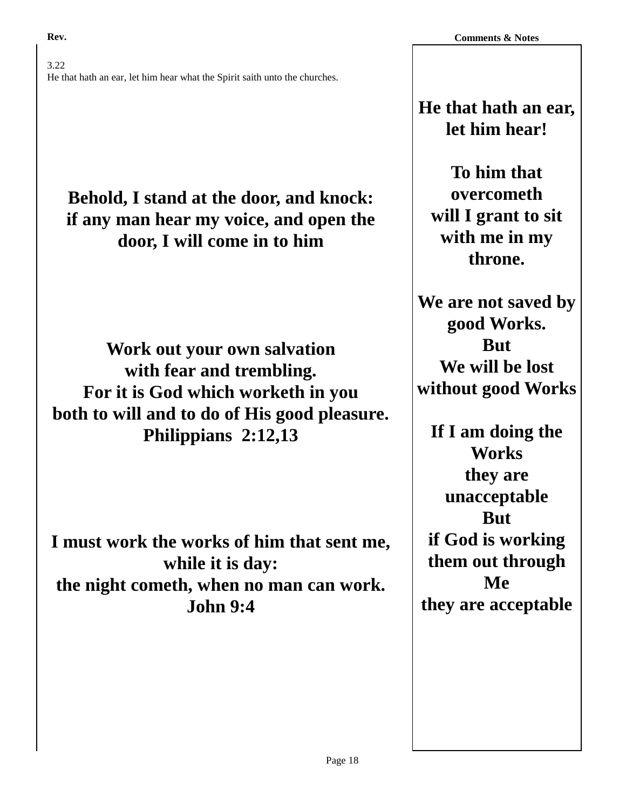3.22 He that hath an ear, let him hear what the Spirit saith unto the churches.

**Behold, I stand at the door, and knock: if any man hear my voice, and open the door, I will come in to him** 

**Work out your own salvation with fear and trembling. For it is God which worketh in you both to will and to do of His good pleasure. Philippians 2:12,13** 

**I must work the works of him that sent me, while it is day: the night cometh, when no man can work. John 9:4** 

**He that hath an ear, let him hear!** 

**To him that overcometh will I grant to sit with me in my throne.** 

**We are not saved by good Works. But We will be lost without good Works** 

**If I am doing the Works they are unacceptable But if God is working them out through Me they are acceptable**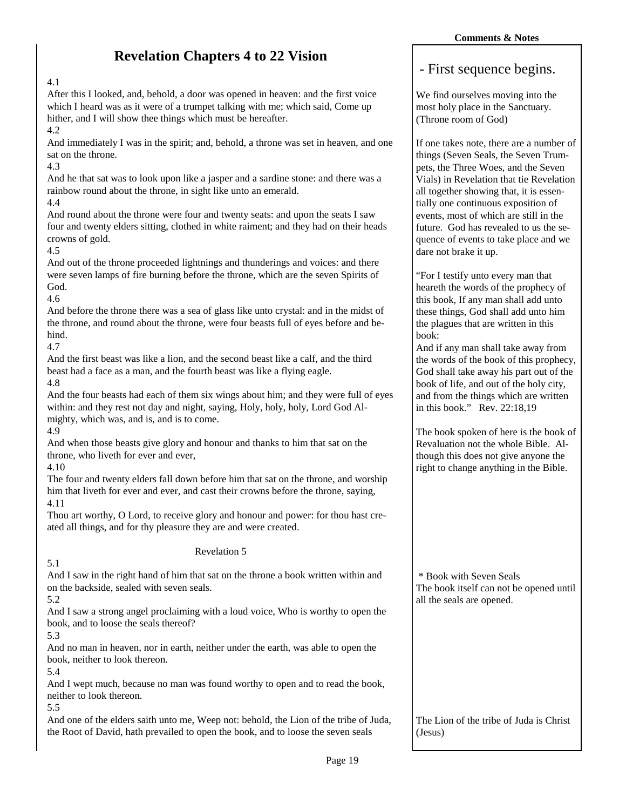#### **Revelation Chapters 4 to 22 Vision**

4.1

After this I looked, and, behold, a door was opened in heaven: and the first voice which I heard was as it were of a trumpet talking with me; which said, Come up hither, and I will show thee things which must be hereafter. 4.2 And immediately I was in the spirit; and, behold, a throne was set in heaven, and one sat on the throne. 4.3 And he that sat was to look upon like a jasper and a sardine stone: and there was a rainbow round about the throne, in sight like unto an emerald. 4.4 And round about the throne were four and twenty seats: and upon the seats I saw four and twenty elders sitting, clothed in white raiment; and they had on their heads crowns of gold. 4.5 And out of the throne proceeded lightnings and thunderings and voices: and there were seven lamps of fire burning before the throne, which are the seven Spirits of God. 4.6 And before the throne there was a sea of glass like unto crystal: and in the midst of the throne, and round about the throne, were four beasts full of eyes before and behind. 4.7 And the first beast was like a lion, and the second beast like a calf, and the third

beast had a face as a man, and the fourth beast was like a flying eagle. 4.8

And the four beasts had each of them six wings about him; and they were full of eyes within: and they rest not day and night, saying, Holy, holy, holy, Lord God Almighty, which was, and is, and is to come.

And when those beasts give glory and honour and thanks to him that sat on the throne, who liveth for ever and ever,

4.10

4.9

The four and twenty elders fall down before him that sat on the throne, and worship him that liveth for ever and ever, and cast their crowns before the throne, saying, 4.11

Thou art worthy, O Lord, to receive glory and honour and power: for thou hast created all things, and for thy pleasure they are and were created.

#### Revelation 5

And I saw in the right hand of him that sat on the throne a book written within and on the backside, sealed with seven seals.

5.2

5.1

And I saw a strong angel proclaiming with a loud voice, Who is worthy to open the book, and to loose the seals thereof?

5.3

And no man in heaven, nor in earth, neither under the earth, was able to open the book, neither to look thereon.

5.4

And I wept much, because no man was found worthy to open and to read the book, neither to look thereon.

5.5

And one of the elders saith unto me, Weep not: behold, the Lion of the tribe of Juda, the Root of David, hath prevailed to open the book, and to loose the seven seals

#### - First sequence begins.

We find ourselves moving into the most holy place in the Sanctuary. (Throne room of God)

If one takes note, there are a number of things (Seven Seals, the Seven Trumpets, the Three Woes, and the Seven Vials) in Revelation that tie Revelation all together showing that, it is essentially one continuous exposition of events, most of which are still in the future. God has revealed to us the sequence of events to take place and we dare not brake it up.

"For I testify unto every man that heareth the words of the prophecy of this book, If any man shall add unto these things, God shall add unto him the plagues that are written in this book:

And if any man shall take away from the words of the book of this prophecy, God shall take away his part out of the book of life, and out of the holy city, and from the things which are written in this book." Rev. 22:18,19

The book spoken of here is the book of Revaluation not the whole Bible. Although this does not give anyone the right to change anything in the Bible.

 \* Book with Seven Seals The book itself can not be opened until all the seals are opened.

The Lion of the tribe of Juda is Christ (Jesus)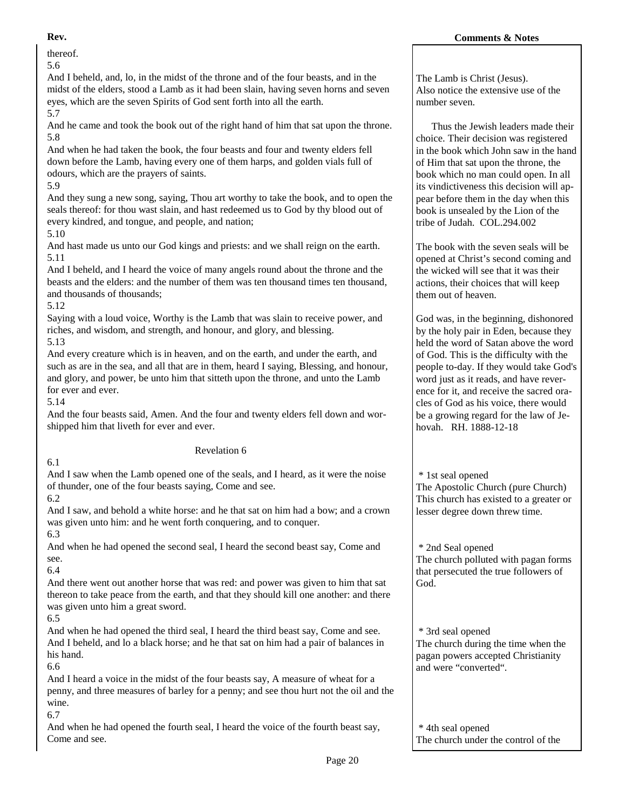thereof.

5.6

And I beheld, and, lo, in the midst of the throne and of the four beasts, and in the midst of the elders, stood a Lamb as it had been slain, having seven horns and seven eyes, which are the seven Spirits of God sent forth into all the earth. 5.7

And he came and took the book out of the right hand of him that sat upon the throne. 5.8

And when he had taken the book, the four beasts and four and twenty elders fell down before the Lamb, having every one of them harps, and golden vials full of odours, which are the prayers of saints.

5.9

And they sung a new song, saying, Thou art worthy to take the book, and to open the seals thereof: for thou wast slain, and hast redeemed us to God by thy blood out of every kindred, and tongue, and people, and nation;

5.10

And hast made us unto our God kings and priests: and we shall reign on the earth. 5.11

And I beheld, and I heard the voice of many angels round about the throne and the beasts and the elders: and the number of them was ten thousand times ten thousand, and thousands of thousands;

5.12

Saying with a loud voice, Worthy is the Lamb that was slain to receive power, and riches, and wisdom, and strength, and honour, and glory, and blessing.

5.13

And every creature which is in heaven, and on the earth, and under the earth, and such as are in the sea, and all that are in them, heard I saying, Blessing, and honour, and glory, and power, be unto him that sitteth upon the throne, and unto the Lamb for ever and ever.

5.14

And the four beasts said, Amen. And the four and twenty elders fell down and worshipped him that liveth for ever and ever.

#### Revelation 6

And I saw when the Lamb opened one of the seals, and I heard, as it were the noise of thunder, one of the four beasts saying, Come and see.

6.2

6.1

And I saw, and behold a white horse: and he that sat on him had a bow; and a crown was given unto him: and he went forth conquering, and to conquer.

6.3

And when he had opened the second seal, I heard the second beast say, Come and see.

6.4

And there went out another horse that was red: and power was given to him that sat thereon to take peace from the earth, and that they should kill one another: and there was given unto him a great sword.

6.5

And when he had opened the third seal, I heard the third beast say, Come and see. And I beheld, and lo a black horse; and he that sat on him had a pair of balances in his hand.

6.6

And I heard a voice in the midst of the four beasts say, A measure of wheat for a penny, and three measures of barley for a penny; and see thou hurt not the oil and the wine. 6.7

And when he had opened the fourth seal, I heard the voice of the fourth beast say, Come and see.

The Lamb is Christ (Jesus). Also notice the extensive use of the number seven.

 Thus the Jewish leaders made their choice. Their decision was registered in the book which John saw in the hand of Him that sat upon the throne, the book which no man could open. In all its vindictiveness this decision will appear before them in the day when this book is unsealed by the Lion of the tribe of Judah. COL.294.002

The book with the seven seals will be opened at Christ's second coming and the wicked will see that it was their actions, their choices that will keep them out of heaven.

God was, in the beginning, dishonored by the holy pair in Eden, because they held the word of Satan above the word of God. This is the difficulty with the people to-day. If they would take God's word just as it reads, and have reverence for it, and receive the sacred oracles of God as his voice, there would be a growing regard for the law of Jehovah. RH. 1888-12-18

 \* 1st seal opened The Apostolic Church (pure Church) This church has existed to a greater or lesser degree down threw time.

 \* 2nd Seal opened The church polluted with pagan forms that persecuted the true followers of God.

 \* 3rd seal opened The church during the time when the pagan powers accepted Christianity and were "converted".

 \* 4th seal opened The church under the control of the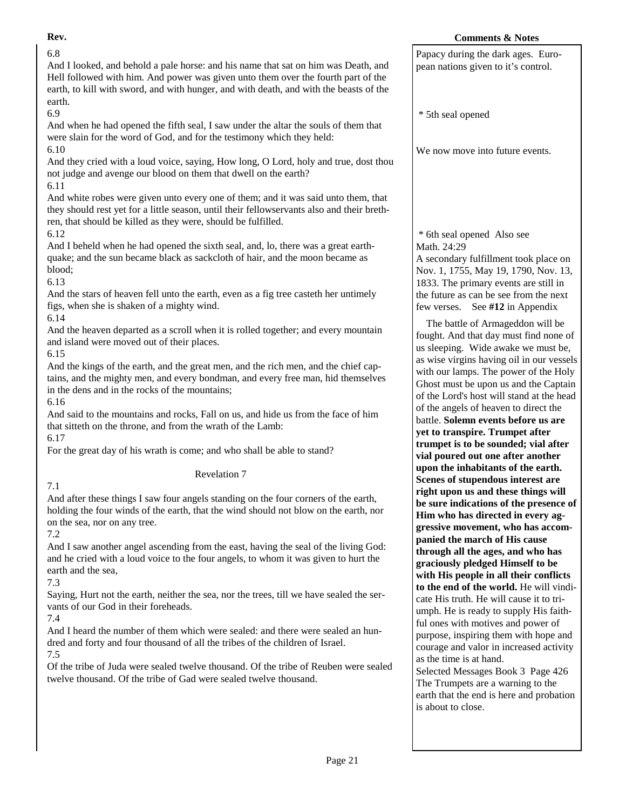And I looked, and behold a pale horse: and his name that sat on him was Death, and Hell followed with him. And power was given unto them over the fourth part of the earth, to kill with sword, and with hunger, and with death, and with the beasts of the earth.

6.9

6.8

**Rev.** 

And when he had opened the fifth seal, I saw under the altar the souls of them that were slain for the word of God, and for the testimony which they held: 6.10

And they cried with a loud voice, saying, How long, O Lord, holy and true, dost thou not judge and avenge our blood on them that dwell on the earth? 6.11

And white robes were given unto every one of them; and it was said unto them, that they should rest yet for a little season, until their fellowservants also and their brethren, that should be killed as they were, should be fulfilled.

6.12

And I beheld when he had opened the sixth seal, and, lo, there was a great earthquake; and the sun became black as sackcloth of hair, and the moon became as blood;

6.13

And the stars of heaven fell unto the earth, even as a fig tree casteth her untimely figs, when she is shaken of a mighty wind.

6.14

And the heaven departed as a scroll when it is rolled together; and every mountain and island were moved out of their places.

6.15

And the kings of the earth, and the great men, and the rich men, and the chief captains, and the mighty men, and every bondman, and every free man, hid themselves in the dens and in the rocks of the mountains;

6.16

And said to the mountains and rocks, Fall on us, and hide us from the face of him that sitteth on the throne, and from the wrath of the Lamb:

6.17

For the great day of his wrath is come; and who shall be able to stand?

7.1

#### Revelation 7

And after these things I saw four angels standing on the four corners of the earth, holding the four winds of the earth, that the wind should not blow on the earth, nor on the sea, nor on any tree.

#### 7.2

And I saw another angel ascending from the east, having the seal of the living God: and he cried with a loud voice to the four angels, to whom it was given to hurt the earth and the sea,

7.3

Saying, Hurt not the earth, neither the sea, nor the trees, till we have sealed the servants of our God in their foreheads.

7.4

And I heard the number of them which were sealed: and there were sealed an hundred and forty and four thousand of all the tribes of the children of Israel. 7.5

Of the tribe of Juda were sealed twelve thousand. Of the tribe of Reuben were sealed twelve thousand. Of the tribe of Gad were sealed twelve thousand.

#### **Comments & Notes**

Papacy during the dark ages. European nations given to it's control.

\* 5th seal opened

We now move into future events.

 \* 6th seal opened Also see Math. 24:29

A secondary fulfillment took place on Nov. 1, 1755, May 19, 1790, Nov. 13, 1833. The primary events are still in the future as can be see from the next few verses. See **#12** in Appendix

 The battle of Armageddon will be fought. And that day must find none of us sleeping. Wide awake we must be, as wise virgins having oil in our vessels with our lamps. The power of the Holy Ghost must be upon us and the Captain of the Lord's host will stand at the head of the angels of heaven to direct the battle. **Solemn events before us are yet to transpire. Trumpet after trumpet is to be sounded; vial after vial poured out one after another upon the inhabitants of the earth. Scenes of stupendous interest are right upon us and these things will be sure indications of the presence of Him who has directed in every aggressive movement, who has accompanied the march of His cause through all the ages, and who has graciously pledged Himself to be with His people in all their conflicts to the end of the world.** He will vindicate His truth. He will cause it to triumph. He is ready to supply His faithful ones with motives and power of purpose, inspiring them with hope and courage and valor in increased activity as the time is at hand.

Selected Messages Book 3 Page 426 The Trumpets are a warning to the earth that the end is here and probation is about to close.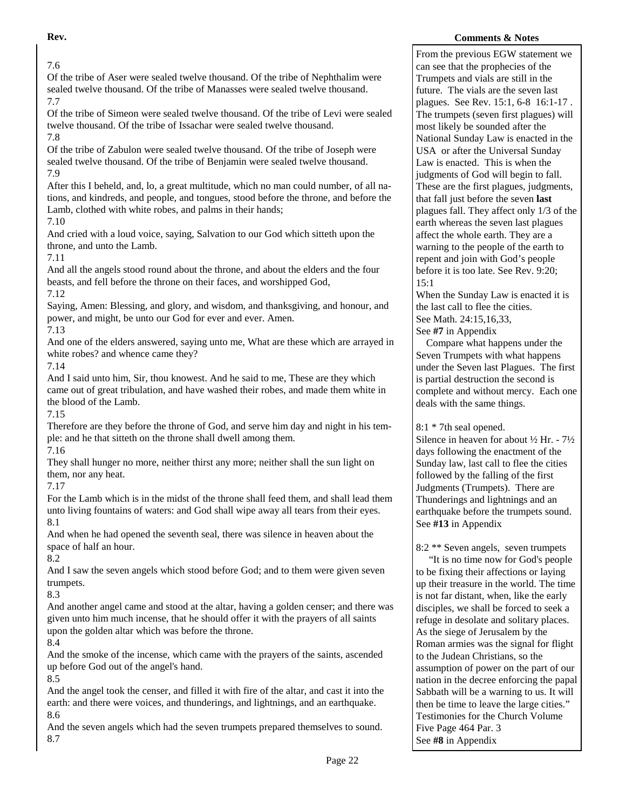# Of the tribe of Aser were sealed twelve thousand. Of the tribe of Nephthalim were sealed twelve thousand. Of the tribe of Manasses were sealed twelve thousand. Of the tribe of Simeon were sealed twelve thousand. Of the tribe of Levi were sealed twelve thousand. Of the tribe of Issachar were sealed twelve thousand. Of the tribe of Zabulon were sealed twelve thousand. Of the tribe of Joseph were sealed twelve thousand. Of the tribe of Benjamin were sealed twelve thousand. After this I beheld, and, lo, a great multitude, which no man could number, of all nations, and kindreds, and people, and tongues, stood before the throne, and before the Lamb, clothed with white robes, and palms in their hands;

And cried with a loud voice, saying, Salvation to our God which sitteth upon the throne, and unto the Lamb.

7.11 And all the angels stood round about the throne, and about the elders and the four

beasts, and fell before the throne on their faces, and worshipped God, 7.12

Saying, Amen: Blessing, and glory, and wisdom, and thanksgiving, and honour, and power, and might, be unto our God for ever and ever. Amen.

7.13

And one of the elders answered, saying unto me, What are these which are arrayed in white robes? and whence came they?

7.14

And I said unto him, Sir, thou knowest. And he said to me, These are they which came out of great tribulation, and have washed their robes, and made them white in the blood of the Lamb.

7.15

Therefore are they before the throne of God, and serve him day and night in his temple: and he that sitteth on the throne shall dwell among them.

7.16

They shall hunger no more, neither thirst any more; neither shall the sun light on them, nor any heat.

7.17

For the Lamb which is in the midst of the throne shall feed them, and shall lead them unto living fountains of waters: and God shall wipe away all tears from their eyes. 8.1

And when he had opened the seventh seal, there was silence in heaven about the space of half an hour.

8.2

And I saw the seven angels which stood before God; and to them were given seven trumpets.

8.3

And another angel came and stood at the altar, having a golden censer; and there was given unto him much incense, that he should offer it with the prayers of all saints upon the golden altar which was before the throne. 8.4

And the smoke of the incense, which came with the prayers of the saints, ascended up before God out of the angel's hand.

8.5

And the angel took the censer, and filled it with fire of the altar, and cast it into the earth: and there were voices, and thunderings, and lightnings, and an earthquake. 8.6

And the seven angels which had the seven trumpets prepared themselves to sound. 8.7

#### **Comments & Notes**

From the previous EGW statement we can see that the prophecies of the Trumpets and vials are still in the future. The vials are the seven last plagues. See Rev. 15:1, 6-8 16:1-17 . The trumpets (seven first plagues) will most likely be sounded after the National Sunday Law is enacted in the USA or after the Universal Sunday Law is enacted. This is when the judgments of God will begin to fall. These are the first plagues, judgments, that fall just before the seven **last** plagues fall. They affect only 1/3 of the earth whereas the seven last plagues affect the whole earth. They are a warning to the people of the earth to repent and join with God's people before it is too late. See Rev. 9:20; 15:1

When the Sunday Law is enacted it is the last call to flee the cities. See Math. 24:15,16,33, See **#7** in Appendix

 Compare what happens under the Seven Trumpets with what happens under the Seven last Plagues. The first is partial destruction the second is complete and without mercy. Each one deals with the same things.

8:1 \* 7th seal opened.

Silence in heaven for about ½ Hr. - 7½ days following the enactment of the Sunday law, last call to flee the cities followed by the falling of the first Judgments (Trumpets). There are Thunderings and lightnings and an earthquake before the trumpets sound. See **#13** in Appendix

8:2 \*\* Seven angels, seven trumpets

 "It is no time now for God's people to be fixing their affections or laying up their treasure in the world. The time is not far distant, when, like the early disciples, we shall be forced to seek a refuge in desolate and solitary places. As the siege of Jerusalem by the Roman armies was the signal for flight to the Judean Christians, so the assumption of power on the part of our nation in the decree enforcing the papal Sabbath will be a warning to us. It will then be time to leave the large cities." Testimonies for the Church Volume Five Page 464 Par. 3 See **#8** in Appendix

**Rev.** 

7.6

7.7

7.8

7.9

7.10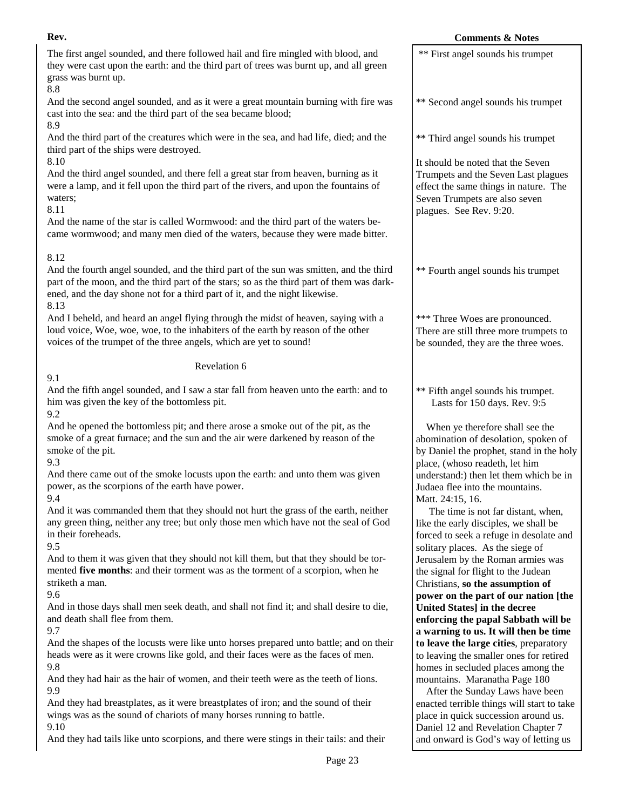#### **Comments & Notes**  \*\* First angel sounds his trumpet

The first angel sounded, and there followed hail and fire mingled with blood, and they were cast upon the earth: and the third part of trees was burnt up, and all green grass was burnt up.

8.8

And the second angel sounded, and as it were a great mountain burning with fire was cast into the sea: and the third part of the sea became blood; 8.9

And the third part of the creatures which were in the sea, and had life, died; and the third part of the ships were destroyed.

8.10

And the third angel sounded, and there fell a great star from heaven, burning as it were a lamp, and it fell upon the third part of the rivers, and upon the fountains of waters;

8.11

And the name of the star is called Wormwood: and the third part of the waters became wormwood; and many men died of the waters, because they were made bitter.

#### 8.12

And the fourth angel sounded, and the third part of the sun was smitten, and the third part of the moon, and the third part of the stars; so as the third part of them was darkened, and the day shone not for a third part of it, and the night likewise. 8.13

And I beheld, and heard an angel flying through the midst of heaven, saying with a loud voice, Woe, woe, woe, to the inhabiters of the earth by reason of the other voices of the trumpet of the three angels, which are yet to sound!

#### Revelation 6

And the fifth angel sounded, and I saw a star fall from heaven unto the earth: and to him was given the key of the bottomless pit.

9.2

9.1

And he opened the bottomless pit; and there arose a smoke out of the pit, as the smoke of a great furnace; and the sun and the air were darkened by reason of the smoke of the pit.

9.3

And there came out of the smoke locusts upon the earth: and unto them was given power, as the scorpions of the earth have power.

9.4

And it was commanded them that they should not hurt the grass of the earth, neither any green thing, neither any tree; but only those men which have not the seal of God in their foreheads.

9.5

And to them it was given that they should not kill them, but that they should be tormented **five months**: and their torment was as the torment of a scorpion, when he striketh a man.

9.6

And in those days shall men seek death, and shall not find it; and shall desire to die, and death shall flee from them.

9.7

And the shapes of the locusts were like unto horses prepared unto battle; and on their heads were as it were crowns like gold, and their faces were as the faces of men. 9.8

And they had hair as the hair of women, and their teeth were as the teeth of lions. 9.9

And they had breastplates, as it were breastplates of iron; and the sound of their wings was as the sound of chariots of many horses running to battle. 9.10

And they had tails like unto scorpions, and there were stings in their tails: and their

\*\* Second angel sounds his trumpet

\*\* Third angel sounds his trumpet

It should be noted that the Seven Trumpets and the Seven Last plagues effect the same things in nature. The Seven Trumpets are also seven plagues. See Rev. 9:20.

\*\* Fourth angel sounds his trumpet

\*\*\* Three Woes are pronounced. There are still three more trumpets to be sounded, they are the three woes.

\*\* Fifth angel sounds his trumpet. Lasts for 150 days. Rev. 9:5

 When ye therefore shall see the abomination of desolation, spoken of by Daniel the prophet, stand in the holy place, (whoso readeth, let him understand:) then let them which be in Judaea flee into the mountains. Matt. 24:15, 16.

 The time is not far distant, when, like the early disciples, we shall be forced to seek a refuge in desolate and solitary places. As the siege of Jerusalem by the Roman armies was the signal for flight to the Judean Christians, **so the assumption of power on the part of our nation [the United States] in the decree enforcing the papal Sabbath will be a warning to us. It will then be time to leave the large cities**, preparatory to leaving the smaller ones for retired homes in secluded places among the mountains. Maranatha Page 180

 After the Sunday Laws have been enacted terrible things will start to take place in quick succession around us. Daniel 12 and Revelation Chapter 7 and onward is God's way of letting us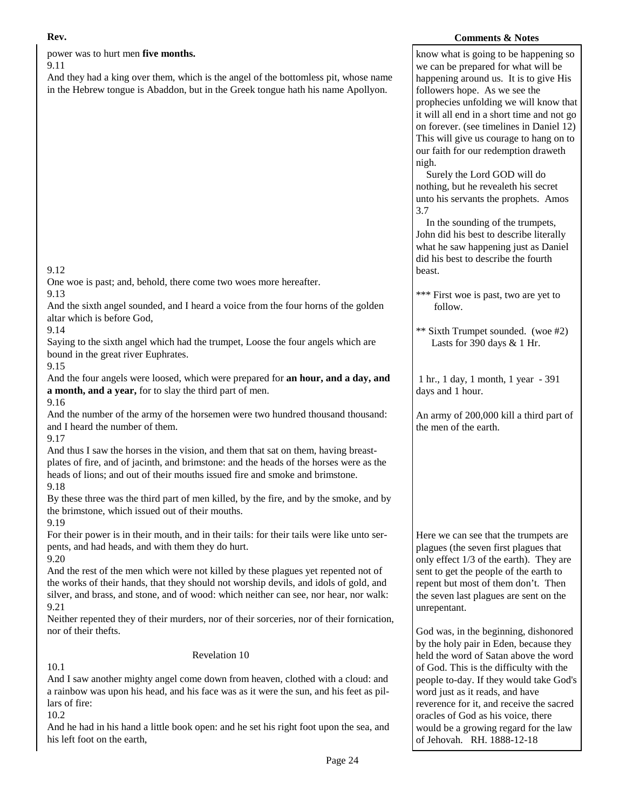**Comments & Notes** 

power was to hurt men **five months.**  9.11

And they had a king over them, which is the angel of the bottomless pit, whose name in the Hebrew tongue is Abaddon, but in the Greek tongue hath his name Apollyon.

#### 9.12

One woe is past; and, behold, there come two woes more hereafter. 9.13

And the sixth angel sounded, and I heard a voice from the four horns of the golden altar which is before God,

9.14

Saying to the sixth angel which had the trumpet, Loose the four angels which are bound in the great river Euphrates.

9.15

And the four angels were loosed, which were prepared for **an hour, and a day, and a month, and a year,** for to slay the third part of men.

9.16

And the number of the army of the horsemen were two hundred thousand thousand: and I heard the number of them.

9.17

And thus I saw the horses in the vision, and them that sat on them, having breastplates of fire, and of jacinth, and brimstone: and the heads of the horses were as the heads of lions; and out of their mouths issued fire and smoke and brimstone. 9.18

By these three was the third part of men killed, by the fire, and by the smoke, and by the brimstone, which issued out of their mouths.

9.19

For their power is in their mouth, and in their tails: for their tails were like unto serpents, and had heads, and with them they do hurt. 9.20

And the rest of the men which were not killed by these plagues yet repented not of the works of their hands, that they should not worship devils, and idols of gold, and silver, and brass, and stone, and of wood: which neither can see, nor hear, nor walk: 9.21

Neither repented they of their murders, nor of their sorceries, nor of their fornication, nor of their thefts.

#### Revelation 10

10.1

And I saw another mighty angel come down from heaven, clothed with a cloud: and a rainbow was upon his head, and his face was as it were the sun, and his feet as pillars of fire:

10.2

And he had in his hand a little book open: and he set his right foot upon the sea, and his left foot on the earth,

know what is going to be happening so we can be prepared for what will be happening around us. It is to give His followers hope. As we see the prophecies unfolding we will know that it will all end in a short time and not go on forever. (see timelines in Daniel 12) This will give us courage to hang on to our faith for our redemption draweth nigh.

 Surely the Lord GOD will do nothing, but he revealeth his secret unto his servants the prophets. Amos 3.7

 In the sounding of the trumpets, John did his best to describe literally what he saw happening just as Daniel did his best to describe the fourth beast.

- \*\*\* First woe is past, two are yet to follow.
- \*\* Sixth Trumpet sounded. (woe #2) Lasts for 390 days & 1 Hr.

 1 hr., 1 day, 1 month, 1 year - 391 days and 1 hour.

An army of 200,000 kill a third part of the men of the earth.

Here we can see that the trumpets are plagues (the seven first plagues that only effect 1/3 of the earth). They are sent to get the people of the earth to repent but most of them don't. Then the seven last plagues are sent on the unrepentant.

God was, in the beginning, dishonored by the holy pair in Eden, because they held the word of Satan above the word of God. This is the difficulty with the people to-day. If they would take God's word just as it reads, and have reverence for it, and receive the sacred oracles of God as his voice, there would be a growing regard for the law of Jehovah. RH. 1888-12-18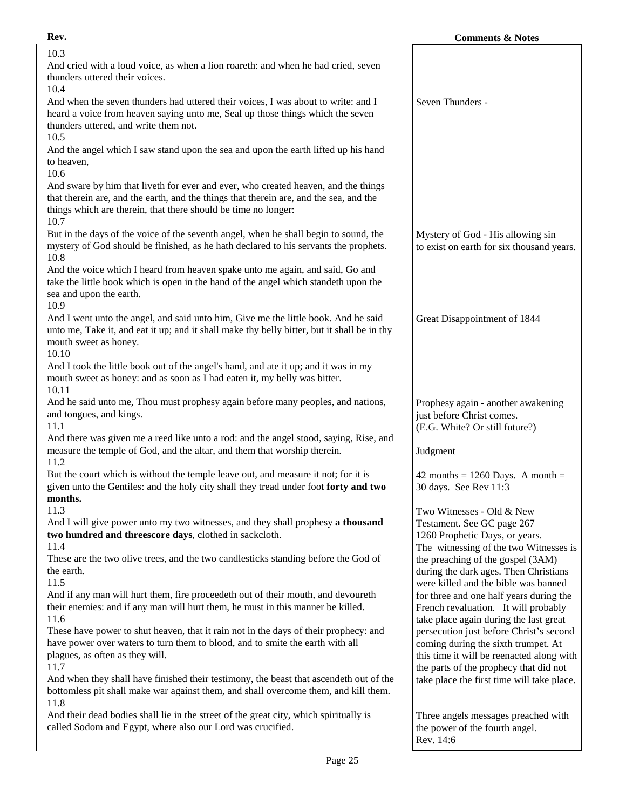| Rev.                                                                                                                                                                                                                                                                                                       | <b>Comments &amp; Notes</b>                                                                                                                                                                                                                                                                                                                                                                                              |
|------------------------------------------------------------------------------------------------------------------------------------------------------------------------------------------------------------------------------------------------------------------------------------------------------------|--------------------------------------------------------------------------------------------------------------------------------------------------------------------------------------------------------------------------------------------------------------------------------------------------------------------------------------------------------------------------------------------------------------------------|
| 10.3<br>And cried with a loud voice, as when a lion roareth: and when he had cried, seven<br>thunders uttered their voices.<br>10.4                                                                                                                                                                        |                                                                                                                                                                                                                                                                                                                                                                                                                          |
| And when the seven thunders had uttered their voices, I was about to write: and I<br>heard a voice from heaven saying unto me, Seal up those things which the seven<br>thunders uttered, and write them not.<br>10.5<br>And the angel which I saw stand upon the sea and upon the earth lifted up his hand | Seven Thunders -                                                                                                                                                                                                                                                                                                                                                                                                         |
| to heaven,<br>10.6                                                                                                                                                                                                                                                                                         |                                                                                                                                                                                                                                                                                                                                                                                                                          |
| And sware by him that liveth for ever and ever, who created heaven, and the things<br>that therein are, and the earth, and the things that therein are, and the sea, and the<br>things which are therein, that there should be time no longer:<br>10.7                                                     |                                                                                                                                                                                                                                                                                                                                                                                                                          |
| But in the days of the voice of the seventh angel, when he shall begin to sound, the<br>mystery of God should be finished, as he hath declared to his servants the prophets.<br>10.8                                                                                                                       | Mystery of God - His allowing sin<br>to exist on earth for six thousand years.                                                                                                                                                                                                                                                                                                                                           |
| And the voice which I heard from heaven spake unto me again, and said, Go and<br>take the little book which is open in the hand of the angel which standeth upon the<br>sea and upon the earth.<br>10.9                                                                                                    |                                                                                                                                                                                                                                                                                                                                                                                                                          |
| And I went unto the angel, and said unto him, Give me the little book. And he said<br>unto me, Take it, and eat it up; and it shall make thy belly bitter, but it shall be in thy<br>mouth sweet as honey.<br>10.10                                                                                        | Great Disappointment of 1844                                                                                                                                                                                                                                                                                                                                                                                             |
| And I took the little book out of the angel's hand, and ate it up; and it was in my<br>mouth sweet as honey: and as soon as I had eaten it, my belly was bitter.<br>10.11                                                                                                                                  |                                                                                                                                                                                                                                                                                                                                                                                                                          |
| And he said unto me, Thou must prophesy again before many peoples, and nations,<br>and tongues, and kings.<br>11.1                                                                                                                                                                                         | Prophesy again - another awakening<br>just before Christ comes.<br>(E.G. White? Or still future?)                                                                                                                                                                                                                                                                                                                        |
| And there was given me a reed like unto a rod: and the angel stood, saying, Rise, and<br>measure the temple of God, and the altar, and them that worship therein.<br>11.2                                                                                                                                  | Judgment                                                                                                                                                                                                                                                                                                                                                                                                                 |
| But the court which is without the temple leave out, and measure it not; for it is<br>given unto the Gentiles: and the holy city shall they tread under foot forty and two<br>months.                                                                                                                      | 42 months = $1260$ Days. A month =<br>30 days. See Rev 11:3                                                                                                                                                                                                                                                                                                                                                              |
| 11.3<br>And I will give power unto my two witnesses, and they shall prophesy a thousand<br>two hundred and threescore days, clothed in sackcloth.<br>11.4                                                                                                                                                  | Two Witnesses - Old & New<br>Testament. See GC page 267<br>1260 Prophetic Days, or years.                                                                                                                                                                                                                                                                                                                                |
| These are the two olive trees, and the two candlesticks standing before the God of<br>the earth.<br>11.5                                                                                                                                                                                                   | The witnessing of the two Witnesses is<br>the preaching of the gospel (3AM)<br>during the dark ages. Then Christians<br>were killed and the bible was banned<br>for three and one half years during the<br>French revaluation. It will probably<br>take place again during the last great<br>persecution just before Christ's second<br>coming during the sixth trumpet. At<br>this time it will be reenacted along with |
| And if any man will hurt them, fire proceedeth out of their mouth, and devoureth<br>their enemies: and if any man will hurt them, he must in this manner be killed.<br>11.6                                                                                                                                |                                                                                                                                                                                                                                                                                                                                                                                                                          |
| These have power to shut heaven, that it rain not in the days of their prophecy: and<br>have power over waters to turn them to blood, and to smite the earth with all<br>plagues, as often as they will.<br>11.7                                                                                           |                                                                                                                                                                                                                                                                                                                                                                                                                          |
| And when they shall have finished their testimony, the beast that ascendeth out of the<br>bottomless pit shall make war against them, and shall overcome them, and kill them.<br>11.8                                                                                                                      | the parts of the prophecy that did not<br>take place the first time will take place.                                                                                                                                                                                                                                                                                                                                     |
| And their dead bodies shall lie in the street of the great city, which spiritually is<br>called Sodom and Egypt, where also our Lord was crucified.                                                                                                                                                        | Three angels messages preached with<br>the power of the fourth angel.<br>Rev. 14:6                                                                                                                                                                                                                                                                                                                                       |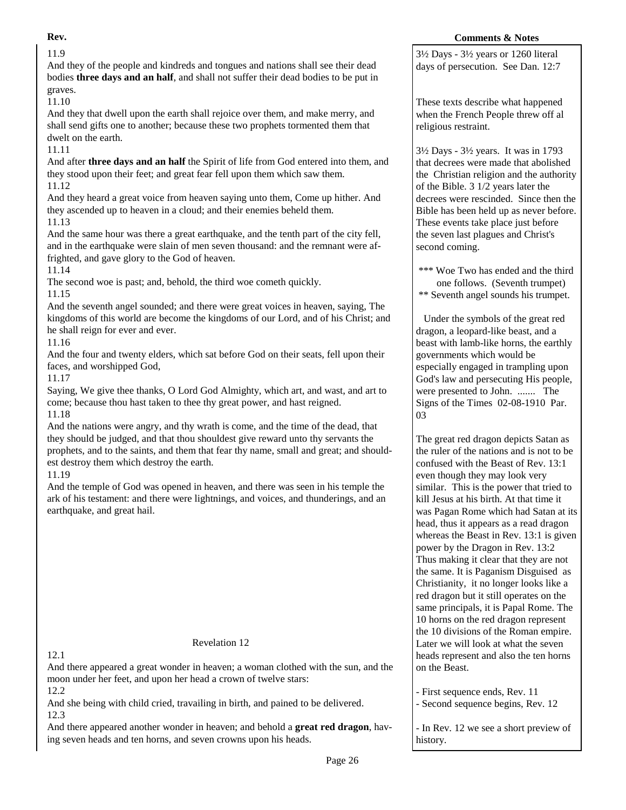11.9

And they of the people and kindreds and tongues and nations shall see their dead bodies **three days and an half**, and shall not suffer their dead bodies to be put in graves.

11.10

And they that dwell upon the earth shall rejoice over them, and make merry, and shall send gifts one to another; because these two prophets tormented them that dwelt on the earth.

11.11

And after **three days and an half** the Spirit of life from God entered into them, and they stood upon their feet; and great fear fell upon them which saw them. 11.12

And they heard a great voice from heaven saying unto them, Come up hither. And they ascended up to heaven in a cloud; and their enemies beheld them. 11.13

And the same hour was there a great earthquake, and the tenth part of the city fell, and in the earthquake were slain of men seven thousand: and the remnant were affrighted, and gave glory to the God of heaven.

11.14

The second woe is past; and, behold, the third woe cometh quickly.

#### 11.15

And the seventh angel sounded; and there were great voices in heaven, saying, The kingdoms of this world are become the kingdoms of our Lord, and of his Christ; and he shall reign for ever and ever.

11.16

And the four and twenty elders, which sat before God on their seats, fell upon their faces, and worshipped God,

11.17

Saying, We give thee thanks, O Lord God Almighty, which art, and wast, and art to come; because thou hast taken to thee thy great power, and hast reigned. 11.18

And the nations were angry, and thy wrath is come, and the time of the dead, that they should be judged, and that thou shouldest give reward unto thy servants the prophets, and to the saints, and them that fear thy name, small and great; and shouldest destroy them which destroy the earth.

11.19

12.1

And the temple of God was opened in heaven, and there was seen in his temple the ark of his testament: and there were lightnings, and voices, and thunderings, and an earthquake, and great hail.

#### Revelation 12

And there appeared a great wonder in heaven; a woman clothed with the sun, and the moon under her feet, and upon her head a crown of twelve stars: 12.2

And she being with child cried, travailing in birth, and pained to be delivered. 12.3

And there appeared another wonder in heaven; and behold a **great red dragon**, having seven heads and ten horns, and seven crowns upon his heads.

#### **Comments & Notes**

3½ Days - 3½ years or 1260 literal days of persecution. See Dan. 12:7

These texts describe what happened when the French People threw off al religious restraint.

3½ Days - 3½ years. It was in 1793 that decrees were made that abolished the Christian religion and the authority of the Bible. 3 1/2 years later the decrees were rescinded. Since then the Bible has been held up as never before. These events take place just before the seven last plagues and Christ's second coming.

 \*\*\* Woe Two has ended and the third one follows. (Seventh trumpet) \*\* Seventh angel sounds his trumpet.

 Under the symbols of the great red dragon, a leopard-like beast, and a beast with lamb-like horns, the earthly governments which would be especially engaged in trampling upon God's law and persecuting His people, were presented to John. ....... The Signs of the Times 02-08-1910 Par. 03

The great red dragon depicts Satan as the ruler of the nations and is not to be confused with the Beast of Rev. 13:1 even though they may look very similar. This is the power that tried to kill Jesus at his birth. At that time it was Pagan Rome which had Satan at its head, thus it appears as a read dragon whereas the Beast in Rev. 13:1 is given power by the Dragon in Rev. 13:2 Thus making it clear that they are not the same. It is Paganism Disguised as Christianity, it no longer looks like a red dragon but it still operates on the same principals, it is Papal Rome. The 10 horns on the red dragon represent the 10 divisions of the Roman empire. Later we will look at what the seven heads represent and also the ten horns on the Beast.

- First sequence ends, Rev. 11 - Second sequence begins, Rev. 12

- In Rev. 12 we see a short preview of history.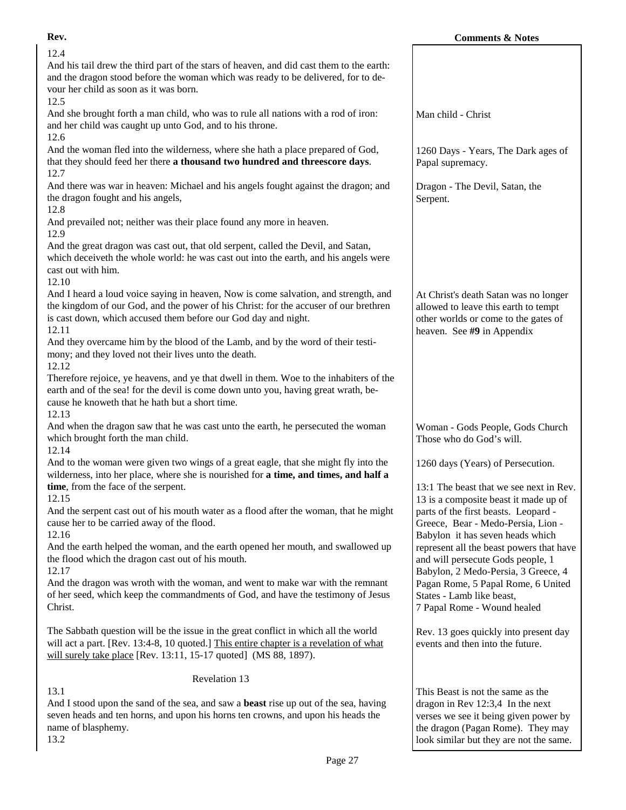| Rev.                                                                                                                                                                                                                                                   | <b>Comments &amp; Notes</b>                                                                                                                                                                    |
|--------------------------------------------------------------------------------------------------------------------------------------------------------------------------------------------------------------------------------------------------------|------------------------------------------------------------------------------------------------------------------------------------------------------------------------------------------------|
| 12.4<br>And his tail drew the third part of the stars of heaven, and did cast them to the earth:<br>and the dragon stood before the woman which was ready to be delivered, for to de-<br>vour her child as soon as it was born.<br>12.5                |                                                                                                                                                                                                |
| And she brought forth a man child, who was to rule all nations with a rod of iron:<br>and her child was caught up unto God, and to his throne.<br>12.6                                                                                                 | Man child - Christ                                                                                                                                                                             |
| And the woman fled into the wilderness, where she hath a place prepared of God,<br>that they should feed her there a thousand two hundred and threescore days.<br>12.7                                                                                 | 1260 Days - Years, The Dark ages of<br>Papal supremacy.                                                                                                                                        |
| And there was war in heaven: Michael and his angels fought against the dragon; and<br>the dragon fought and his angels,<br>12.8                                                                                                                        | Dragon - The Devil, Satan, the<br>Serpent.                                                                                                                                                     |
| And prevailed not; neither was their place found any more in heaven.<br>12.9<br>And the great dragon was cast out, that old serpent, called the Devil, and Satan,                                                                                      |                                                                                                                                                                                                |
| which deceiveth the whole world: he was cast out into the earth, and his angels were<br>cast out with him.<br>12.10                                                                                                                                    |                                                                                                                                                                                                |
| And I heard a loud voice saying in heaven, Now is come salvation, and strength, and<br>the kingdom of our God, and the power of his Christ: for the accuser of our brethren<br>is cast down, which accused them before our God day and night.<br>12.11 | At Christ's death Satan was no longer<br>allowed to leave this earth to tempt<br>other worlds or come to the gates of<br>heaven. See #9 in Appendix                                            |
| And they overcame him by the blood of the Lamb, and by the word of their testi-<br>mony; and they loved not their lives unto the death.<br>12.12                                                                                                       |                                                                                                                                                                                                |
| Therefore rejoice, ye heavens, and ye that dwell in them. Woe to the inhabiters of the<br>earth and of the sea! for the devil is come down unto you, having great wrath, be-<br>cause he knoweth that he hath but a short time.                        |                                                                                                                                                                                                |
| 12.13<br>And when the dragon saw that he was cast unto the earth, he persecuted the woman<br>which brought forth the man child.<br>12.14                                                                                                               | Woman - Gods People, Gods Church<br>Those who do God's will.                                                                                                                                   |
| And to the woman were given two wings of a great eagle, that she might fly into the<br>wilderness, into her place, where she is nourished for a time, and times, and half a<br>time, from the face of the serpent.                                     | 1260 days (Years) of Persecution.<br>13:1 The beast that we see next in Rev.                                                                                                                   |
| 12.15<br>And the serpent cast out of his mouth water as a flood after the woman, that he might<br>cause her to be carried away of the flood.<br>12.16                                                                                                  | 13 is a composite beast it made up of<br>parts of the first beasts. Leopard -<br>Greece, Bear - Medo-Persia, Lion -<br>Babylon it has seven heads which                                        |
| And the earth helped the woman, and the earth opened her mouth, and swallowed up<br>the flood which the dragon cast out of his mouth.<br>12.17                                                                                                         | represent all the beast powers that have<br>and will persecute Gods people, 1<br>Babylon, 2 Medo-Persia, 3 Greece, 4                                                                           |
| And the dragon was wroth with the woman, and went to make war with the remnant<br>of her seed, which keep the commandments of God, and have the testimony of Jesus<br>Christ.                                                                          | Pagan Rome, 5 Papal Rome, 6 United<br>States - Lamb like beast,<br>7 Papal Rome - Wound healed                                                                                                 |
| The Sabbath question will be the issue in the great conflict in which all the world<br>will act a part. [Rev. 13:4-8, 10 quoted.] This entire chapter is a revelation of what<br>will surely take place [Rev. 13:11, 15-17 quoted] (MS 88, 1897).      | Rev. 13 goes quickly into present day<br>events and then into the future.                                                                                                                      |
| Revelation 13                                                                                                                                                                                                                                          |                                                                                                                                                                                                |
| 13.1<br>And I stood upon the sand of the sea, and saw a <b>beast</b> rise up out of the sea, having<br>seven heads and ten horns, and upon his horns ten crowns, and upon his heads the<br>name of blasphemy.<br>13.2                                  | This Beast is not the same as the<br>dragon in Rev 12:3,4 In the next<br>verses we see it being given power by<br>the dragon (Pagan Rome). They may<br>look similar but they are not the same. |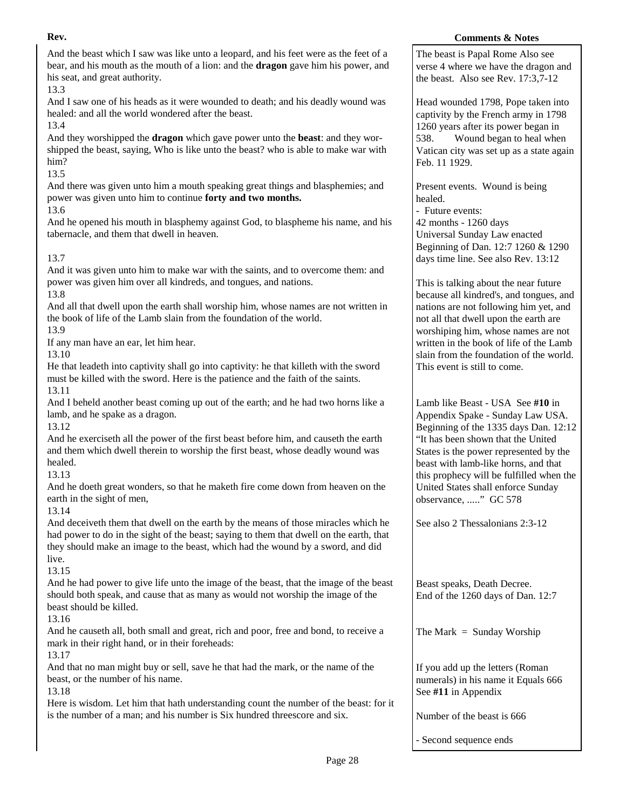And the beast which I saw was like unto a leopard, and his feet were as the feet of a bear, and his mouth as the mouth of a lion: and the **dragon** gave him his power, and his seat, and great authority.

13.3

And I saw one of his heads as it were wounded to death; and his deadly wound was healed: and all the world wondered after the beast. 13.4

And they worshipped the **dragon** which gave power unto the **beast**: and they worshipped the beast, saying, Who is like unto the beast? who is able to make war with him?

13.5

And there was given unto him a mouth speaking great things and blasphemies; and power was given unto him to continue **forty and two months.** 

13.6

And he opened his mouth in blasphemy against God, to blaspheme his name, and his tabernacle, and them that dwell in heaven.

#### 13.7

And it was given unto him to make war with the saints, and to overcome them: and power was given him over all kindreds, and tongues, and nations. 13.8

And all that dwell upon the earth shall worship him, whose names are not written in the book of life of the Lamb slain from the foundation of the world.

13.9

If any man have an ear, let him hear.

13.10

He that leadeth into captivity shall go into captivity: he that killeth with the sword must be killed with the sword. Here is the patience and the faith of the saints. 13.11

And I beheld another beast coming up out of the earth; and he had two horns like a lamb, and he spake as a dragon.

13.12

And he exerciseth all the power of the first beast before him, and causeth the earth and them which dwell therein to worship the first beast, whose deadly wound was healed.

13.13

And he doeth great wonders, so that he maketh fire come down from heaven on the earth in the sight of men,

13.14

And deceiveth them that dwell on the earth by the means of those miracles which he had power to do in the sight of the beast; saying to them that dwell on the earth, that they should make an image to the beast, which had the wound by a sword, and did live.

13.15

And he had power to give life unto the image of the beast, that the image of the beast should both speak, and cause that as many as would not worship the image of the beast should be killed.

13.16

And he causeth all, both small and great, rich and poor, free and bond, to receive a mark in their right hand, or in their foreheads:

13.17

And that no man might buy or sell, save he that had the mark, or the name of the beast, or the number of his name.

13.18

Here is wisdom. Let him that hath understanding count the number of the beast: for it is the number of a man; and his number is Six hundred threescore and six.

#### **Comments & Notes**

The beast is Papal Rome Also see verse 4 where we have the dragon and the beast. Also see Rev. 17:3,7-12

Head wounded 1798, Pope taken into captivity by the French army in 1798 1260 years after its power began in 538. Wound began to heal when Vatican city was set up as a state again Feb. 11 1929.

Present events. Wound is being healed.

- Future events: 42 months - 1260 days Universal Sunday Law enacted Beginning of Dan. 12:7 1260 & 1290 days time line. See also Rev. 13:12

This is talking about the near future because all kindred's, and tongues, and nations are not following him yet, and not all that dwell upon the earth are worshiping him, whose names are not written in the book of life of the Lamb slain from the foundation of the world. This event is still to come.

Lamb like Beast - USA See **#10** in Appendix Spake - Sunday Law USA. Beginning of the 1335 days Dan. 12:12 "It has been shown that the United States is the power represented by the beast with lamb-like horns, and that this prophecy will be fulfilled when the United States shall enforce Sunday observance, ....." GC 578

See also 2 Thessalonians 2:3-12

Beast speaks, Death Decree. End of the 1260 days of Dan. 12:7

The Mark  $=$  Sunday Worship

If you add up the letters (Roman numerals) in his name it Equals 666 See **#11** in Appendix

Number of the beast is 666

- Second sequence ends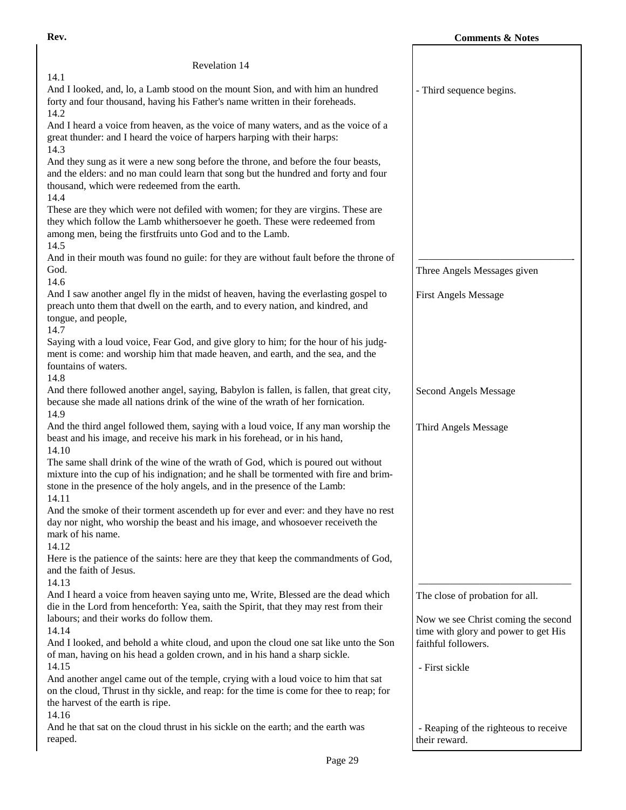| Revelation 14                                                                                                                                                                                                                                                                                                                                                                                                                           |                                                                                                                |
|-----------------------------------------------------------------------------------------------------------------------------------------------------------------------------------------------------------------------------------------------------------------------------------------------------------------------------------------------------------------------------------------------------------------------------------------|----------------------------------------------------------------------------------------------------------------|
| 14.1<br>And I looked, and, lo, a Lamb stood on the mount Sion, and with him an hundred<br>forty and four thousand, having his Father's name written in their foreheads.<br>14.2<br>And I heard a voice from heaven, as the voice of many waters, and as the voice of a<br>great thunder: and I heard the voice of harpers harping with their harps:                                                                                     | - Third sequence begins.                                                                                       |
| 14.3<br>And they sung as it were a new song before the throne, and before the four beasts,<br>and the elders: and no man could learn that song but the hundred and forty and four<br>thousand, which were redeemed from the earth.<br>14.4                                                                                                                                                                                              |                                                                                                                |
| These are they which were not defiled with women; for they are virgins. These are<br>they which follow the Lamb whithersoever he goeth. These were redeemed from<br>among men, being the firstfruits unto God and to the Lamb.<br>14.5                                                                                                                                                                                                  |                                                                                                                |
| And in their mouth was found no guile: for they are without fault before the throne of<br>God.<br>14.6                                                                                                                                                                                                                                                                                                                                  | Three Angels Messages given                                                                                    |
| And I saw another angel fly in the midst of heaven, having the everlasting gospel to<br>preach unto them that dwell on the earth, and to every nation, and kindred, and<br>tongue, and people,                                                                                                                                                                                                                                          | <b>First Angels Message</b>                                                                                    |
| 14.7<br>Saying with a loud voice, Fear God, and give glory to him; for the hour of his judg-<br>ment is come: and worship him that made heaven, and earth, and the sea, and the<br>fountains of waters.<br>14.8                                                                                                                                                                                                                         |                                                                                                                |
| And there followed another angel, saying, Babylon is fallen, is fallen, that great city,<br>because she made all nations drink of the wine of the wrath of her fornication.<br>14.9                                                                                                                                                                                                                                                     | Second Angels Message                                                                                          |
| And the third angel followed them, saying with a loud voice, If any man worship the<br>beast and his image, and receive his mark in his forehead, or in his hand,<br>14.10<br>The same shall drink of the wine of the wrath of God, which is poured out without<br>mixture into the cup of his indignation; and he shall be tormented with fire and brim-<br>stone in the presence of the holy angels, and in the presence of the Lamb: | Third Angels Message                                                                                           |
| 14.11<br>And the smoke of their torment ascendeth up for ever and ever: and they have no rest<br>day nor night, who worship the beast and his image, and whosoever receiveth the<br>mark of his name.                                                                                                                                                                                                                                   |                                                                                                                |
| 14.12<br>Here is the patience of the saints: here are they that keep the commandments of God,<br>and the faith of Jesus.<br>14.13                                                                                                                                                                                                                                                                                                       |                                                                                                                |
| And I heard a voice from heaven saying unto me, Write, Blessed are the dead which<br>die in the Lord from henceforth: Yea, saith the Spirit, that they may rest from their<br>labours; and their works do follow them.<br>14.14                                                                                                                                                                                                         | The close of probation for all.<br>Now we see Christ coming the second<br>time with glory and power to get His |
| And I looked, and behold a white cloud, and upon the cloud one sat like unto the Son<br>of man, having on his head a golden crown, and in his hand a sharp sickle.<br>14.15<br>And another angel came out of the temple, crying with a loud voice to him that sat<br>on the cloud, Thrust in thy sickle, and reap: for the time is come for thee to reap; for                                                                           | faithful followers.<br>- First sickle                                                                          |
| the harvest of the earth is ripe.<br>14.16<br>And he that sat on the cloud thrust in his sickle on the earth; and the earth was<br>reaped.                                                                                                                                                                                                                                                                                              | - Reaping of the righteous to receive<br>their reward.                                                         |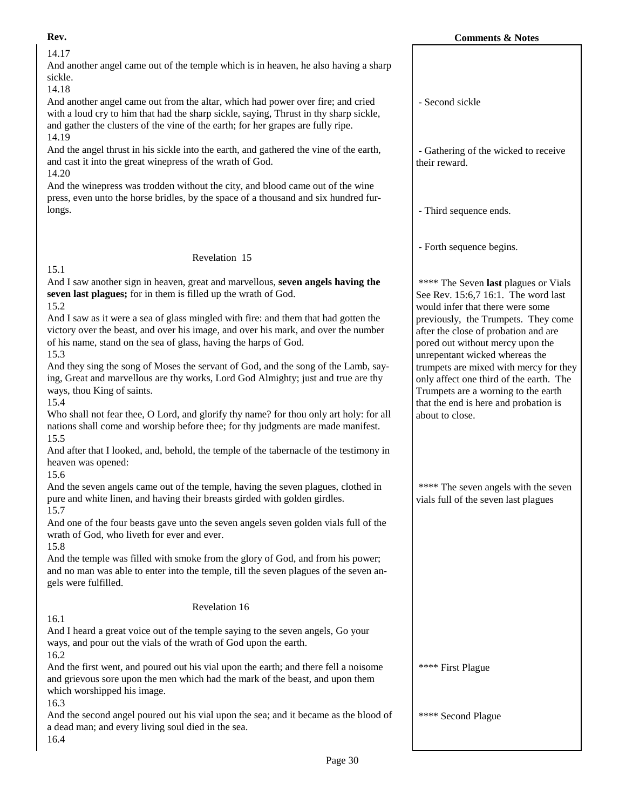14.17

And another angel came out of the temple which is in heaven, he also having a sharp sickle.

14.18

And another angel came out from the altar, which had power over fire; and cried with a loud cry to him that had the sharp sickle, saying, Thrust in thy sharp sickle, and gather the clusters of the vine of the earth; for her grapes are fully ripe. 14.19

And the angel thrust in his sickle into the earth, and gathered the vine of the earth, and cast it into the great winepress of the wrath of God.

14.20

And the winepress was trodden without the city, and blood came out of the wine press, even unto the horse bridles, by the space of a thousand and six hundred furlongs.

#### Revelation 15

15.1

And I saw another sign in heaven, great and marvellous, **seven angels having the seven last plagues;** for in them is filled up the wrath of God.

15.2

And I saw as it were a sea of glass mingled with fire: and them that had gotten the victory over the beast, and over his image, and over his mark, and over the number of his name, stand on the sea of glass, having the harps of God. 15.3

And they sing the song of Moses the servant of God, and the song of the Lamb, saying, Great and marvellous are thy works, Lord God Almighty; just and true are thy ways, thou King of saints.

15.4

Who shall not fear thee, O Lord, and glorify thy name? for thou only art holy: for all nations shall come and worship before thee; for thy judgments are made manifest. 15.5

And after that I looked, and, behold, the temple of the tabernacle of the testimony in heaven was opened:

15.6

And the seven angels came out of the temple, having the seven plagues, clothed in pure and white linen, and having their breasts girded with golden girdles. 15.7

And one of the four beasts gave unto the seven angels seven golden vials full of the wrath of God, who liveth for ever and ever.

15.8

And the temple was filled with smoke from the glory of God, and from his power; and no man was able to enter into the temple, till the seven plagues of the seven angels were fulfilled.

#### 16.1

#### Revelation 16

And I heard a great voice out of the temple saying to the seven angels, Go your ways, and pour out the vials of the wrath of God upon the earth. 16.2

And the first went, and poured out his vial upon the earth; and there fell a noisome and grievous sore upon the men which had the mark of the beast, and upon them which worshipped his image.

16.3

And the second angel poured out his vial upon the sea; and it became as the blood of a dead man; and every living soul died in the sea. 16.4

- Second sickle

 - Gathering of the wicked to receive their reward.

- Third sequence ends.

- Forth sequence begins.

 \*\*\*\* The Seven **last** plagues or Vials See Rev. 15:6,7 16:1. The word last would infer that there were some previously, the Trumpets. They come after the close of probation and are pored out without mercy upon the unrepentant wicked whereas the trumpets are mixed with mercy for they only affect one third of the earth. The Trumpets are a worning to the earth that the end is here and probation is about to close.

 \*\*\*\* The seven angels with the seven vials full of the seven last plagues

\*\*\*\* First Plague

#### \*\*\*\* Second Plague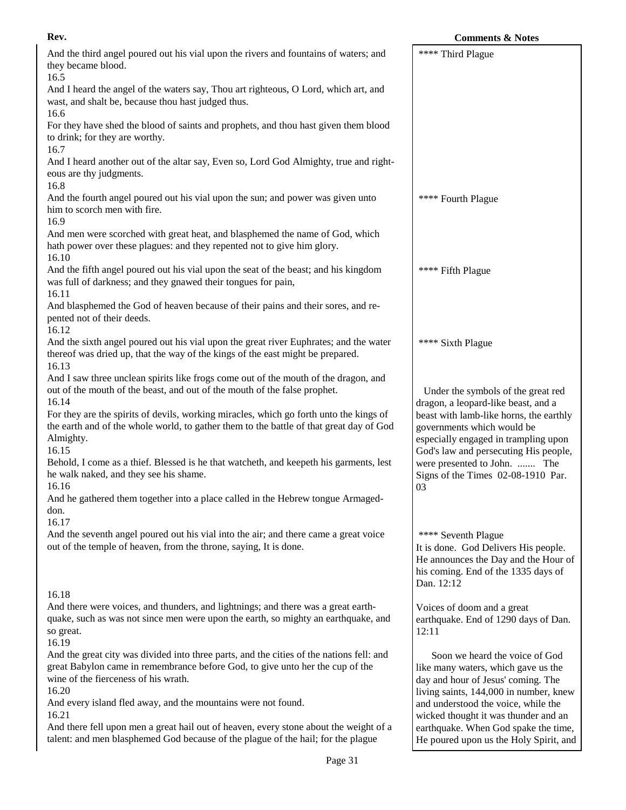| Rev.                                                                                                                                                                                                                                                | <b>Comments &amp; Notes</b>                                                                                                                                   |
|-----------------------------------------------------------------------------------------------------------------------------------------------------------------------------------------------------------------------------------------------------|---------------------------------------------------------------------------------------------------------------------------------------------------------------|
| And the third angel poured out his vial upon the rivers and fountains of waters; and<br>they became blood.<br>16.5                                                                                                                                  | **** Third Plague                                                                                                                                             |
| And I heard the angel of the waters say, Thou art righteous, O Lord, which art, and<br>wast, and shalt be, because thou hast judged thus.<br>16.6                                                                                                   |                                                                                                                                                               |
| For they have shed the blood of saints and prophets, and thou hast given them blood<br>to drink; for they are worthy.<br>16.7                                                                                                                       |                                                                                                                                                               |
| And I heard another out of the altar say, Even so, Lord God Almighty, true and right-<br>eous are thy judgments.<br>16.8                                                                                                                            |                                                                                                                                                               |
| And the fourth angel poured out his vial upon the sun; and power was given unto<br>him to scorch men with fire.<br>16.9                                                                                                                             | **** Fourth Plague                                                                                                                                            |
| And men were scorched with great heat, and blasphemed the name of God, which<br>hath power over these plagues: and they repented not to give him glory.<br>16.10                                                                                    |                                                                                                                                                               |
| And the fifth angel poured out his vial upon the seat of the beast; and his kingdom<br>was full of darkness; and they gnawed their tongues for pain,<br>16.11                                                                                       | **** Fifth Plague                                                                                                                                             |
| And blasphemed the God of heaven because of their pains and their sores, and re-<br>pented not of their deeds.<br>16.12                                                                                                                             |                                                                                                                                                               |
| And the sixth angel poured out his vial upon the great river Euphrates; and the water<br>thereof was dried up, that the way of the kings of the east might be prepared.<br>16.13                                                                    | **** Sixth Plague                                                                                                                                             |
| And I saw three unclean spirits like frogs come out of the mouth of the dragon, and<br>out of the mouth of the beast, and out of the mouth of the false prophet.<br>16.14                                                                           | Under the symbols of the great red<br>dragon, a leopard-like beast, and a                                                                                     |
| For they are the spirits of devils, working miracles, which go forth unto the kings of<br>the earth and of the whole world, to gather them to the battle of that great day of God<br>Almighty.<br>16.15                                             | beast with lamb-like horns, the earthly<br>governments which would be<br>especially engaged in trampling upon<br>God's law and persecuting His people,        |
| Behold, I come as a thief. Blessed is he that watcheth, and keepeth his garments, lest<br>he walk naked, and they see his shame.<br>16.16                                                                                                           | were presented to John.  The<br>Signs of the Times 02-08-1910 Par.<br>03                                                                                      |
| And he gathered them together into a place called in the Hebrew tongue Armaged-<br>don.<br>16.17                                                                                                                                                    |                                                                                                                                                               |
| And the seventh angel poured out his vial into the air; and there came a great voice<br>out of the temple of heaven, from the throne, saying, It is done.<br>16.18                                                                                  | **** Seventh Plague<br>It is done. God Delivers His people.<br>He announces the Day and the Hour of<br>his coming. End of the 1335 days of<br>Dan. 12:12      |
| And there were voices, and thunders, and lightnings; and there was a great earth-<br>quake, such as was not since men were upon the earth, so mighty an earthquake, and<br>so great.<br>16.19                                                       | Voices of doom and a great<br>earthquake. End of 1290 days of Dan.<br>12:11                                                                                   |
| And the great city was divided into three parts, and the cities of the nations fell: and<br>great Babylon came in remembrance before God, to give unto her the cup of the<br>wine of the fierceness of his wrath.<br>16.20                          | Soon we heard the voice of God<br>like many waters, which gave us the<br>day and hour of Jesus' coming. The<br>living saints, 144,000 in number, knew         |
| And every island fled away, and the mountains were not found.<br>16.21<br>And there fell upon men a great hail out of heaven, every stone about the weight of a<br>talent: and men blasphemed God because of the plague of the hail; for the plague | and understood the voice, while the<br>wicked thought it was thunder and an<br>earthquake. When God spake the time,<br>He poured upon us the Holy Spirit, and |
|                                                                                                                                                                                                                                                     |                                                                                                                                                               |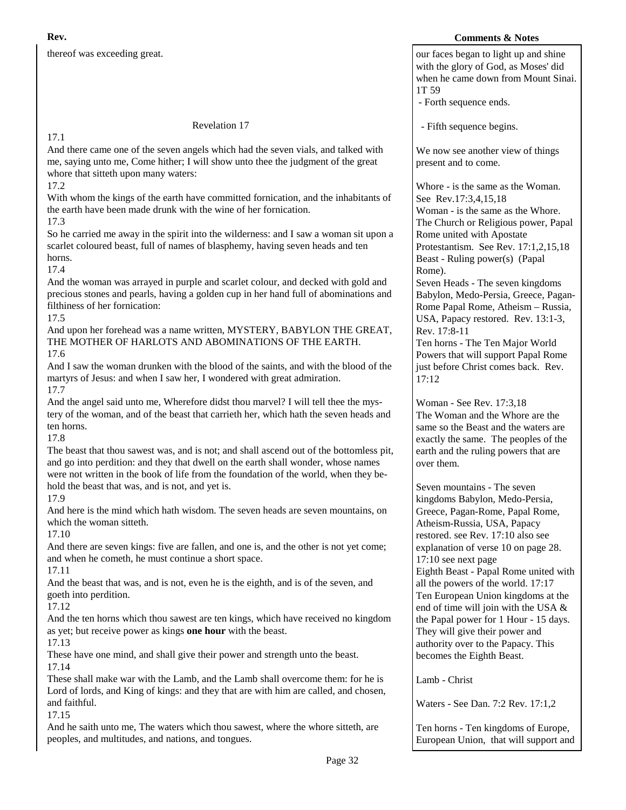thereof was exceeding great.

#### Revelation 17

17.1

And there came one of the seven angels which had the seven vials, and talked with me, saying unto me, Come hither; I will show unto thee the judgment of the great whore that sitteth upon many waters:

17.2

With whom the kings of the earth have committed fornication, and the inhabitants of the earth have been made drunk with the wine of her fornication. 17.3

So he carried me away in the spirit into the wilderness: and I saw a woman sit upon a scarlet coloured beast, full of names of blasphemy, having seven heads and ten horns.

17.4

And the woman was arrayed in purple and scarlet colour, and decked with gold and precious stones and pearls, having a golden cup in her hand full of abominations and filthiness of her fornication:

17.5

And upon her forehead was a name written, MYSTERY, BABYLON THE GREAT, THE MOTHER OF HARLOTS AND ABOMINATIONS OF THE EARTH. 17.6

And I saw the woman drunken with the blood of the saints, and with the blood of the martyrs of Jesus: and when I saw her, I wondered with great admiration. 17.7

And the angel said unto me, Wherefore didst thou marvel? I will tell thee the mystery of the woman, and of the beast that carrieth her, which hath the seven heads and ten horns.

17.8

The beast that thou sawest was, and is not; and shall ascend out of the bottomless pit, and go into perdition: and they that dwell on the earth shall wonder, whose names were not written in the book of life from the foundation of the world, when they behold the beast that was, and is not, and yet is.

17.9

And here is the mind which hath wisdom. The seven heads are seven mountains, on which the woman sitteth.

17.10

And there are seven kings: five are fallen, and one is, and the other is not yet come; and when he cometh, he must continue a short space.

17.11

And the beast that was, and is not, even he is the eighth, and is of the seven, and goeth into perdition.

17.12

And the ten horns which thou sawest are ten kings, which have received no kingdom as yet; but receive power as kings **one hour** with the beast.

17.13 These have one mind, and shall give their power and strength unto the beast. 17.14

These shall make war with the Lamb, and the Lamb shall overcome them: for he is Lord of lords, and King of kings: and they that are with him are called, and chosen, and faithful.

17.15

And he saith unto me, The waters which thou sawest, where the whore sitteth, are peoples, and multitudes, and nations, and tongues.

#### **Comments & Notes**

our faces began to light up and shine with the glory of God, as Moses' did when he came down from Mount Sinai. 1T 59

- Forth sequence ends.

- Fifth sequence begins.

We now see another view of things present and to come.

Whore - is the same as the Woman. See Rev.17:3,4,15,18 Woman - is the same as the Whore. The Church or Religious power, Papal Rome united with Apostate Protestantism. See Rev. 17:1,2,15,18 Beast - Ruling power(s) (Papal Rome).

Seven Heads - The seven kingdoms Babylon, Medo-Persia, Greece, Pagan-Rome Papal Rome, Atheism – Russia, USA, Papacy restored. Rev. 13:1-3, Rev. 17:8-11

Ten horns - The Ten Major World Powers that will support Papal Rome just before Christ comes back. Rev. 17:12

Woman - See Rev. 17:3,18 The Woman and the Whore are the same so the Beast and the waters are exactly the same. The peoples of the earth and the ruling powers that are over them.

Seven mountains - The seven kingdoms Babylon, Medo-Persia, Greece, Pagan-Rome, Papal Rome, Atheism-Russia, USA, Papacy restored. see Rev. 17:10 also see explanation of verse 10 on page 28. 17:10 see next page Eighth Beast - Papal Rome united with all the powers of the world. 17:17 Ten European Union kingdoms at the end of time will join with the USA & the Papal power for 1 Hour - 15 days. They will give their power and authority over to the Papacy. This becomes the Eighth Beast.

Lamb - Christ

Waters - See Dan. 7:2 Rev. 17:1,2

Ten horns - Ten kingdoms of Europe, European Union, that will support and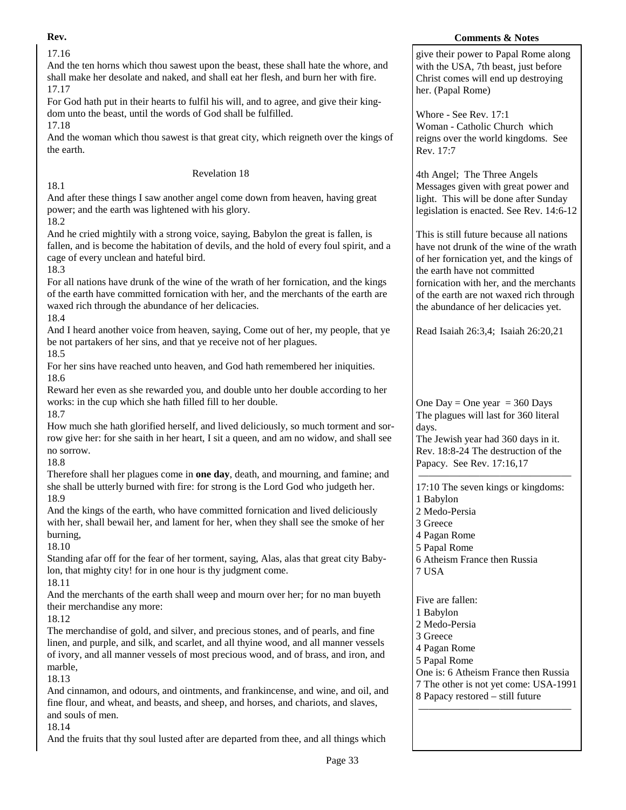#### 17.16

And the ten horns which thou sawest upon the beast, these shall hate the whore, and shall make her desolate and naked, and shall eat her flesh, and burn her with fire. 17.17

For God hath put in their hearts to fulfil his will, and to agree, and give their kingdom unto the beast, until the words of God shall be fulfilled. 17.18

And the woman which thou sawest is that great city, which reigneth over the kings of the earth.

18.1

#### Revelation 18

And after these things I saw another angel come down from heaven, having great power; and the earth was lightened with his glory.

18.2

And he cried mightily with a strong voice, saying, Babylon the great is fallen, is fallen, and is become the habitation of devils, and the hold of every foul spirit, and a cage of every unclean and hateful bird.

18.3

For all nations have drunk of the wine of the wrath of her fornication, and the kings of the earth have committed fornication with her, and the merchants of the earth are waxed rich through the abundance of her delicacies.

18.4

And I heard another voice from heaven, saying, Come out of her, my people, that ye be not partakers of her sins, and that ye receive not of her plagues.

18.5

For her sins have reached unto heaven, and God hath remembered her iniquities. 18.6

Reward her even as she rewarded you, and double unto her double according to her works: in the cup which she hath filled fill to her double.

18.7

How much she hath glorified herself, and lived deliciously, so much torment and sorrow give her: for she saith in her heart, I sit a queen, and am no widow, and shall see no sorrow.

18.8

Therefore shall her plagues come in **one day**, death, and mourning, and famine; and she shall be utterly burned with fire: for strong is the Lord God who judgeth her. 18.9

And the kings of the earth, who have committed fornication and lived deliciously with her, shall bewail her, and lament for her, when they shall see the smoke of her burning,

18.10

Standing afar off for the fear of her torment, saying, Alas, alas that great city Babylon, that mighty city! for in one hour is thy judgment come.

18.11

And the merchants of the earth shall weep and mourn over her; for no man buyeth their merchandise any more:

18.12

The merchandise of gold, and silver, and precious stones, and of pearls, and fine linen, and purple, and silk, and scarlet, and all thyine wood, and all manner vessels of ivory, and all manner vessels of most precious wood, and of brass, and iron, and marble,

18.13

And cinnamon, and odours, and ointments, and frankincense, and wine, and oil, and fine flour, and wheat, and beasts, and sheep, and horses, and chariots, and slaves, and souls of men.

18.14

And the fruits that thy soul lusted after are departed from thee, and all things which

#### **Comments & Notes**

give their power to Papal Rome along with the USA, 7th beast, just before Christ comes will end up destroying her. (Papal Rome)

Whore - See Rev. 17:1 Woman - Catholic Church which reigns over the world kingdoms. See Rev. 17:7

4th Angel; The Three Angels Messages given with great power and light. This will be done after Sunday legislation is enacted. See Rev. 14:6-12

This is still future because all nations have not drunk of the wine of the wrath of her fornication yet, and the kings of the earth have not committed fornication with her, and the merchants of the earth are not waxed rich through the abundance of her delicacies yet.

Read Isaiah 26:3,4; Isaiah 26:20,21

One Day = One year =  $360$  Days The plagues will last for 360 literal days. The Jewish year had 360 days in it. Rev. 18:8-24 The destruction of the Papacy. See Rev. 17:16,17

———————————————

17:10 The seven kings or kingdoms: 1 Babylon 2 Medo-Persia 3 Greece 4 Pagan Rome 5 Papal Rome 6 Atheism France then Russia 7 USA

Five are fallen: 1 Babylon 2 Medo-Persia 3 Greece 4 Pagan Rome 5 Papal Rome One is: 6 Atheism France then Russia 7 The other is not yet come: USA-1991 8 Papacy restored – still future

———————————————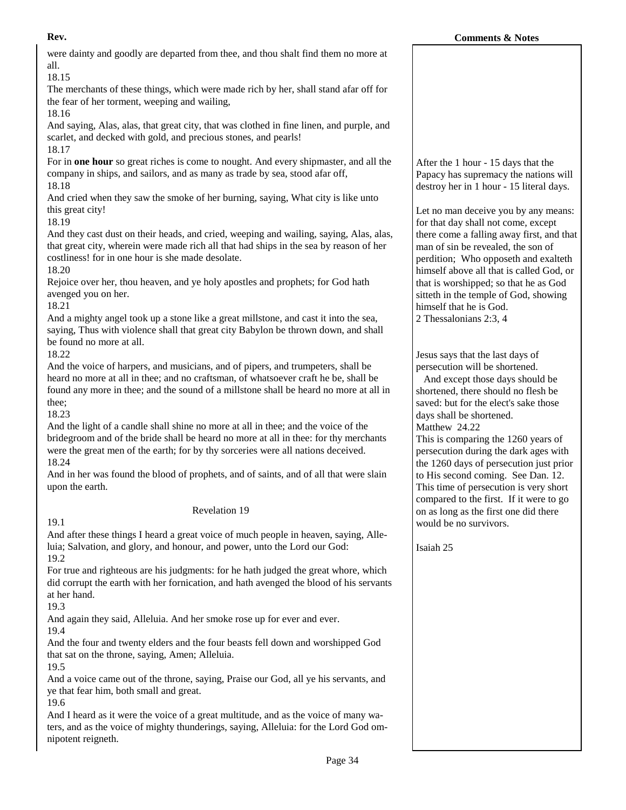| Rev.                                                                                                                                                                                                                                                                                                                                                                                                                                                                                                                                                                                                                                                                                                                                                                                                                                                                      | <b>Comments &amp; Notes</b>                                                                                                                                                                                                                                                                                                                                                                                                                                                                 |
|---------------------------------------------------------------------------------------------------------------------------------------------------------------------------------------------------------------------------------------------------------------------------------------------------------------------------------------------------------------------------------------------------------------------------------------------------------------------------------------------------------------------------------------------------------------------------------------------------------------------------------------------------------------------------------------------------------------------------------------------------------------------------------------------------------------------------------------------------------------------------|---------------------------------------------------------------------------------------------------------------------------------------------------------------------------------------------------------------------------------------------------------------------------------------------------------------------------------------------------------------------------------------------------------------------------------------------------------------------------------------------|
| were dainty and goodly are departed from thee, and thou shalt find them no more at<br>all.<br>18.15                                                                                                                                                                                                                                                                                                                                                                                                                                                                                                                                                                                                                                                                                                                                                                       |                                                                                                                                                                                                                                                                                                                                                                                                                                                                                             |
| The merchants of these things, which were made rich by her, shall stand afar off for<br>the fear of her torment, weeping and wailing,<br>18.16                                                                                                                                                                                                                                                                                                                                                                                                                                                                                                                                                                                                                                                                                                                            |                                                                                                                                                                                                                                                                                                                                                                                                                                                                                             |
| And saying, Alas, alas, that great city, that was clothed in fine linen, and purple, and<br>scarlet, and decked with gold, and precious stones, and pearls!<br>18.17                                                                                                                                                                                                                                                                                                                                                                                                                                                                                                                                                                                                                                                                                                      |                                                                                                                                                                                                                                                                                                                                                                                                                                                                                             |
| For in one hour so great riches is come to nought. And every shipmaster, and all the<br>company in ships, and sailors, and as many as trade by sea, stood afar off,<br>18.18<br>And cried when they saw the smoke of her burning, saying, What city is like unto<br>this great city!<br>18.19<br>And they cast dust on their heads, and cried, weeping and wailing, saying, Alas, alas,<br>that great city, wherein were made rich all that had ships in the sea by reason of her<br>costliness! for in one hour is she made desolate.<br>18.20<br>Rejoice over her, thou heaven, and ye holy apostles and prophets; for God hath<br>avenged you on her.<br>18.21                                                                                                                                                                                                         | After the 1 hour - 15 days that the<br>Papacy has supremacy the nations will<br>destroy her in 1 hour - 15 literal days.<br>Let no man deceive you by any means:<br>for that day shall not come, except<br>there come a falling away first, and that<br>man of sin be revealed, the son of<br>perdition; Who opposeth and exalteth<br>himself above all that is called God, or<br>that is worshipped; so that he as God<br>sitteth in the temple of God, showing<br>himself that he is God. |
| And a mighty angel took up a stone like a great millstone, and cast it into the sea,<br>saying, Thus with violence shall that great city Babylon be thrown down, and shall<br>be found no more at all.<br>18.22<br>And the voice of harpers, and musicians, and of pipers, and trumpeters, shall be<br>heard no more at all in thee; and no craftsman, of whatsoever craft he be, shall be<br>found any more in thee; and the sound of a millstone shall be heard no more at all in<br>thee;<br>18.23<br>And the light of a candle shall shine no more at all in thee; and the voice of the<br>bridegroom and of the bride shall be heard no more at all in thee: for thy merchants<br>were the great men of the earth; for by thy sorceries were all nations deceived.<br>18.24<br>And in her was found the blood of prophets, and of saints, and of all that were slain | 2 Thessalonians 2:3, 4<br>Jesus says that the last days of<br>persecution will be shortened.<br>And except those days should be<br>shortened, there should no flesh be<br>saved: but for the elect's sake those<br>days shall be shortened.<br>Matthew 24.22<br>This is comparing the 1260 years of<br>persecution during the dark ages with<br>the 1260 days of persecution just prior<br>to His second coming. See Dan. 12.                                                               |
| upon the earth.<br>Revelation 19                                                                                                                                                                                                                                                                                                                                                                                                                                                                                                                                                                                                                                                                                                                                                                                                                                          | This time of persecution is very short<br>compared to the first. If it were to go<br>on as long as the first one did there                                                                                                                                                                                                                                                                                                                                                                  |
| 19.1<br>And after these things I heard a great voice of much people in heaven, saying, Alle-<br>luia; Salvation, and glory, and honour, and power, unto the Lord our God:<br>19.2                                                                                                                                                                                                                                                                                                                                                                                                                                                                                                                                                                                                                                                                                         | would be no survivors.<br>Isaiah 25                                                                                                                                                                                                                                                                                                                                                                                                                                                         |
| For true and righteous are his judgments: for he hath judged the great whore, which<br>did corrupt the earth with her fornication, and hath avenged the blood of his servants<br>at her hand.<br>19.3                                                                                                                                                                                                                                                                                                                                                                                                                                                                                                                                                                                                                                                                     |                                                                                                                                                                                                                                                                                                                                                                                                                                                                                             |
| And again they said, Alleluia. And her smoke rose up for ever and ever.<br>19.4                                                                                                                                                                                                                                                                                                                                                                                                                                                                                                                                                                                                                                                                                                                                                                                           |                                                                                                                                                                                                                                                                                                                                                                                                                                                                                             |
| And the four and twenty elders and the four beasts fell down and worshipped God<br>that sat on the throne, saying, Amen; Alleluia.<br>19.5<br>And a voice came out of the throne, saying, Praise our God, all ye his servants, and                                                                                                                                                                                                                                                                                                                                                                                                                                                                                                                                                                                                                                        |                                                                                                                                                                                                                                                                                                                                                                                                                                                                                             |
| ye that fear him, both small and great.<br>19.6                                                                                                                                                                                                                                                                                                                                                                                                                                                                                                                                                                                                                                                                                                                                                                                                                           |                                                                                                                                                                                                                                                                                                                                                                                                                                                                                             |
| And I heard as it were the voice of a great multitude, and as the voice of many wa-<br>ters, and as the voice of mighty thunderings, saying, Alleluia: for the Lord God om-                                                                                                                                                                                                                                                                                                                                                                                                                                                                                                                                                                                                                                                                                               |                                                                                                                                                                                                                                                                                                                                                                                                                                                                                             |

nipotent reigneth.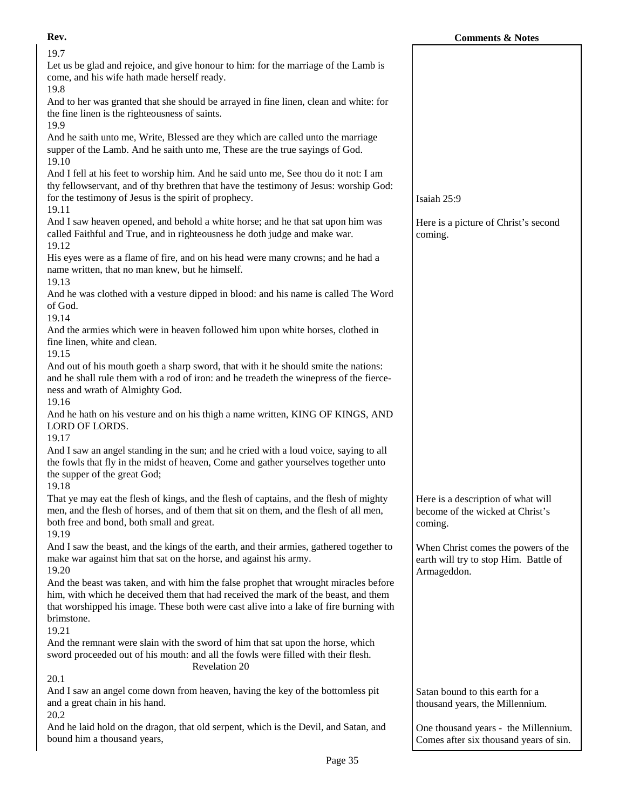| Rev.                                                                                                           | <b>Comments &amp; Notes</b>            |
|----------------------------------------------------------------------------------------------------------------|----------------------------------------|
| 19.7                                                                                                           |                                        |
| Let us be glad and rejoice, and give honour to him: for the marriage of the Lamb is                            |                                        |
| come, and his wife hath made herself ready.                                                                    |                                        |
| 19.8                                                                                                           |                                        |
| And to her was granted that she should be arrayed in fine linen, clean and white: for                          |                                        |
| the fine linen is the righteousness of saints.                                                                 |                                        |
| 19.9                                                                                                           |                                        |
| And he saith unto me, Write, Blessed are they which are called unto the marriage                               |                                        |
| supper of the Lamb. And he saith unto me, These are the true sayings of God.                                   |                                        |
| 19.10                                                                                                          |                                        |
| And I fell at his feet to worship him. And he said unto me, See thou do it not: I am                           |                                        |
| thy fellowservant, and of thy brethren that have the testimony of Jesus: worship God:                          |                                        |
| for the testimony of Jesus is the spirit of prophecy.                                                          | Isaiah 25:9                            |
| 19.11                                                                                                          |                                        |
| And I saw heaven opened, and behold a white horse; and he that sat upon him was                                | Here is a picture of Christ's second   |
| called Faithful and True, and in righteousness he doth judge and make war.                                     | coming.                                |
| 19.12                                                                                                          |                                        |
| His eyes were as a flame of fire, and on his head were many crowns; and he had a                               |                                        |
| name written, that no man knew, but he himself.                                                                |                                        |
| 19.13                                                                                                          |                                        |
| And he was clothed with a vesture dipped in blood: and his name is called The Word                             |                                        |
| of God.                                                                                                        |                                        |
| 19.14                                                                                                          |                                        |
| And the armies which were in heaven followed him upon white horses, clothed in<br>fine linen, white and clean. |                                        |
| 19.15                                                                                                          |                                        |
| And out of his mouth goeth a sharp sword, that with it he should smite the nations:                            |                                        |
| and he shall rule them with a rod of iron: and he treadeth the winepress of the fierce-                        |                                        |
| ness and wrath of Almighty God.                                                                                |                                        |
| 19.16                                                                                                          |                                        |
| And he hath on his vesture and on his thigh a name written, KING OF KINGS, AND                                 |                                        |
| LORD OF LORDS.                                                                                                 |                                        |
| 19.17                                                                                                          |                                        |
| And I saw an angel standing in the sun; and he cried with a loud voice, saying to all                          |                                        |
| the fowls that fly in the midst of heaven, Come and gather yourselves together unto                            |                                        |
| the supper of the great God;                                                                                   |                                        |
| 19.18                                                                                                          |                                        |
| That ye may eat the flesh of kings, and the flesh of captains, and the flesh of mighty                         | Here is a description of what will     |
| men, and the flesh of horses, and of them that sit on them, and the flesh of all men,                          | become of the wicked at Christ's       |
| both free and bond, both small and great.                                                                      | coming.                                |
| 19.19                                                                                                          |                                        |
| And I saw the beast, and the kings of the earth, and their armies, gathered together to                        | When Christ comes the powers of the    |
| make war against him that sat on the horse, and against his army.                                              | earth will try to stop Him. Battle of  |
| 19.20                                                                                                          | Armageddon.                            |
| And the beast was taken, and with him the false prophet that wrought miracles before                           |                                        |
| him, with which he deceived them that had received the mark of the beast, and them                             |                                        |
| that worshipped his image. These both were cast alive into a lake of fire burning with                         |                                        |
| brimstone.                                                                                                     |                                        |
| 19.21                                                                                                          |                                        |
| And the remnant were slain with the sword of him that sat upon the horse, which                                |                                        |
| sword proceeded out of his mouth: and all the fowls were filled with their flesh.                              |                                        |
| Revelation 20<br>20.1                                                                                          |                                        |
| And I saw an angel come down from heaven, having the key of the bottomless pit                                 | Satan bound to this earth for a        |
| and a great chain in his hand.                                                                                 | thousand years, the Millennium.        |
| 20.2                                                                                                           |                                        |
| And he laid hold on the dragon, that old serpent, which is the Devil, and Satan, and                           | One thousand years - the Millennium.   |
| bound him a thousand years,                                                                                    | Comes after six thousand years of sin. |
|                                                                                                                |                                        |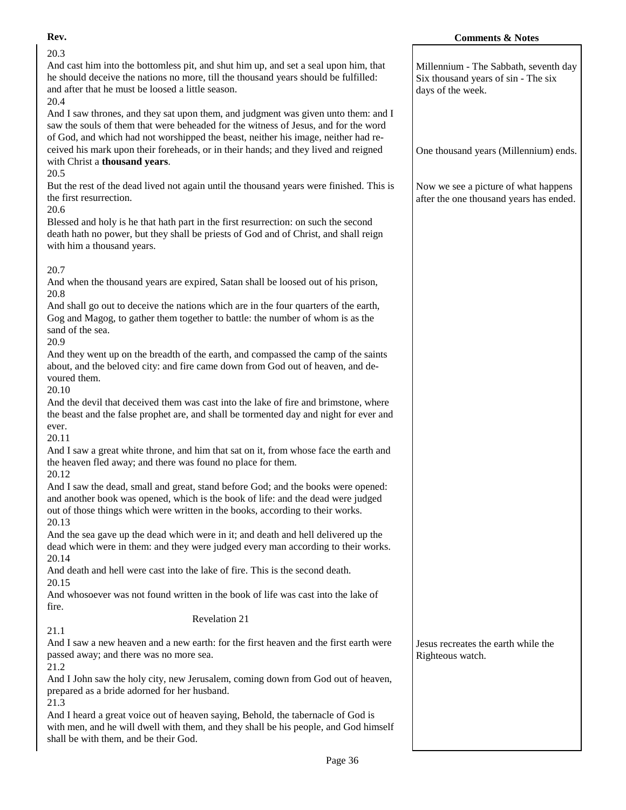| Rev.                                                                                                                                                                                                                                                                                                                                                                                            | <b>Comments &amp; Notes</b>                                                                       |  |  |
|-------------------------------------------------------------------------------------------------------------------------------------------------------------------------------------------------------------------------------------------------------------------------------------------------------------------------------------------------------------------------------------------------|---------------------------------------------------------------------------------------------------|--|--|
| 20.3<br>And cast him into the bottomless pit, and shut him up, and set a seal upon him, that<br>he should deceive the nations no more, till the thousand years should be fulfilled:<br>and after that he must be loosed a little season.<br>20.4                                                                                                                                                | Millennium - The Sabbath, seventh day<br>Six thousand years of sin - The six<br>days of the week. |  |  |
| And I saw thrones, and they sat upon them, and judgment was given unto them: and I<br>saw the souls of them that were beheaded for the witness of Jesus, and for the word<br>of God, and which had not worshipped the beast, neither his image, neither had re-<br>ceived his mark upon their foreheads, or in their hands; and they lived and reigned<br>with Christ a thousand years.<br>20.5 | One thousand years (Millennium) ends.                                                             |  |  |
| But the rest of the dead lived not again until the thousand years were finished. This is<br>the first resurrection.<br>20.6                                                                                                                                                                                                                                                                     | Now we see a picture of what happens<br>after the one thousand years has ended.                   |  |  |
| Blessed and holy is he that hath part in the first resurrection: on such the second<br>death hath no power, but they shall be priests of God and of Christ, and shall reign<br>with him a thousand years.                                                                                                                                                                                       |                                                                                                   |  |  |
| 20.7<br>And when the thousand years are expired, Satan shall be loosed out of his prison,<br>20.8                                                                                                                                                                                                                                                                                               |                                                                                                   |  |  |
| And shall go out to deceive the nations which are in the four quarters of the earth,<br>Gog and Magog, to gather them together to battle: the number of whom is as the<br>sand of the sea.<br>20.9                                                                                                                                                                                              |                                                                                                   |  |  |
| And they went up on the breadth of the earth, and compassed the camp of the saints<br>about, and the beloved city: and fire came down from God out of heaven, and de-<br>voured them.<br>20.10                                                                                                                                                                                                  |                                                                                                   |  |  |
| And the devil that deceived them was cast into the lake of fire and brimstone, where<br>the beast and the false prophet are, and shall be tormented day and night for ever and<br>ever.                                                                                                                                                                                                         |                                                                                                   |  |  |
| 20.11<br>And I saw a great white throne, and him that sat on it, from whose face the earth and<br>the heaven fled away; and there was found no place for them.<br>20.12                                                                                                                                                                                                                         |                                                                                                   |  |  |
| And I saw the dead, small and great, stand before God; and the books were opened:<br>and another book was opened, which is the book of life: and the dead were judged<br>out of those things which were written in the books, according to their works.<br>20.13                                                                                                                                |                                                                                                   |  |  |
| And the sea gave up the dead which were in it; and death and hell delivered up the<br>dead which were in them: and they were judged every man according to their works.<br>20.14                                                                                                                                                                                                                |                                                                                                   |  |  |
| And death and hell were cast into the lake of fire. This is the second death.<br>20.15<br>And whosoever was not found written in the book of life was cast into the lake of                                                                                                                                                                                                                     |                                                                                                   |  |  |
| fire.                                                                                                                                                                                                                                                                                                                                                                                           |                                                                                                   |  |  |
| <b>Revelation 21</b><br>21.1                                                                                                                                                                                                                                                                                                                                                                    |                                                                                                   |  |  |
| And I saw a new heaven and a new earth: for the first heaven and the first earth were<br>passed away; and there was no more sea.<br>21.2                                                                                                                                                                                                                                                        | Jesus recreates the earth while the<br>Righteous watch.                                           |  |  |
| And I John saw the holy city, new Jerusalem, coming down from God out of heaven,<br>prepared as a bride adorned for her husband.<br>21.3                                                                                                                                                                                                                                                        |                                                                                                   |  |  |
| And I heard a great voice out of heaven saying, Behold, the tabernacle of God is<br>with men, and he will dwell with them, and they shall be his people, and God himself<br>shall be with them, and be their God.                                                                                                                                                                               |                                                                                                   |  |  |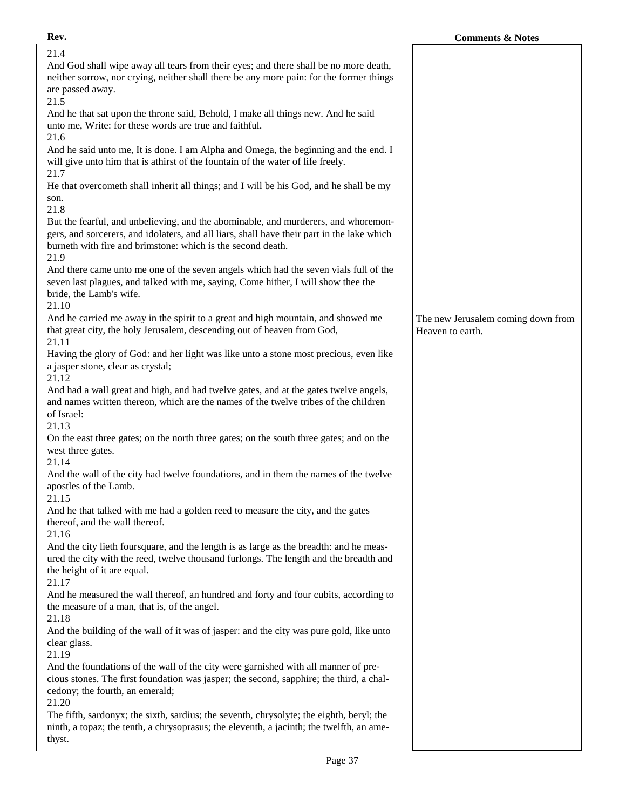| 21.4<br>And God shall wipe away all tears from their eyes; and there shall be no more death,<br>neither sorrow, nor crying, neither shall there be any more pain: for the former things<br>are passed away.<br>21.5                                     |                                                        |
|---------------------------------------------------------------------------------------------------------------------------------------------------------------------------------------------------------------------------------------------------------|--------------------------------------------------------|
| And he that sat upon the throne said, Behold, I make all things new. And he said<br>unto me, Write: for these words are true and faithful.<br>21.6                                                                                                      |                                                        |
| And he said unto me, It is done. I am Alpha and Omega, the beginning and the end. I<br>will give unto him that is athirst of the fountain of the water of life freely.<br>21.7                                                                          |                                                        |
| He that overcometh shall inherit all things; and I will be his God, and he shall be my<br>son.<br>21.8                                                                                                                                                  |                                                        |
| But the fearful, and unbelieving, and the abominable, and murderers, and whoremon-<br>gers, and sorcerers, and idolaters, and all liars, shall have their part in the lake which<br>burneth with fire and brimstone: which is the second death.<br>21.9 |                                                        |
| And there came unto me one of the seven angels which had the seven vials full of the<br>seven last plagues, and talked with me, saying, Come hither, I will show thee the<br>bride, the Lamb's wife.<br>21.10                                           |                                                        |
| And he carried me away in the spirit to a great and high mountain, and showed me<br>that great city, the holy Jerusalem, descending out of heaven from God,<br>21.11                                                                                    | The new Jerusalem coming down from<br>Heaven to earth. |
| Having the glory of God: and her light was like unto a stone most precious, even like<br>a jasper stone, clear as crystal;<br>21.12                                                                                                                     |                                                        |
| And had a wall great and high, and had twelve gates, and at the gates twelve angels,<br>and names written thereon, which are the names of the twelve tribes of the children<br>of Israel:<br>21.13                                                      |                                                        |
| On the east three gates; on the north three gates; on the south three gates; and on the<br>west three gates.<br>21.14                                                                                                                                   |                                                        |
| And the wall of the city had twelve foundations, and in them the names of the twelve<br>apostles of the Lamb.<br>21.15                                                                                                                                  |                                                        |
| And he that talked with me had a golden reed to measure the city, and the gates<br>thereof, and the wall thereof.<br>21.16                                                                                                                              |                                                        |
| And the city lieth foursquare, and the length is as large as the breadth: and he meas-<br>ured the city with the reed, twelve thousand furlongs. The length and the breadth and<br>the height of it are equal.<br>21.17                                 |                                                        |
| And he measured the wall thereof, an hundred and forty and four cubits, according to<br>the measure of a man, that is, of the angel.<br>21.18                                                                                                           |                                                        |
| And the building of the wall of it was of jasper: and the city was pure gold, like unto<br>clear glass.<br>21.19                                                                                                                                        |                                                        |
| And the foundations of the wall of the city were garnished with all manner of pre-<br>cious stones. The first foundation was jasper; the second, sapphire; the third, a chal-<br>cedony; the fourth, an emerald;<br>21.20                               |                                                        |
| The fifth, sardonyx; the sixth, sardius; the seventh, chrysolyte; the eighth, beryl; the<br>ninth, a topaz; the tenth, a chrysoprasus; the eleventh, a jacinth; the twelfth, an ame-<br>thyst.                                                          |                                                        |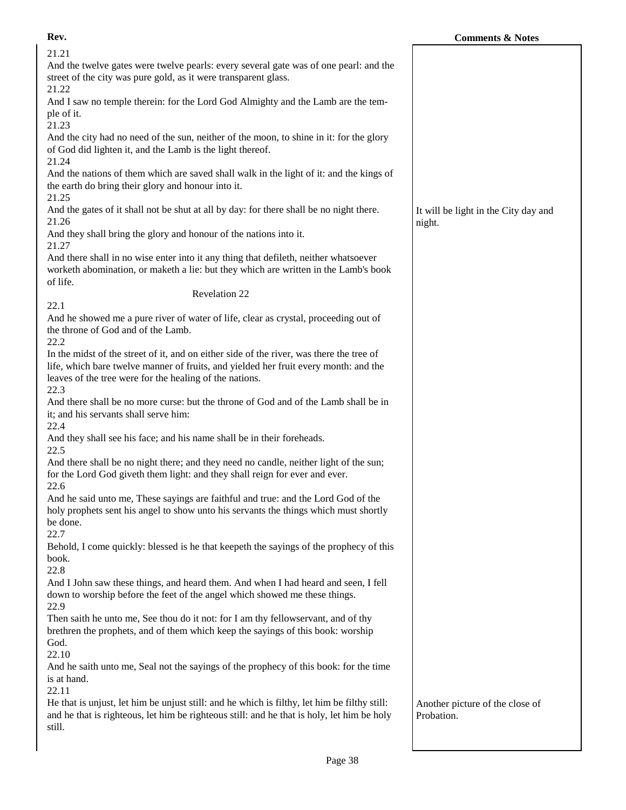| Rev.                                                                                         | <b>Comments &amp; Notes</b>          |
|----------------------------------------------------------------------------------------------|--------------------------------------|
| 21.21                                                                                        |                                      |
| And the twelve gates were twelve pearls: every several gate was of one pearl: and the        |                                      |
| street of the city was pure gold, as it were transparent glass.                              |                                      |
| 21.22                                                                                        |                                      |
| And I saw no temple therein: for the Lord God Almighty and the Lamb are the tem-             |                                      |
| ple of it.                                                                                   |                                      |
| 21.23                                                                                        |                                      |
|                                                                                              |                                      |
| And the city had no need of the sun, neither of the moon, to shine in it: for the glory      |                                      |
| of God did lighten it, and the Lamb is the light thereof.<br>21.24                           |                                      |
|                                                                                              |                                      |
| And the nations of them which are saved shall walk in the light of it: and the kings of      |                                      |
| the earth do bring their glory and honour into it.                                           |                                      |
| 21.25                                                                                        |                                      |
| And the gates of it shall not be shut at all by day: for there shall be no night there.      | It will be light in the City day and |
| 21.26                                                                                        | night.                               |
| And they shall bring the glory and honour of the nations into it.                            |                                      |
| 21.27                                                                                        |                                      |
| And there shall in no wise enter into it any thing that defileth, neither whatsoever         |                                      |
| worketh abomination, or maketh a lie: but they which are written in the Lamb's book          |                                      |
| of life.                                                                                     |                                      |
| Revelation 22                                                                                |                                      |
| 22.1                                                                                         |                                      |
| And he showed me a pure river of water of life, clear as crystal, proceeding out of          |                                      |
| the throne of God and of the Lamb.                                                           |                                      |
| 22.2                                                                                         |                                      |
| In the midst of the street of it, and on either side of the river, was there the tree of     |                                      |
| life, which bare twelve manner of fruits, and yielded her fruit every month: and the         |                                      |
| leaves of the tree were for the healing of the nations.                                      |                                      |
| 22.3                                                                                         |                                      |
| And there shall be no more curse: but the throne of God and of the Lamb shall be in          |                                      |
| it; and his servants shall serve him:                                                        |                                      |
| 22.4                                                                                         |                                      |
| And they shall see his face; and his name shall be in their foreheads.                       |                                      |
| 22.5                                                                                         |                                      |
| And there shall be no night there; and they need no candle, neither light of the sun;        |                                      |
| for the Lord God giveth them light: and they shall reign for ever and ever.                  |                                      |
| 22.6                                                                                         |                                      |
| And he said unto me, These sayings are faithful and true: and the Lord God of the            |                                      |
| holy prophets sent his angel to show unto his servants the things which must shortly         |                                      |
| be done.                                                                                     |                                      |
| 22.7                                                                                         |                                      |
| Behold, I come quickly: blessed is he that keepeth the sayings of the prophecy of this       |                                      |
| book.                                                                                        |                                      |
| 22.8                                                                                         |                                      |
| And I John saw these things, and heard them. And when I had heard and seen, I fell           |                                      |
| down to worship before the feet of the angel which showed me these things.                   |                                      |
| 22.9                                                                                         |                                      |
| Then saith he unto me, See thou do it not: for I am thy fellowservant, and of thy            |                                      |
| brethren the prophets, and of them which keep the sayings of this book: worship              |                                      |
| God.                                                                                         |                                      |
| 22.10                                                                                        |                                      |
| And he saith unto me, Seal not the sayings of the prophecy of this book: for the time        |                                      |
|                                                                                              |                                      |
| is at hand.                                                                                  |                                      |
| 22.11                                                                                        |                                      |
| He that is unjust, let him be unjust still: and he which is filthy, let him be filthy still: | Another picture of the close of      |
| and he that is righteous, let him be righteous still: and he that is holy, let him be holy   | Probation.                           |
| still.                                                                                       |                                      |
|                                                                                              |                                      |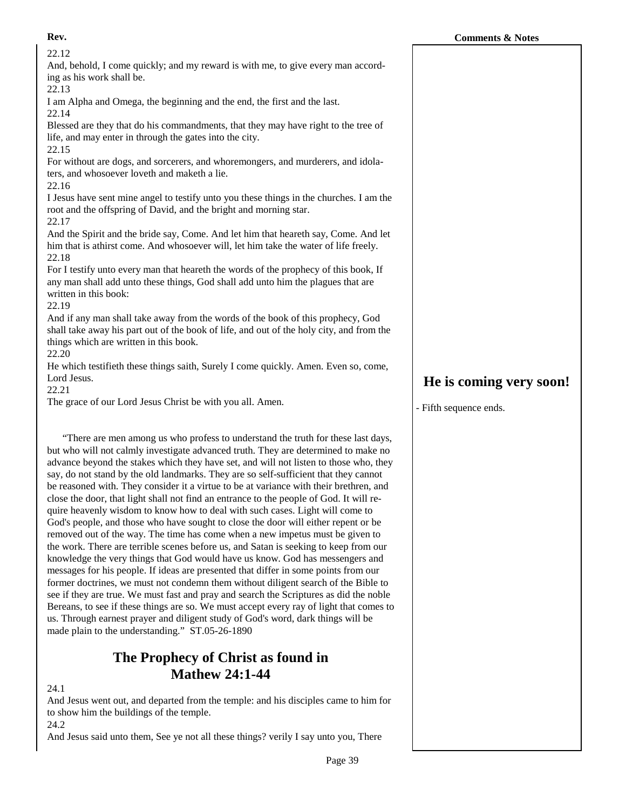| Rev.                                                                                                                                                                                                                                                                                                                                                                                                                                                     | <b>Comments &amp; Notes</b> |
|----------------------------------------------------------------------------------------------------------------------------------------------------------------------------------------------------------------------------------------------------------------------------------------------------------------------------------------------------------------------------------------------------------------------------------------------------------|-----------------------------|
| 22.12                                                                                                                                                                                                                                                                                                                                                                                                                                                    |                             |
| And, behold, I come quickly; and my reward is with me, to give every man accord-<br>ing as his work shall be.<br>22.13                                                                                                                                                                                                                                                                                                                                   |                             |
| I am Alpha and Omega, the beginning and the end, the first and the last.<br>22.14                                                                                                                                                                                                                                                                                                                                                                        |                             |
| Blessed are they that do his commandments, that they may have right to the tree of<br>life, and may enter in through the gates into the city.<br>22.15                                                                                                                                                                                                                                                                                                   |                             |
| For without are dogs, and sorcerers, and whoremongers, and murderers, and idola-<br>ters, and whosoever loveth and maketh a lie.<br>22.16                                                                                                                                                                                                                                                                                                                |                             |
| I Jesus have sent mine angel to testify unto you these things in the churches. I am the<br>root and the offspring of David, and the bright and morning star.<br>22.17                                                                                                                                                                                                                                                                                    |                             |
| And the Spirit and the bride say, Come. And let him that heareth say, Come. And let<br>him that is athirst come. And whosoever will, let him take the water of life freely.<br>22.18                                                                                                                                                                                                                                                                     |                             |
| For I testify unto every man that heareth the words of the prophecy of this book, If<br>any man shall add unto these things, God shall add unto him the plagues that are<br>written in this book:<br>22.19                                                                                                                                                                                                                                               |                             |
| And if any man shall take away from the words of the book of this prophecy, God<br>shall take away his part out of the book of life, and out of the holy city, and from the<br>things which are written in this book.<br>22.20                                                                                                                                                                                                                           |                             |
| He which testifieth these things saith, Surely I come quickly. Amen. Even so, come,<br>Lord Jesus.<br>22.21                                                                                                                                                                                                                                                                                                                                              | He is coming very soon!     |
| The grace of our Lord Jesus Christ be with you all. Amen.                                                                                                                                                                                                                                                                                                                                                                                                | - Fifth sequence ends.      |
| "There are men among us who profess to understand the truth for these last days,                                                                                                                                                                                                                                                                                                                                                                         |                             |
| but who will not calmly investigate advanced truth. They are determined to make no<br>advance beyond the stakes which they have set, and will not listen to those who, they<br>say, do not stand by the old landmarks. They are so self-sufficient that they cannot<br>be reasoned with. They consider it a virtue to be at variance with their brethren, and<br>close the door, that light shall not find an entrance to the people of God. It will re- |                             |
| quire heavenly wisdom to know how to deal with such cases. Light will come to                                                                                                                                                                                                                                                                                                                                                                            |                             |

#### **The Prophecy of Christ as found in Mathew 24:1-44**

made plain to the understanding." ST.05-26-1890

God's people, and those who have sought to close the door will either repent or be removed out of the way. The time has come when a new impetus must be given to the work. There are terrible scenes before us, and Satan is seeking to keep from our knowledge the very things that God would have us know. God has messengers and messages for his people. If ideas are presented that differ in some points from our former doctrines, we must not condemn them without diligent search of the Bible to see if they are true. We must fast and pray and search the Scriptures as did the noble Bereans, to see if these things are so. We must accept every ray of light that comes to us. Through earnest prayer and diligent study of God's word, dark things will be

24.1

And Jesus went out, and departed from the temple: and his disciples came to him for to show him the buildings of the temple.

24.2

And Jesus said unto them, See ye not all these things? verily I say unto you, There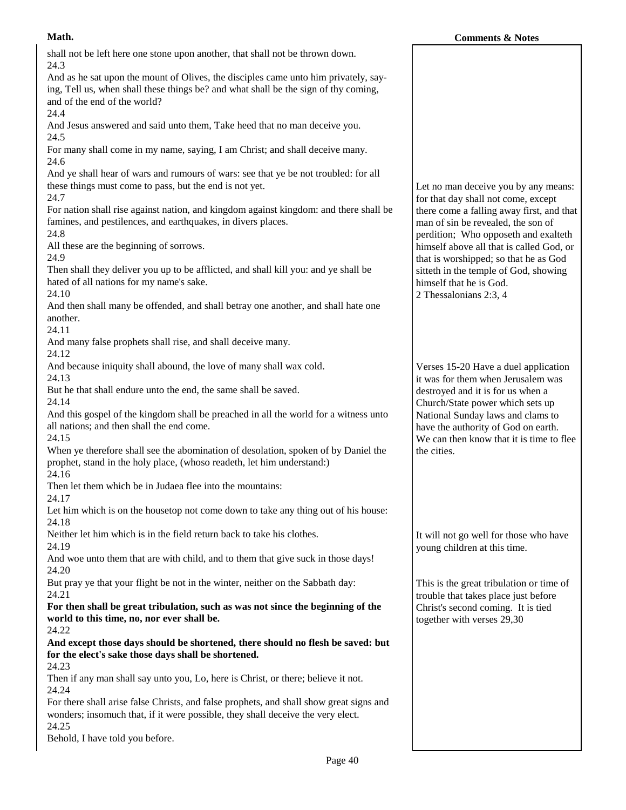| shall not be left here one stone upon another, that shall not be thrown down.<br>24.3                                                                                                                              |                                                                                                                         |
|--------------------------------------------------------------------------------------------------------------------------------------------------------------------------------------------------------------------|-------------------------------------------------------------------------------------------------------------------------|
| And as he sat upon the mount of Olives, the disciples came unto him privately, say-<br>ing, Tell us, when shall these things be? and what shall be the sign of thy coming,<br>and of the end of the world?<br>24.4 |                                                                                                                         |
| And Jesus answered and said unto them, Take heed that no man deceive you.<br>24.5                                                                                                                                  |                                                                                                                         |
| For many shall come in my name, saying, I am Christ; and shall deceive many.<br>24.6                                                                                                                               |                                                                                                                         |
| And ye shall hear of wars and rumours of wars: see that ye be not troubled: for all<br>these things must come to pass, but the end is not yet.<br>24.7                                                             | Let no man deceive you by any means:<br>for that day shall not come, except                                             |
| For nation shall rise against nation, and kingdom against kingdom: and there shall be<br>famines, and pestilences, and earthquakes, in divers places.<br>24.8                                                      | there come a falling away first, and that<br>man of sin be revealed, the son of<br>perdition; Who opposeth and exalteth |
| All these are the beginning of sorrows.<br>24.9                                                                                                                                                                    | himself above all that is called God, or<br>that is worshipped; so that he as God                                       |
| Then shall they deliver you up to be afflicted, and shall kill you: and ye shall be<br>hated of all nations for my name's sake.<br>24.10                                                                           | sitteth in the temple of God, showing<br>himself that he is God.<br>2 Thessalonians 2:3, 4                              |
| And then shall many be offended, and shall betray one another, and shall hate one<br>another.<br>24.11                                                                                                             |                                                                                                                         |
| And many false prophets shall rise, and shall deceive many.<br>24.12                                                                                                                                               |                                                                                                                         |
| And because iniquity shall abound, the love of many shall wax cold.<br>24.13                                                                                                                                       | Verses 15-20 Have a duel application<br>it was for them when Jerusalem was                                              |
| But he that shall endure unto the end, the same shall be saved.<br>24.14                                                                                                                                           | destroyed and it is for us when a<br>Church/State power which sets up                                                   |
| And this gospel of the kingdom shall be preached in all the world for a witness unto<br>all nations; and then shall the end come.<br>24.15                                                                         | National Sunday laws and clams to<br>have the authority of God on earth.<br>We can then know that it is time to flee    |
| When ye therefore shall see the abomination of desolation, spoken of by Daniel the<br>prophet, stand in the holy place, (whoso readeth, let him understand:)<br>24.16                                              | the cities.                                                                                                             |
| Then let them which be in Judaea flee into the mountains:<br>24.17                                                                                                                                                 |                                                                                                                         |
| Let him which is on the housetop not come down to take any thing out of his house:<br>24.18                                                                                                                        |                                                                                                                         |
| Neither let him which is in the field return back to take his clothes.<br>24.19                                                                                                                                    | It will not go well for those who have<br>young children at this time.                                                  |
| And woe unto them that are with child, and to them that give suck in those days!<br>24.20                                                                                                                          |                                                                                                                         |
| But pray ye that your flight be not in the winter, neither on the Sabbath day:<br>24.21                                                                                                                            | This is the great tribulation or time of<br>trouble that takes place just before                                        |
| For then shall be great tribulation, such as was not since the beginning of the<br>world to this time, no, nor ever shall be.<br>24.22                                                                             | Christ's second coming. It is tied<br>together with verses 29,30                                                        |
| And except those days should be shortened, there should no flesh be saved: but<br>for the elect's sake those days shall be shortened.<br>24.23                                                                     |                                                                                                                         |
| Then if any man shall say unto you, Lo, here is Christ, or there; believe it not.<br>24.24                                                                                                                         |                                                                                                                         |
| For there shall arise false Christs, and false prophets, and shall show great signs and<br>wonders; insomuch that, if it were possible, they shall deceive the very elect.<br>24.25                                |                                                                                                                         |
| Behold, I have told you before.                                                                                                                                                                                    |                                                                                                                         |

**Comments & Notes** 

#### **Math.**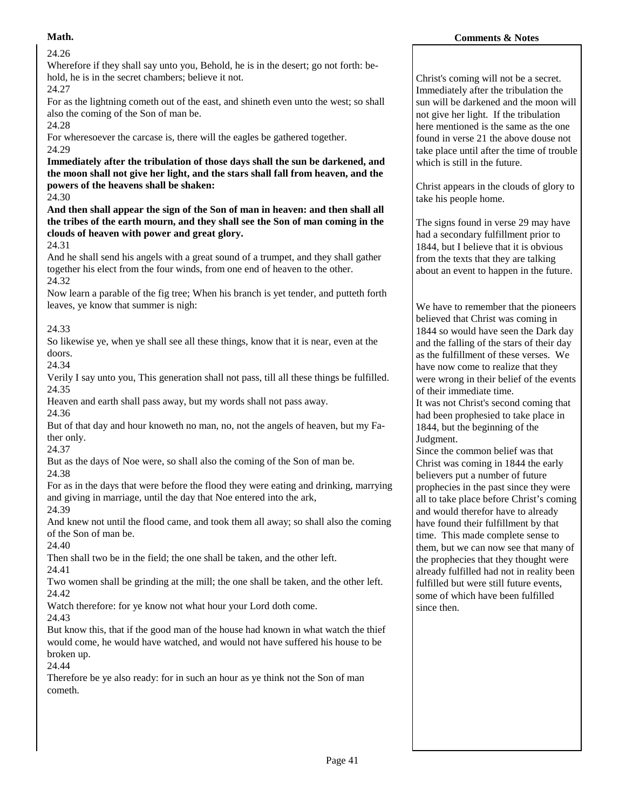#### **Math.**

24.26

Wherefore if they shall say unto you, Behold, he is in the desert; go not forth: behold, he is in the secret chambers; believe it not.

24.27

For as the lightning cometh out of the east, and shineth even unto the west; so shall also the coming of the Son of man be.

24.28

For wheresoever the carcase is, there will the eagles be gathered together. 24.29

**Immediately after the tribulation of those days shall the sun be darkened, and the moon shall not give her light, and the stars shall fall from heaven, and the powers of the heavens shall be shaken:** 

24.30

**And then shall appear the sign of the Son of man in heaven: and then shall all the tribes of the earth mourn, and they shall see the Son of man coming in the clouds of heaven with power and great glory.** 

24.31

And he shall send his angels with a great sound of a trumpet, and they shall gather together his elect from the four winds, from one end of heaven to the other. 24.32

Now learn a parable of the fig tree; When his branch is yet tender, and putteth forth leaves, ye know that summer is nigh:

#### 24.33

So likewise ye, when ye shall see all these things, know that it is near, even at the doors.

24.34

Verily I say unto you, This generation shall not pass, till all these things be fulfilled. 24.35

Heaven and earth shall pass away, but my words shall not pass away.

24.36

But of that day and hour knoweth no man, no, not the angels of heaven, but my Father only.

24.37

But as the days of Noe were, so shall also the coming of the Son of man be. 24.38

For as in the days that were before the flood they were eating and drinking, marrying and giving in marriage, until the day that Noe entered into the ark, 24.39

And knew not until the flood came, and took them all away; so shall also the coming of the Son of man be.

24.40

Then shall two be in the field; the one shall be taken, and the other left. 24.41

Two women shall be grinding at the mill; the one shall be taken, and the other left. 24.42

Watch therefore: for ye know not what hour your Lord doth come.

24.43

But know this, that if the good man of the house had known in what watch the thief would come, he would have watched, and would not have suffered his house to be broken up.

24.44

Therefore be ye also ready: for in such an hour as ye think not the Son of man cometh.

Christ's coming will not be a secret. Immediately after the tribulation the sun will be darkened and the moon will not give her light. If the tribulation here mentioned is the same as the one found in verse 21 the above douse not take place until after the time of trouble which is still in the future.

Christ appears in the clouds of glory to take his people home.

The signs found in verse 29 may have had a secondary fulfillment prior to 1844, but I believe that it is obvious from the texts that they are talking about an event to happen in the future.

We have to remember that the pioneers believed that Christ was coming in 1844 so would have seen the Dark day and the falling of the stars of their day as the fulfillment of these verses. We have now come to realize that they were wrong in their belief of the events of their immediate time.

It was not Christ's second coming that had been prophesied to take place in 1844, but the beginning of the Judgment.

Since the common belief was that Christ was coming in 1844 the early believers put a number of future prophecies in the past since they were all to take place before Christ's coming and would therefor have to already have found their fulfillment by that time. This made complete sense to them, but we can now see that many of the prophecies that they thought were already fulfilled had not in reality been fulfilled but were still future events, some of which have been fulfilled since then.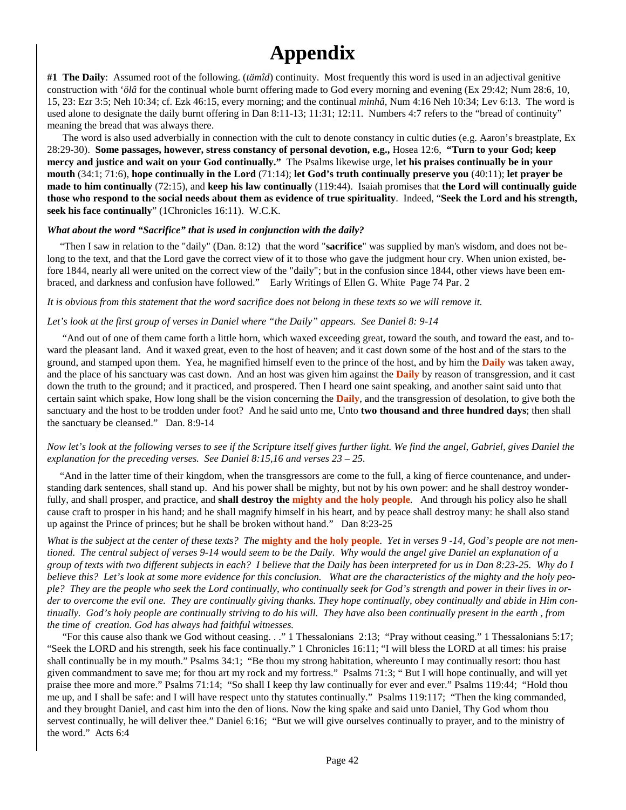**#1 The Daily**: Assumed root of the following. (*tämîd*) continuity. Most frequently this word is used in an adjectival genitive construction with '*ölâ* for the continual whole burnt offering made to God every morning and evening (Ex 29:42; Num 28:6, 10, 15, 23: Ezr 3:5; Neh 10:34; cf. Ezk 46:15, every morning; and the continual *minhâ,* Num 4:16 Neh 10:34; Lev 6:13. The word is used alone to designate the daily burnt offering in Dan 8:11-13; 11:31; 12:11. Numbers 4:7 refers to the "bread of continuity" meaning the bread that was always there.

 The word is also used adverbially in connection with the cult to denote constancy in cultic duties (e.g. Aaron's breastplate, Ex 28:29-30). **Some passages, however, stress constancy of personal devotion, e.g.,** Hosea 12:6, **"Turn to your God; keep mercy and justice and wait on your God continually."** The Psalms likewise urge, l**et his praises continually be in your mouth** (34:1; 71:6), **hope continually in the Lord** (71:14); **let God's truth continually preserve you** (40:11); **let prayer be made to him continually** (72:15), and **keep his law continually** (119:44). Isaiah promises that **the Lord will continually guide those who respond to the social needs about them as evidence of true spirituality**. Indeed, "**Seek the Lord and his strength, seek his face continually**" (1Chronicles 16:11). W.C.K.

#### *What about the word "Sacrifice" that is used in conjunction with the daily?*

 "Then I saw in relation to the "daily" (Dan. 8:12) that the word "**sacrifice**" was supplied by man's wisdom, and does not belong to the text, and that the Lord gave the correct view of it to those who gave the judgment hour cry. When union existed, before 1844, nearly all were united on the correct view of the "daily"; but in the confusion since 1844, other views have been embraced, and darkness and confusion have followed." Early Writings of Ellen G. White Page 74 Par. 2

#### *It is obvious from this statement that the word sacrifice does not belong in these texts so we will remove it.*

#### *Let's look at the first group of verses in Daniel where "the Daily" appears. See Daniel 8: 9-14*

 "And out of one of them came forth a little horn, which waxed exceeding great, toward the south, and toward the east, and toward the pleasant land. And it waxed great, even to the host of heaven; and it cast down some of the host and of the stars to the ground, and stamped upon them. Yea, he magnified himself even to the prince of the host, and by him the **Daily** was taken away, and the place of his sanctuary was cast down. And an host was given him against the **Daily** by reason of transgression, and it cast down the truth to the ground; and it practiced, and prospered. Then I heard one saint speaking, and another saint said unto that certain saint which spake, How long shall be the vision concerning the **Daily**, and the transgression of desolation, to give both the sanctuary and the host to be trodden under foot? And he said unto me, Unto **two thousand and three hundred days**; then shall the sanctuary be cleansed." Dan. 8:9-14

#### *Now let's look at the following verses to see if the Scripture itself gives further light. We find the angel, Gabriel, gives Daniel the explanation for the preceding verses. See Daniel 8:15,16 and verses 23 – 25.*

 "And in the latter time of their kingdom, when the transgressors are come to the full, a king of fierce countenance, and understanding dark sentences, shall stand up. And his power shall be mighty, but not by his own power: and he shall destroy wonderfully, and shall prosper, and practice, and **shall destroy the mighty and the holy people**. And through his policy also he shall cause craft to prosper in his hand; and he shall magnify himself in his heart, and by peace shall destroy many: he shall also stand up against the Prince of princes; but he shall be broken without hand." Dan 8:23-25

*What is the subject at the center of these texts? The* **mighty and the holy people**. *Yet in verses 9 -14, God's people are not mentioned. The central subject of verses 9-14 would seem to be the Daily. Why would the angel give Daniel an explanation of a group of texts with two different subjects in each? I believe that the Daily has been interpreted for us in Dan 8:23-25. Why do I believe this? Let's look at some more evidence for this conclusion. What are the characteristics of the mighty and the holy people? They are the people who seek the Lord continually, who continually seek for God's strength and power in their lives in order to overcome the evil one. They are continually giving thanks. They hope continually, obey continually and abide in Him continually. God's holy people are continually striving to do his will. They have also been continually present in the earth , from the time of creation. God has always had faithful witnesses.* 

 "For this cause also thank we God without ceasing. . ." 1 Thessalonians 2:13; "Pray without ceasing." 1 Thessalonians 5:17; "Seek the LORD and his strength, seek his face continually." 1 Chronicles 16:11; "I will bless the LORD at all times: his praise shall continually be in my mouth." Psalms 34:1; "Be thou my strong habitation, whereunto I may continually resort: thou hast given commandment to save me; for thou art my rock and my fortress." Psalms 71:3; " But I will hope continually, and will yet praise thee more and more." Psalms 71:14; "So shall I keep thy law continually for ever and ever." Psalms 119:44; "Hold thou me up, and I shall be safe: and I will have respect unto thy statutes continually." Psalms 119:117; "Then the king commanded, and they brought Daniel, and cast him into the den of lions. Now the king spake and said unto Daniel, Thy God whom thou servest continually, he will deliver thee." Daniel 6:16; "But we will give ourselves continually to prayer, and to the ministry of the word." Acts 6:4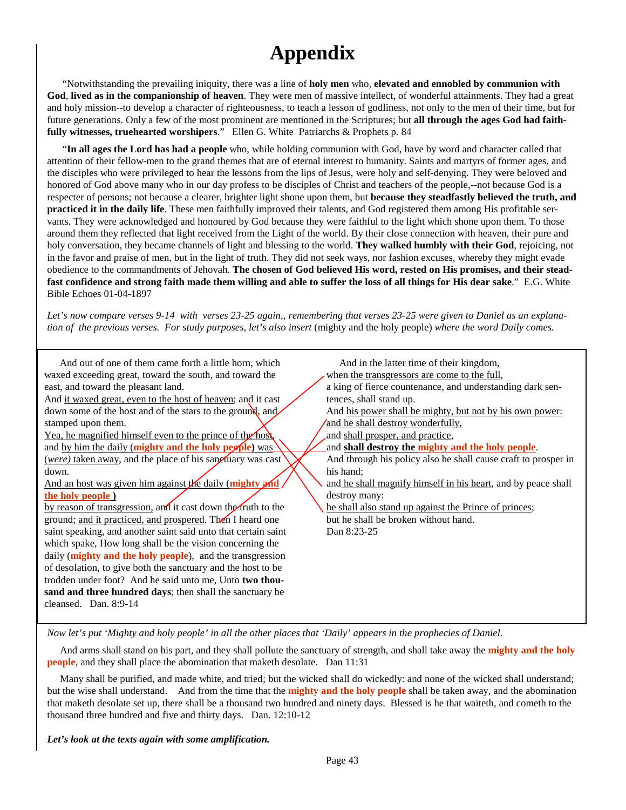"Notwithstanding the prevailing iniquity, there was a line of **holy men** who, **elevated and ennobled by communion with God**, **lived as in the companionship of heaven**. They were men of massive intellect, of wonderful attainments. They had a great and holy mission--to develop a character of righteousness, to teach a lesson of godliness, not only to the men of their time, but for future generations. Only a few of the most prominent are mentioned in the Scriptures; but **all through the ages God had faithfully witnesses, truehearted worshipers**." Ellen G. White Patriarchs & Prophets p. 84

 "**In all ages the Lord has had a people** who, while holding communion with God, have by word and character called that attention of their fellow-men to the grand themes that are of eternal interest to humanity. Saints and martyrs of former ages, and the disciples who were privileged to hear the lessons from the lips of Jesus, were holy and self-denying. They were beloved and honored of God above many who in our day profess to be disciples of Christ and teachers of the people,--not because God is a respecter of persons; not because a clearer, brighter light shone upon them, but **because they steadfastly believed the truth, and practiced it in the daily life**. These men faithfully improved their talents, and God registered them among His profitable servants. They were acknowledged and honoured by God because they were faithful to the light which shone upon them. To those around them they reflected that light received from the Light of the world. By their close connection with heaven, their pure and holy conversation, they became channels of light and blessing to the world. **They walked humbly with their God**, rejoicing, not in the favor and praise of men, but in the light of truth. They did not seek ways, nor fashion excuses, whereby they might evade obedience to the commandments of Jehovah. **The chosen of God believed His word, rested on His promises, and their steadfast confidence and strong faith made them willing and able to suffer the loss of all things for His dear sake**." E.G. White Bible Echoes 01-04-1897

Let's now compare verses 9-14 with verses 23-25 again,, remembering that verses 23-25 were given to Daniel as an explana*tion of the previous verses. For study purposes, let's also insert* (mighty and the holy people) where the word Daily comes.

| And out of one of them came forth a little horn, which<br>And in the latter time of their kingdom,<br>waxed exceeding great, toward the south, and toward the<br>when the transgressors are come to the full,<br>a king of fierce countenance, and understanding dark sen-<br>east, and toward the pleasant land.<br>And it waxed great, even to the host of heaven; and it cast<br>tences, shall stand up.<br>down some of the host and of the stars to the ground, and<br>And his power shall be mighty, but not by his own power:<br>and he shall destroy wonderfully,<br>stamped upon them. |
|-------------------------------------------------------------------------------------------------------------------------------------------------------------------------------------------------------------------------------------------------------------------------------------------------------------------------------------------------------------------------------------------------------------------------------------------------------------------------------------------------------------------------------------------------------------------------------------------------|
| and shall prosper, and practice,<br>Yea, he magnified himself even to the prince of the host,                                                                                                                                                                                                                                                                                                                                                                                                                                                                                                   |
| and by him the daily (mighty and the holy people) was<br>and shall destroy the mighty and the holy people.                                                                                                                                                                                                                                                                                                                                                                                                                                                                                      |
| <i>(were)</i> taken away, and the place of his sangulary was cast<br>And through his policy also he shall cause craft to prosper in                                                                                                                                                                                                                                                                                                                                                                                                                                                             |
| his hand;<br>down.                                                                                                                                                                                                                                                                                                                                                                                                                                                                                                                                                                              |
| And an host was given him against the daily (mighty and<br>and he shall magnify himself in his heart, and by peace shall                                                                                                                                                                                                                                                                                                                                                                                                                                                                        |
| destroy many:<br>the holy people)                                                                                                                                                                                                                                                                                                                                                                                                                                                                                                                                                               |
| by reason of transgression, and it cast down the truth to the<br>he shall also stand up against the Prince of princes;                                                                                                                                                                                                                                                                                                                                                                                                                                                                          |
| but he shall be broken without hand.<br>ground; and it practiced, and prospered. Then I heard one                                                                                                                                                                                                                                                                                                                                                                                                                                                                                               |
| saint speaking, and another saint said unto that certain saint<br>Dan 8:23-25                                                                                                                                                                                                                                                                                                                                                                                                                                                                                                                   |
| which spake, How long shall be the vision concerning the                                                                                                                                                                                                                                                                                                                                                                                                                                                                                                                                        |
| daily (mighty and the holy people), and the transgression                                                                                                                                                                                                                                                                                                                                                                                                                                                                                                                                       |
| of desolation, to give both the sanctuary and the host to be                                                                                                                                                                                                                                                                                                                                                                                                                                                                                                                                    |
| trodden under foot? And he said unto me, Unto two thou-                                                                                                                                                                                                                                                                                                                                                                                                                                                                                                                                         |
| sand and three hundred days; then shall the sanctuary be                                                                                                                                                                                                                                                                                                                                                                                                                                                                                                                                        |
| cleansed. Dan. 8:9-14                                                                                                                                                                                                                                                                                                                                                                                                                                                                                                                                                                           |

*Now let's put 'Mighty and holy people' in all the other places that 'Daily' appears in the prophecies of Daniel.* 

 And arms shall stand on his part, and they shall pollute the sanctuary of strength, and shall take away the **mighty and the holy people**, and they shall place the abomination that maketh desolate. Dan 11:31

Many shall be purified, and made white, and tried; but the wicked shall do wickedly: and none of the wicked shall understand; but the wise shall understand. And from the time that the **mighty and the holy people** shall be taken away, and the abomination that maketh desolate set up, there shall be a thousand two hundred and ninety days. Blessed is he that waiteth, and cometh to the thousand three hundred and five and thirty days. Dan. 12:10-12

*Let's look at the texts again with some amplification.*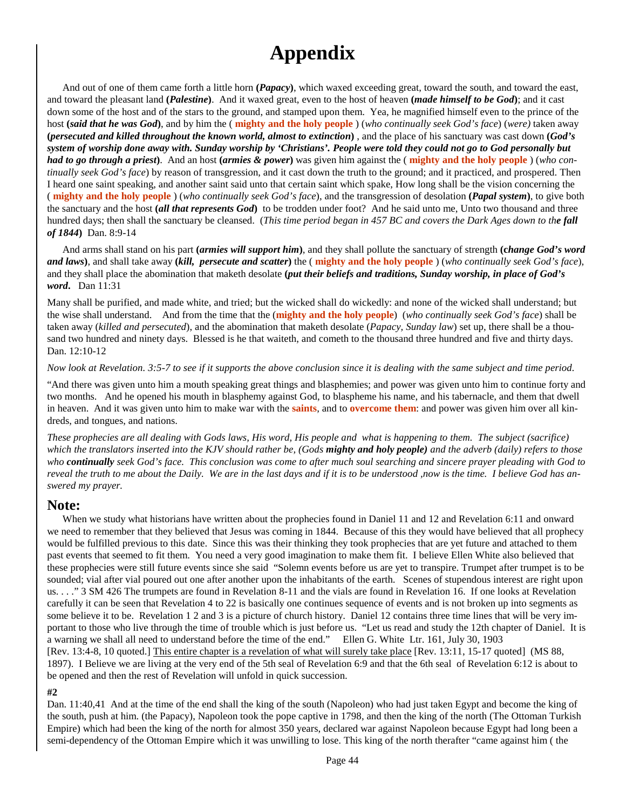And out of one of them came forth a little horn **(***Papacy***)**, which waxed exceeding great, toward the south, and toward the east, and toward the pleasant land **(***Palestine***)**. And it waxed great, even to the host of heaven **(***made himself to be God***)**; and it cast down some of the host and of the stars to the ground, and stamped upon them. Yea, he magnified himself even to the prince of the host **(***said that he was God***)**, and by him the ( **mighty and the holy people** ) (*who continually seek God's face*) (*were)* taken away **(***persecuted and killed throughout the known world, almost to extinction***)** , and the place of his sanctuary was cast down **(***God's system of worship done away with. Sunday worship by 'Christians'. People were told they could not go to God personally but had to go through a priest***)**. And an host **(***armies & power***)** was given him against the ( **mighty and the holy people** ) (*who continually seek God's face*) by reason of transgression, and it cast down the truth to the ground; and it practiced, and prospered. Then I heard one saint speaking, and another saint said unto that certain saint which spake, How long shall be the vision concerning the ( **mighty and the holy people** ) (*who continually seek God's face*), and the transgression of desolation **(***Papal system***)**, to give both the sanctuary and the host **(***all that represents God***)** to be trodden under foot? And he said unto me, Unto two thousand and three hundred days; then shall the sanctuary be cleansed. (*This time period began in 457 BC and covers the Dark Ages down to the fall of 1844***)** Dan. 8:9-14

 And arms shall stand on his part **(***armies will support him***)**, and they shall pollute the sanctuary of strength **(c***hange God's word and laws***)**, and shall take away **(***kill, persecute and scatter***)** the ( **mighty and the holy people** ) (*who continually seek God's face*), and they shall place the abomination that maketh desolate **(***put their beliefs and traditions, Sunday worship, in place of God's word***.** Dan 11:31

Many shall be purified, and made white, and tried; but the wicked shall do wickedly: and none of the wicked shall understand; but the wise shall understand. And from the time that the (**mighty and the holy people**) (*who continually seek God's face*) shall be taken away (*killed and persecuted*), and the abomination that maketh desolate (*Papacy, Sunday law*) set up, there shall be a thousand two hundred and ninety days. Blessed is he that waiteth, and cometh to the thousand three hundred and five and thirty days. Dan. 12:10-12

#### *Now look at Revelation. 3:5-7 to see if it supports the above conclusion since it is dealing with the same subject and time period.*

"And there was given unto him a mouth speaking great things and blasphemies; and power was given unto him to continue forty and two months. And he opened his mouth in blasphemy against God, to blaspheme his name, and his tabernacle, and them that dwell in heaven. And it was given unto him to make war with the **saints**, and to **overcome them**: and power was given him over all kindreds, and tongues, and nations.

*These prophecies are all dealing with Gods laws, His word, His people and what is happening to them. The subject (sacrifice) which the translators inserted into the KJV should rather be, (Gods mighty and holy people) and the adverb (daily) refers to those who continually seek God's face. This conclusion was come to after much soul searching and sincere prayer pleading with God to reveal the truth to me about the Daily. We are in the last days and if it is to be understood ,now is the time. I believe God has answered my prayer.* 

#### **Note:**

When we study what historians have written about the prophecies found in Daniel 11 and 12 and Revelation 6:11 and onward we need to remember that they believed that Jesus was coming in 1844. Because of this they would have believed that all prophecy would be fulfilled previous to this date. Since this was their thinking they took prophecies that are yet future and attached to them past events that seemed to fit them. You need a very good imagination to make them fit. I believe Ellen White also believed that these prophecies were still future events since she said "Solemn events before us are yet to transpire. Trumpet after trumpet is to be sounded; vial after vial poured out one after another upon the inhabitants of the earth. Scenes of stupendous interest are right upon us. . . ." 3 SM 426 The trumpets are found in Revelation 8-11 and the vials are found in Revelation 16. If one looks at Revelation carefully it can be seen that Revelation 4 to 22 is basically one continues sequence of events and is not broken up into segments as some believe it to be. Revelation 1 2 and 3 is a picture of church history. Daniel 12 contains three time lines that will be very important to those who live through the time of trouble which is just before us. "Let us read and study the 12th chapter of Daniel. It is a warning we shall all need to understand before the time of the end." Ellen G. White Ltr. 161, July 30, 1903 [Rev. 13:4-8, 10 quoted.] This entire chapter is a revelation of what will surely take place [Rev. 13:11, 15-17 quoted] (MS 88, 1897). I Believe we are living at the very end of the 5th seal of Revelation 6:9 and that the 6th seal of Revelation 6:12 is about to be opened and then the rest of Revelation will unfold in quick succession.

#### **#2**

Dan. 11:40,41 And at the time of the end shall the king of the south (Napoleon) who had just taken Egypt and become the king of the south, push at him. (the Papacy), Napoleon took the pope captive in 1798, and then the king of the north (The Ottoman Turkish Empire) which had been the king of the north for almost 350 years, declared war against Napoleon because Egypt had long been a semi-dependency of the Ottoman Empire which it was unwilling to lose. This king of the north therafter "came against him ( the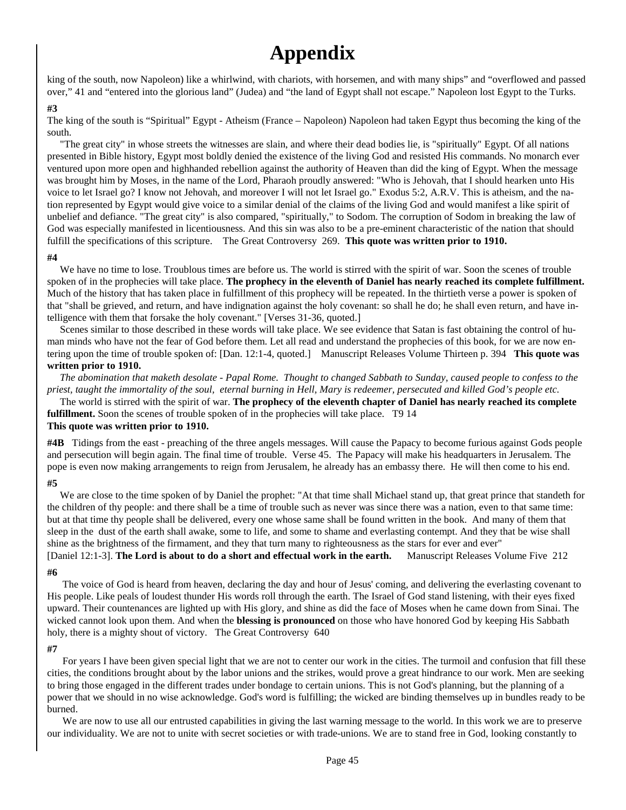king of the south, now Napoleon) like a whirlwind, with chariots, with horsemen, and with many ships" and "overflowed and passed over," 41 and "entered into the glorious land" (Judea) and "the land of Egypt shall not escape." Napoleon lost Egypt to the Turks.

#### **#3**

The king of the south is "Spiritual" Egypt - Atheism (France – Napoleon) Napoleon had taken Egypt thus becoming the king of the south.

 "The great city" in whose streets the witnesses are slain, and where their dead bodies lie, is "spiritually" Egypt. Of all nations presented in Bible history, Egypt most boldly denied the existence of the living God and resisted His commands. No monarch ever ventured upon more open and highhanded rebellion against the authority of Heaven than did the king of Egypt. When the message was brought him by Moses, in the name of the Lord, Pharaoh proudly answered: "Who is Jehovah, that I should hearken unto His voice to let Israel go? I know not Jehovah, and moreover I will not let Israel go." Exodus 5:2, A.R.V. This is atheism, and the nation represented by Egypt would give voice to a similar denial of the claims of the living God and would manifest a like spirit of unbelief and defiance. "The great city" is also compared, "spiritually," to Sodom. The corruption of Sodom in breaking the law of God was especially manifested in licentiousness. And this sin was also to be a pre-eminent characteristic of the nation that should fulfill the specifications of this scripture. The Great Controversy 269. **This quote was written prior to 1910.** 

#### **#4**

 We have no time to lose. Troublous times are before us. The world is stirred with the spirit of war. Soon the scenes of trouble spoken of in the prophecies will take place. **The prophecy in the eleventh of Daniel has nearly reached its complete fulfillment.** Much of the history that has taken place in fulfillment of this prophecy will be repeated. In the thirtieth verse a power is spoken of that "shall be grieved, and return, and have indignation against the holy covenant: so shall he do; he shall even return, and have intelligence with them that forsake the holy covenant." [Verses 31-36, quoted.]

 Scenes similar to those described in these words will take place. We see evidence that Satan is fast obtaining the control of human minds who have not the fear of God before them. Let all read and understand the prophecies of this book, for we are now entering upon the time of trouble spoken of: [Dan. 12:1-4, quoted.] Manuscript Releases Volume Thirteen p. 394 **This quote was written prior to 1910.**

 *The abomination that maketh desolate - Papal Rome. Thought to changed Sabbath to Sunday, caused people to confess to the priest, taught the immortality of the soul, eternal burning in Hell, Mary is redeemer, persecuted and killed God's people etc.* 

 The world is stirred with the spirit of war. **The prophecy of the eleventh chapter of Daniel has nearly reached its complete fulfillment.** Soon the scenes of trouble spoken of in the prophecies will take place. T9 14

#### **This quote was written prior to 1910.**

**#4B** Tidings from the east - preaching of the three angels messages. Will cause the Papacy to become furious against Gods people and persecution will begin again. The final time of trouble. Verse 45. The Papacy will make his headquarters in Jerusalem. The pope is even now making arrangements to reign from Jerusalem, he already has an embassy there. He will then come to his end.

#### **#5**

 We are close to the time spoken of by Daniel the prophet: "At that time shall Michael stand up, that great prince that standeth for the children of thy people: and there shall be a time of trouble such as never was since there was a nation, even to that same time: but at that time thy people shall be delivered, every one whose same shall be found written in the book. And many of them that sleep in the dust of the earth shall awake, some to life, and some to shame and everlasting contempt. And they that be wise shall shine as the brightness of the firmament, and they that turn many to righteousness as the stars for ever and ever" [Daniel 12:1-3]. **The Lord is about to do a short and effectual work in the earth.** Manuscript Releases Volume Five 212

#### **#6**

 The voice of God is heard from heaven, declaring the day and hour of Jesus' coming, and delivering the everlasting covenant to His people. Like peals of loudest thunder His words roll through the earth. The Israel of God stand listening, with their eyes fixed upward. Their countenances are lighted up with His glory, and shine as did the face of Moses when he came down from Sinai. The wicked cannot look upon them. And when the **blessing is pronounced** on those who have honored God by keeping His Sabbath holy, there is a mighty shout of victory. The Great Controversy 640

#### **#7**

 For years I have been given special light that we are not to center our work in the cities. The turmoil and confusion that fill these cities, the conditions brought about by the labor unions and the strikes, would prove a great hindrance to our work. Men are seeking to bring those engaged in the different trades under bondage to certain unions. This is not God's planning, but the planning of a power that we should in no wise acknowledge. God's word is fulfilling; the wicked are binding themselves up in bundles ready to be burned.

 We are now to use all our entrusted capabilities in giving the last warning message to the world. In this work we are to preserve our individuality. We are not to unite with secret societies or with trade-unions. We are to stand free in God, looking constantly to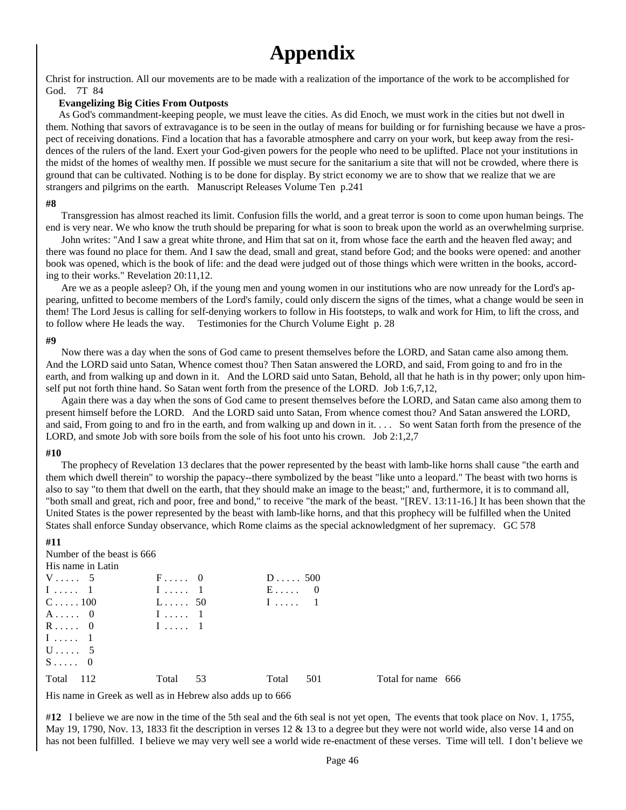Christ for instruction. All our movements are to be made with a realization of the importance of the work to be accomplished for God. 7T 84

#### **Evangelizing Big Cities From Outposts**

 As God's commandment-keeping people, we must leave the cities. As did Enoch, we must work in the cities but not dwell in them. Nothing that savors of extravagance is to be seen in the outlay of means for building or for furnishing because we have a prospect of receiving donations. Find a location that has a favorable atmosphere and carry on your work, but keep away from the residences of the rulers of the land. Exert your God-given powers for the people who need to be uplifted. Place not your institutions in the midst of the homes of wealthy men. If possible we must secure for the sanitarium a site that will not be crowded, where there is ground that can be cultivated. Nothing is to be done for display. By strict economy we are to show that we realize that we are strangers and pilgrims on the earth. Manuscript Releases Volume Ten p.241

#### **#8**

 Transgression has almost reached its limit. Confusion fills the world, and a great terror is soon to come upon human beings. The end is very near. We who know the truth should be preparing for what is soon to break upon the world as an overwhelming surprise.

 John writes: "And I saw a great white throne, and Him that sat on it, from whose face the earth and the heaven fled away; and there was found no place for them. And I saw the dead, small and great, stand before God; and the books were opened: and another book was opened, which is the book of life: and the dead were judged out of those things which were written in the books, according to their works." Revelation 20:11,12.

 Are we as a people asleep? Oh, if the young men and young women in our institutions who are now unready for the Lord's appearing, unfitted to become members of the Lord's family, could only discern the signs of the times, what a change would be seen in them! The Lord Jesus is calling for self-denying workers to follow in His footsteps, to walk and work for Him, to lift the cross, and to follow where He leads the way. Testimonies for the Church Volume Eight p. 28

#### **#9**

 Now there was a day when the sons of God came to present themselves before the LORD, and Satan came also among them. And the LORD said unto Satan, Whence comest thou? Then Satan answered the LORD, and said, From going to and fro in the earth, and from walking up and down in it. And the LORD said unto Satan, Behold, all that he hath is in thy power; only upon himself put not forth thine hand. So Satan went forth from the presence of the LORD. Job 1:6,7,12,

 Again there was a day when the sons of God came to present themselves before the LORD, and Satan came also among them to present himself before the LORD. And the LORD said unto Satan, From whence comest thou? And Satan answered the LORD, and said, From going to and fro in the earth, and from walking up and down in it. . . . So went Satan forth from the presence of the LORD, and smote Job with sore boils from the sole of his foot unto his crown. Job 2:1,2,7

#### **#10**

 The prophecy of Revelation 13 declares that the power represented by the beast with lamb-like horns shall cause "the earth and them which dwell therein" to worship the papacy--there symbolized by the beast "like unto a leopard." The beast with two horns is also to say "to them that dwell on the earth, that they should make an image to the beast;" and, furthermore, it is to command all, "both small and great, rich and poor, free and bond," to receive "the mark of the beast. "[REV. 13:11-16.] It has been shown that the United States is the power represented by the beast with lamb-like horns, and that this prophecy will be fulfilled when the United States shall enforce Sunday observance, which Rome claims as the special acknowledgment of her supremacy. GC 578

#### **#11**

Number of the beast is 666

| His name in Latin |               |                |     |                    |  |
|-------------------|---------------|----------------|-----|--------------------|--|
| $V \ldots 5$      | $F \ldots 0$  | $D \ldots 500$ |     |                    |  |
| $1 \ldots 1$      | $1 \ldots 1$  | $E \ldots 0$   |     |                    |  |
| $C \ldots 100$    | $L \ldots 50$ | $1 \ldots 1$   |     |                    |  |
| $A \ldots 0$      | $1 \ldots 1$  |                |     |                    |  |
| $R \ldots 0$      | $1 \ldots 1$  |                |     |                    |  |
| $1 \ldots 1$      |               |                |     |                    |  |
| $U \ldots 5$      |               |                |     |                    |  |
| $S \ldots 0$      |               |                |     |                    |  |
| Total<br>- 112    | Total<br>53   | Total          | 501 | Total for name 666 |  |

His name in Greek as well as in Hebrew also adds up to 666

#**12** I believe we are now in the time of the 5th seal and the 6th seal is not yet open, The events that took place on Nov. 1, 1755, May 19, 1790, Nov. 13, 1833 fit the description in verses 12 & 13 to a degree but they were not world wide, also verse 14 and on has not been fulfilled. I believe we may very well see a world wide re-enactment of these verses. Time will tell. I don't believe we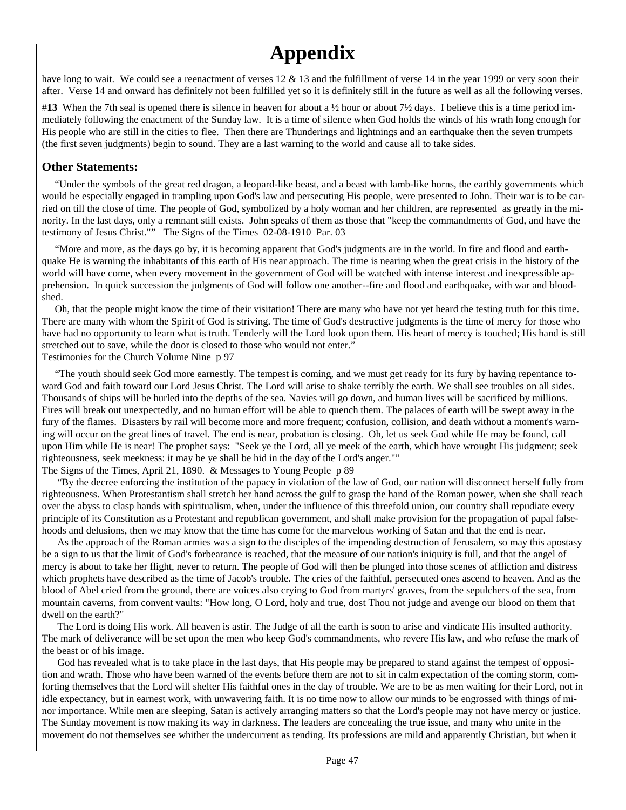have long to wait. We could see a reenactment of verses 12 & 13 and the fulfillment of verse 14 in the year 1999 or very soon their after. Verse 14 and onward has definitely not been fulfilled yet so it is definitely still in the future as well as all the following verses.

#**13** When the 7th seal is opened there is silence in heaven for about a ½ hour or about 7½ days. I believe this is a time period immediately following the enactment of the Sunday law. It is a time of silence when God holds the winds of his wrath long enough for His people who are still in the cities to flee. Then there are Thunderings and lightnings and an earthquake then the seven trumpets (the first seven judgments) begin to sound. They are a last warning to the world and cause all to take sides.

#### **Other Statements:**

 "Under the symbols of the great red dragon, a leopard-like beast, and a beast with lamb-like horns, the earthly governments which would be especially engaged in trampling upon God's law and persecuting His people, were presented to John. Their war is to be carried on till the close of time. The people of God, symbolized by a holy woman and her children, are represented as greatly in the minority. In the last days, only a remnant still exists. John speaks of them as those that "keep the commandments of God, and have the testimony of Jesus Christ."" The Signs of the Times 02-08-1910 Par. 03

 "More and more, as the days go by, it is becoming apparent that God's judgments are in the world. In fire and flood and earthquake He is warning the inhabitants of this earth of His near approach. The time is nearing when the great crisis in the history of the world will have come, when every movement in the government of God will be watched with intense interest and inexpressible apprehension. In quick succession the judgments of God will follow one another--fire and flood and earthquake, with war and bloodshed.

 Oh, that the people might know the time of their visitation! There are many who have not yet heard the testing truth for this time. There are many with whom the Spirit of God is striving. The time of God's destructive judgments is the time of mercy for those who have had no opportunity to learn what is truth. Tenderly will the Lord look upon them. His heart of mercy is touched; His hand is still stretched out to save, while the door is closed to those who would not enter." Testimonies for the Church Volume Nine p 97

 "The youth should seek God more earnestly. The tempest is coming, and we must get ready for its fury by having repentance toward God and faith toward our Lord Jesus Christ. The Lord will arise to shake terribly the earth. We shall see troubles on all sides. Thousands of ships will be hurled into the depths of the sea. Navies will go down, and human lives will be sacrificed by millions. Fires will break out unexpectedly, and no human effort will be able to quench them. The palaces of earth will be swept away in the fury of the flames. Disasters by rail will become more and more frequent; confusion, collision, and death without a moment's warning will occur on the great lines of travel. The end is near, probation is closing. Oh, let us seek God while He may be found, call upon Him while He is near! The prophet says: "Seek ye the Lord, all ye meek of the earth, which have wrought His judgment; seek righteousness, seek meekness: it may be ye shall be hid in the day of the Lord's anger.""

The Signs of the Times, April 21, 1890. & Messages to Young People p 89

 "By the decree enforcing the institution of the papacy in violation of the law of God, our nation will disconnect herself fully from righteousness. When Protestantism shall stretch her hand across the gulf to grasp the hand of the Roman power, when she shall reach over the abyss to clasp hands with spiritualism, when, under the influence of this threefold union, our country shall repudiate every principle of its Constitution as a Protestant and republican government, and shall make provision for the propagation of papal falsehoods and delusions, then we may know that the time has come for the marvelous working of Satan and that the end is near.

 As the approach of the Roman armies was a sign to the disciples of the impending destruction of Jerusalem, so may this apostasy be a sign to us that the limit of God's forbearance is reached, that the measure of our nation's iniquity is full, and that the angel of mercy is about to take her flight, never to return. The people of God will then be plunged into those scenes of affliction and distress which prophets have described as the time of Jacob's trouble. The cries of the faithful, persecuted ones ascend to heaven. And as the blood of Abel cried from the ground, there are voices also crying to God from martyrs' graves, from the sepulchers of the sea, from mountain caverns, from convent vaults: "How long, O Lord, holy and true, dost Thou not judge and avenge our blood on them that dwell on the earth?"

 The Lord is doing His work. All heaven is astir. The Judge of all the earth is soon to arise and vindicate His insulted authority. The mark of deliverance will be set upon the men who keep God's commandments, who revere His law, and who refuse the mark of the beast or of his image.

 God has revealed what is to take place in the last days, that His people may be prepared to stand against the tempest of opposition and wrath. Those who have been warned of the events before them are not to sit in calm expectation of the coming storm, comforting themselves that the Lord will shelter His faithful ones in the day of trouble. We are to be as men waiting for their Lord, not in idle expectancy, but in earnest work, with unwavering faith. It is no time now to allow our minds to be engrossed with things of minor importance. While men are sleeping, Satan is actively arranging matters so that the Lord's people may not have mercy or justice. The Sunday movement is now making its way in darkness. The leaders are concealing the true issue, and many who unite in the movement do not themselves see whither the undercurrent as tending. Its professions are mild and apparently Christian, but when it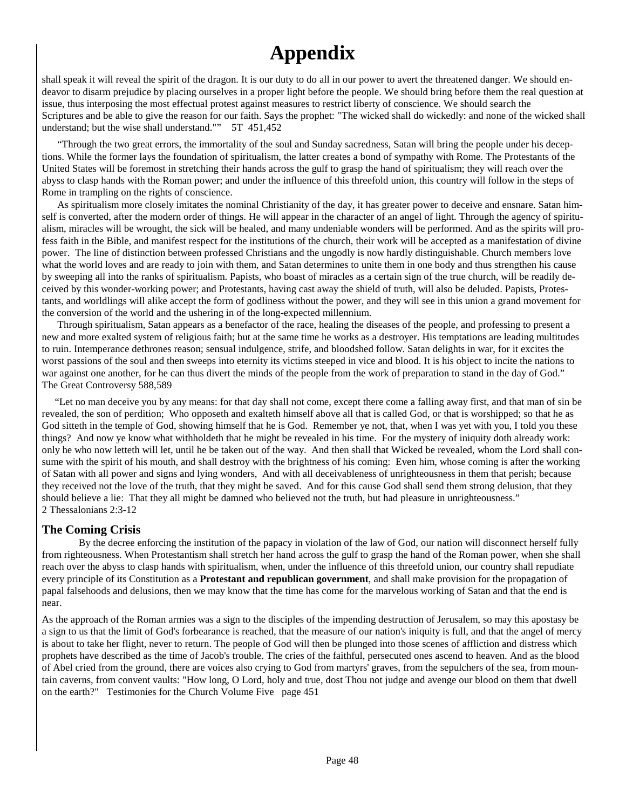shall speak it will reveal the spirit of the dragon. It is our duty to do all in our power to avert the threatened danger. We should endeavor to disarm prejudice by placing ourselves in a proper light before the people. We should bring before them the real question at issue, thus interposing the most effectual protest against measures to restrict liberty of conscience. We should search the Scriptures and be able to give the reason for our faith. Says the prophet: "The wicked shall do wickedly: and none of the wicked shall understand; but the wise shall understand."" 5T 451,452

 "Through the two great errors, the immortality of the soul and Sunday sacredness, Satan will bring the people under his deceptions. While the former lays the foundation of spiritualism, the latter creates a bond of sympathy with Rome. The Protestants of the United States will be foremost in stretching their hands across the gulf to grasp the hand of spiritualism; they will reach over the abyss to clasp hands with the Roman power; and under the influence of this threefold union, this country will follow in the steps of Rome in trampling on the rights of conscience.

 As spiritualism more closely imitates the nominal Christianity of the day, it has greater power to deceive and ensnare. Satan himself is converted, after the modern order of things. He will appear in the character of an angel of light. Through the agency of spiritualism, miracles will be wrought, the sick will be healed, and many undeniable wonders will be performed. And as the spirits will profess faith in the Bible, and manifest respect for the institutions of the church, their work will be accepted as a manifestation of divine power. The line of distinction between professed Christians and the ungodly is now hardly distinguishable. Church members love what the world loves and are ready to join with them, and Satan determines to unite them in one body and thus strengthen his cause by sweeping all into the ranks of spiritualism. Papists, who boast of miracles as a certain sign of the true church, will be readily deceived by this wonder-working power; and Protestants, having cast away the shield of truth, will also be deluded. Papists, Protestants, and worldlings will alike accept the form of godliness without the power, and they will see in this union a grand movement for the conversion of the world and the ushering in of the long-expected millennium.

 Through spiritualism, Satan appears as a benefactor of the race, healing the diseases of the people, and professing to present a new and more exalted system of religious faith; but at the same time he works as a destroyer. His temptations are leading multitudes to ruin. Intemperance dethrones reason; sensual indulgence, strife, and bloodshed follow. Satan delights in war, for it excites the worst passions of the soul and then sweeps into eternity its victims steeped in vice and blood. It is his object to incite the nations to war against one another, for he can thus divert the minds of the people from the work of preparation to stand in the day of God." The Great Controversy 588,589

 "Let no man deceive you by any means: for that day shall not come, except there come a falling away first, and that man of sin be revealed, the son of perdition; Who opposeth and exalteth himself above all that is called God, or that is worshipped; so that he as God sitteth in the temple of God, showing himself that he is God. Remember ye not, that, when I was yet with you, I told you these things? And now ye know what withholdeth that he might be revealed in his time. For the mystery of iniquity doth already work: only he who now letteth will let, until he be taken out of the way. And then shall that Wicked be revealed, whom the Lord shall consume with the spirit of his mouth, and shall destroy with the brightness of his coming: Even him, whose coming is after the working of Satan with all power and signs and lying wonders, And with all deceivableness of unrighteousness in them that perish; because they received not the love of the truth, that they might be saved. And for this cause God shall send them strong delusion, that they should believe a lie: That they all might be damned who believed not the truth, but had pleasure in unrighteousness." 2 Thessalonians 2:3-12

#### **The Coming Crisis**

 By the decree enforcing the institution of the papacy in violation of the law of God, our nation will disconnect herself fully from righteousness. When Protestantism shall stretch her hand across the gulf to grasp the hand of the Roman power, when she shall reach over the abyss to clasp hands with spiritualism, when, under the influence of this threefold union, our country shall repudiate every principle of its Constitution as a **Protestant and republican government**, and shall make provision for the propagation of papal falsehoods and delusions, then we may know that the time has come for the marvelous working of Satan and that the end is near.

As the approach of the Roman armies was a sign to the disciples of the impending destruction of Jerusalem, so may this apostasy be a sign to us that the limit of God's forbearance is reached, that the measure of our nation's iniquity is full, and that the angel of mercy is about to take her flight, never to return. The people of God will then be plunged into those scenes of affliction and distress which prophets have described as the time of Jacob's trouble. The cries of the faithful, persecuted ones ascend to heaven. And as the blood of Abel cried from the ground, there are voices also crying to God from martyrs' graves, from the sepulchers of the sea, from mountain caverns, from convent vaults: "How long, O Lord, holy and true, dost Thou not judge and avenge our blood on them that dwell on the earth?" Testimonies for the Church Volume Five page 451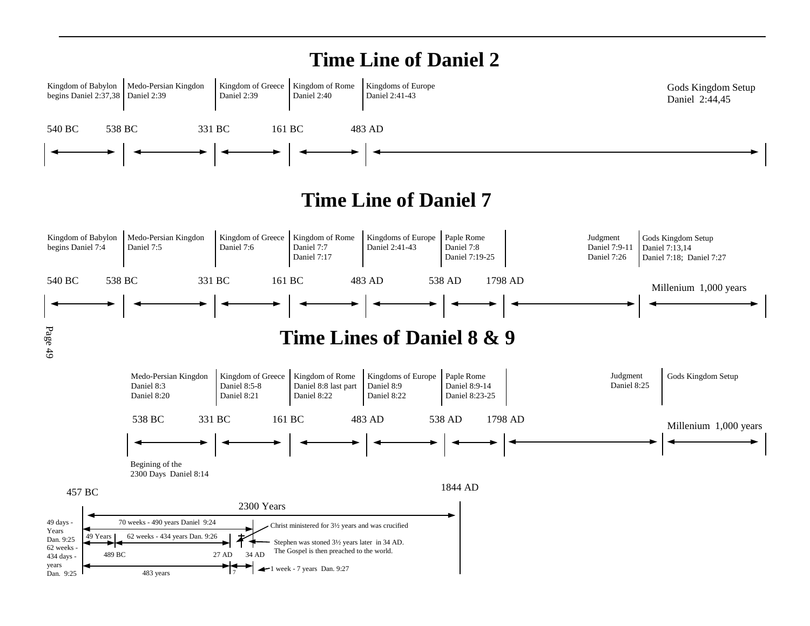